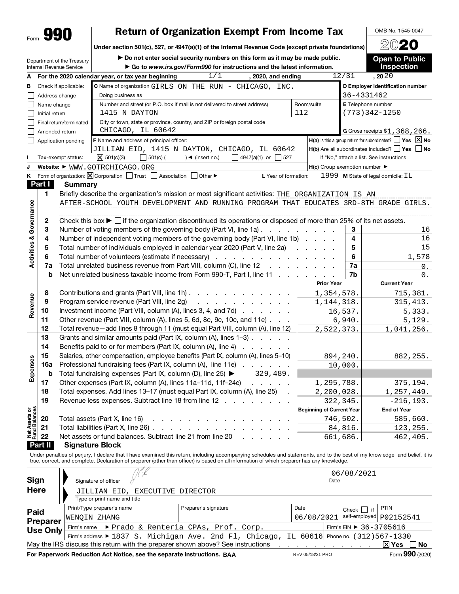|     | ٠<br>ī. |
|-----|---------|
| orm |         |

# Form **990** Return of Organization Exempt From Income Tax  $\bigcup_{\text{Under section 501(c), 527, or 4947(a)(1) of the Internal Revenue Code (except private foundations)}\bigcup_{\text{2020}}$

OMB No. 1545-0047

Under section 501(c), 527, or 4947(a)(1) of the Internal Revenue Code (except private foundations)

Department of the Treasury

 $\triangleright$  Do not enter social security numbers on this form as it may be made public.

Open to Public Inspection

|                                                                                                                                                                                                            |                | Internal Revenue Service              | $\triangleright$ Go to www.irs.gov/Form990 for instructions and the latest information.                                                                                     |                                                     |                | <b>Inspection</b>                                                    |  |  |  |
|------------------------------------------------------------------------------------------------------------------------------------------------------------------------------------------------------------|----------------|---------------------------------------|-----------------------------------------------------------------------------------------------------------------------------------------------------------------------------|-----------------------------------------------------|----------------|----------------------------------------------------------------------|--|--|--|
| А                                                                                                                                                                                                          |                |                                       | 1/1<br>For the 2020 calendar year, or tax year beginning<br>, 2020, and ending                                                                                              |                                                     | 12/31          | , 2020                                                               |  |  |  |
| в                                                                                                                                                                                                          |                | Check if applicable:                  | C Name of organization GIRLS ON THE RUN - CHICAGO,<br>INC.                                                                                                                  |                                                     |                | D Employer identification number                                     |  |  |  |
|                                                                                                                                                                                                            |                |                                       | Doing business as                                                                                                                                                           |                                                     |                | 36-4331462                                                           |  |  |  |
| Address change<br>E Telephone number<br>Number and street (or P.O. box if mail is not delivered to street address)<br>Room/suite<br>Name change<br>1415 N DAYTON<br>112<br>(773)342-1250<br>Initial return |                |                                       |                                                                                                                                                                             |                                                     |                |                                                                      |  |  |  |
|                                                                                                                                                                                                            |                |                                       |                                                                                                                                                                             |                                                     |                |                                                                      |  |  |  |
|                                                                                                                                                                                                            |                | Final return/terminated               |                                                                                                                                                                             |                                                     |                |                                                                      |  |  |  |
|                                                                                                                                                                                                            | Amended return |                                       |                                                                                                                                                                             | G Gross receipts \$1, 368, 266.                     |                |                                                                      |  |  |  |
|                                                                                                                                                                                                            |                | Application pending                   | F Name and address of principal officer:                                                                                                                                    |                                                     |                | $H(a)$ is this a group return for subordinates? $\Box$ Yes $\Box$ No |  |  |  |
|                                                                                                                                                                                                            |                |                                       | JILLIAN EID, 1415 N DAYTON, CHICAGO, IL 60642                                                                                                                               |                                                     |                | $H(b)$ Are all subordinates included? $\Box$ Yes $\Box$ No           |  |  |  |
|                                                                                                                                                                                                            |                | Tax-exempt status:                    | $\boxed{\times}$ 501(c)(3)<br>$\bigcup$ 501(c) (<br>4947(a)(1) or<br>$)$ < (insert no.)<br>527                                                                              |                                                     |                | If "No," attach a list. See instructions                             |  |  |  |
| J                                                                                                                                                                                                          |                |                                       | Website: $\blacktriangleright$ WWW.GOTRCHICAGO.ORG                                                                                                                          | $H(c)$ Group exemption number $\blacktriangleright$ |                |                                                                      |  |  |  |
| Κ                                                                                                                                                                                                          |                | Form of organization: $X$ Corporation | Trust<br>Association<br>Other ▶<br>L Year of formation:                                                                                                                     |                                                     |                | 1999   M State of legal domicile: IL                                 |  |  |  |
|                                                                                                                                                                                                            | Part I         | <b>Summary</b>                        |                                                                                                                                                                             |                                                     |                |                                                                      |  |  |  |
|                                                                                                                                                                                                            | 1              |                                       | Briefly describe the organization's mission or most significant activities: THE ORGANIZATION IS AN                                                                          |                                                     |                |                                                                      |  |  |  |
|                                                                                                                                                                                                            |                |                                       | AFTER-SCHOOL YOUTH DEVELOPMENT AND RUNNING PROGRAM THAT EDUCATES 3RD-8TH GRADE GIRLS.                                                                                       |                                                     |                |                                                                      |  |  |  |
| <b>Activities &amp; Governance</b>                                                                                                                                                                         |                |                                       |                                                                                                                                                                             |                                                     |                |                                                                      |  |  |  |
|                                                                                                                                                                                                            | 2              |                                       | Check this box $\blacktriangleright$ $\Box$ if the organization discontinued its operations or disposed of more than 25% of its net assets.                                 |                                                     |                |                                                                      |  |  |  |
|                                                                                                                                                                                                            | 3              |                                       | Number of voting members of the governing body (Part VI, line 1a)                                                                                                           |                                                     | 3              | 16                                                                   |  |  |  |
|                                                                                                                                                                                                            | 4              |                                       | Number of independent voting members of the governing body (Part VI, line 1b)                                                                                               |                                                     | 4              | 16                                                                   |  |  |  |
|                                                                                                                                                                                                            | 5              |                                       | Total number of individuals employed in calendar year 2020 (Part V, line 2a)                                                                                                |                                                     | 5              | 15                                                                   |  |  |  |
|                                                                                                                                                                                                            | 6              |                                       | Total number of volunteers (estimate if necessary)                                                                                                                          |                                                     | 6              | 1,578                                                                |  |  |  |
|                                                                                                                                                                                                            | 7a             |                                       | Total unrelated business revenue from Part VIII, column (C), line 12                                                                                                        |                                                     | 7a             | 0.                                                                   |  |  |  |
|                                                                                                                                                                                                            | b              |                                       | Net unrelated business taxable income from Form 990-T, Part I, line 11                                                                                                      |                                                     | 7b             | 0.                                                                   |  |  |  |
|                                                                                                                                                                                                            |                |                                       |                                                                                                                                                                             | <b>Prior Year</b>                                   |                | <b>Current Year</b>                                                  |  |  |  |
|                                                                                                                                                                                                            | 8              |                                       | Contributions and grants (Part VIII, line 1h) $\ldots$                                                                                                                      | 1,354,578.                                          |                | 715,381.                                                             |  |  |  |
| Revenue                                                                                                                                                                                                    | 9              |                                       | Program service revenue (Part VIII, line 2g)<br>and a straightful and a straight and                                                                                        | 1,144,318.                                          |                | 315,413.                                                             |  |  |  |
|                                                                                                                                                                                                            | 10             |                                       | Investment income (Part VIII, column (A), lines 3, 4, and 7d)                                                                                                               |                                                     | 16,537.        | 5,333.                                                               |  |  |  |
|                                                                                                                                                                                                            | 11             |                                       | Other revenue (Part VIII, column (A), lines 5, 6d, 8c, 9c, 10c, and 11e)                                                                                                    |                                                     | 6,940.         | 5,129.                                                               |  |  |  |
|                                                                                                                                                                                                            | 12             |                                       | Total revenue-add lines 8 through 11 (must equal Part VIII, column (A), line 12)                                                                                            | 2,522,373.                                          |                | 1,041,256.                                                           |  |  |  |
|                                                                                                                                                                                                            | 13             |                                       | Grants and similar amounts paid (Part IX, column (A), lines 1-3)                                                                                                            |                                                     |                |                                                                      |  |  |  |
|                                                                                                                                                                                                            | 14             |                                       | Benefits paid to or for members (Part IX, column (A), line 4)                                                                                                               |                                                     |                |                                                                      |  |  |  |
|                                                                                                                                                                                                            | 15             |                                       | Salaries, other compensation, employee benefits (Part IX, column (A), lines 5-10)                                                                                           |                                                     | 894,240.       | 882, 255.                                                            |  |  |  |
| Expenses                                                                                                                                                                                                   | 16a            |                                       | Professional fundraising fees (Part IX, column (A), line 11e)                                                                                                               |                                                     | <u>10,000.</u> |                                                                      |  |  |  |
|                                                                                                                                                                                                            | b              |                                       | Total fundraising expenses (Part IX, column (D), line 25) ▶<br>329,489.                                                                                                     |                                                     |                |                                                                      |  |  |  |
|                                                                                                                                                                                                            | 17             |                                       | Other expenses (Part IX, column (A), lines 11a-11d, 11f-24e)<br>and the company                                                                                             | 1,295,788.                                          |                | 375,194.                                                             |  |  |  |
|                                                                                                                                                                                                            | 18             |                                       | Total expenses. Add lines 13-17 (must equal Part IX, column (A), line 25)                                                                                                   | 2,200,028.                                          |                | 1,257,449.                                                           |  |  |  |
|                                                                                                                                                                                                            | 19             |                                       | Revenue less expenses. Subtract line 18 from line 12                                                                                                                        |                                                     | 322,345.       | $-216, 193.$                                                         |  |  |  |
| Net Assets or<br>Fund Balances                                                                                                                                                                             |                |                                       |                                                                                                                                                                             | <b>Beginning of Current Year</b>                    |                | <b>End of Year</b>                                                   |  |  |  |
|                                                                                                                                                                                                            | 20             |                                       | Total assets (Part X, line 16)<br>design and a state of the state of the                                                                                                    |                                                     | 746,502.       | 585,660.                                                             |  |  |  |
|                                                                                                                                                                                                            | 21<br>22       |                                       | Total liabilities (Part X, line 26)                                                                                                                                         |                                                     | 84,816.        | 123, 255.                                                            |  |  |  |
|                                                                                                                                                                                                            | Part II        |                                       | Net assets or fund balances. Subtract line 21 from line 20<br>and the company<br><b>Signature Block</b>                                                                     |                                                     | 661,686.       | 462,405.                                                             |  |  |  |
|                                                                                                                                                                                                            |                |                                       | Under penalties of periury. I declare that I have examined this return, including accompanying schedules and statements, and to the best of my knowledge, and belief, it is |                                                     |                |                                                                      |  |  |  |

Under penalties of perjury, I declare that I have examined this return, including accompanying schedules and statements, and to the best of my knowledge and belief, it is<br>true, correct, and complete. Declaration of prepar

|                 |                                                                                                               |                      |                  | 06/08/2021                             |                           |
|-----------------|---------------------------------------------------------------------------------------------------------------|----------------------|------------------|----------------------------------------|---------------------------|
| Sign            | Signature of officer                                                                                          |                      | Date             |                                        |                           |
| <b>Here</b>     | EXECUTIVE DIRECTOR<br>JILLIAN EID,                                                                            |                      |                  |                                        |                           |
|                 | Type or print name and title                                                                                  |                      |                  |                                        |                           |
| Paid            | Print/Type preparer's name                                                                                    | Preparer's signature | Date             | Check $\vert \cdot \vert$ if           | <b>PTIN</b>               |
| <b>Preparer</b> | WENOIN ZHANG                                                                                                  |                      | 06/08/2021       |                                        | self-employed $p02152541$ |
| Use Only        | Firm's name ▶ Prado & Renteria CPAs, Prof. Corp.                                                              |                      |                  | Firm's EIN $\triangleright$ 36-3705616 |                           |
|                 | Firm's address $\blacktriangleright$ 1837 S. Michigan Ave. 2nd Fl, Chicago, IL 60616 Phone no. (312) 567-1330 |                      |                  |                                        |                           |
|                 | May the IRS discuss this return with the preparer shown above? See instructions                               |                      |                  |                                        | ∣×l Yes<br>∣No            |
|                 | For Paperwork Reduction Act Notice, see the separate instructions. BAA                                        |                      | REV 05/18/21 PRO |                                        | Form 990 (2020)           |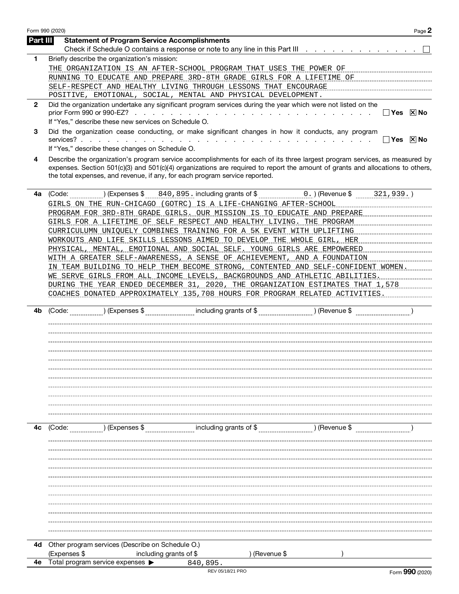|                | Form 990 (2020)<br>Page 2                                                                                                                                                                                                                                                                                                                   |
|----------------|---------------------------------------------------------------------------------------------------------------------------------------------------------------------------------------------------------------------------------------------------------------------------------------------------------------------------------------------|
| Part III       | <b>Statement of Program Service Accomplishments</b>                                                                                                                                                                                                                                                                                         |
|                | Check if Schedule O contains a response or note to any line in this Part III                                                                                                                                                                                                                                                                |
| 1.             | Briefly describe the organization's mission:                                                                                                                                                                                                                                                                                                |
|                | THE ORGANIZATION IS AN AFTER-SCHOOL PROGRAM THAT USES THE POWER OF                                                                                                                                                                                                                                                                          |
|                | RUNNING TO EDUCATE AND PREPARE 3RD-8TH GRADE GIRLS FOR A LIFETIME OF                                                                                                                                                                                                                                                                        |
|                | SELF-RESPECT AND HEALTHY LIVING THROUGH LESSONS THAT ENCOURAGE                                                                                                                                                                                                                                                                              |
| $\mathbf{2}$   | POSITIVE, EMOTIONAL, SOCIAL, MENTAL AND PHYSICAL DEVELOPMENT.                                                                                                                                                                                                                                                                               |
|                | Did the organization undertake any significant program services during the year which were not listed on the<br>$\Box$ Yes $\Box$ No<br>If "Yes," describe these new services on Schedule O.                                                                                                                                                |
| 3              | Did the organization cease conducting, or make significant changes in how it conducts, any program<br>$\Box$ Yes $\Box$ No                                                                                                                                                                                                                  |
|                | If "Yes," describe these changes on Schedule O.                                                                                                                                                                                                                                                                                             |
| 4              | Describe the organization's program service accomplishments for each of its three largest program services, as measured by<br>expenses. Section 501(c)(3) and 501(c)(4) organizations are required to report the amount of grants and allocations to others,<br>the total expenses, and revenue, if any, for each program service reported. |
| 4a             |                                                                                                                                                                                                                                                                                                                                             |
|                | GIRLS ON THE RUN-CHICAGO (GOTRC) IS A LIFE-CHANGING AFTER-SCHOOL                                                                                                                                                                                                                                                                            |
|                | PROGRAM FOR 3RD-8TH GRADE GIRLS. OUR MISSION<br>TO EDUCATE AND PREPARE<br>IS                                                                                                                                                                                                                                                                |
|                | LIFETIME OF<br>SELF RESPECT AND HEALTHY<br>THE PROGRAM ________________________<br>GIRLS FOR A                                                                                                                                                                                                                                              |
|                | CURRICULUMN<br>UNIOUELY COMBINES TRAINING FOR<br>A 5K<br>EVENT<br>WITH UPLIFTING MITH                                                                                                                                                                                                                                                       |
|                | WORKOUTS AND LIFE SKILLS LESSONS AIMED TO DEVELOP THE<br>WHOLE GIRL, HER                                                                                                                                                                                                                                                                    |
|                | <u>__EMOTIONAL_AND_SOCIAL_SELF.__YOUNG_GIRLS_ARE_EMPOWERED________________________</u><br>PHYSICAL, MENTAL,                                                                                                                                                                                                                                 |
|                | A GREATER SELF-AWARENESS, A SENSE OF ACHIEVEMENT, AND A FOUNDATION                                                                                                                                                                                                                                                                          |
|                | IN TEAM BUILDING TO HELP THEM BECOME STRONG, CONTENTED AND SELF-CONFIDENT WOMEN.                                                                                                                                                                                                                                                            |
|                | WE_SERVE_GIRLS_FROM_ALL_INCOME_LEVELS__BACKGROUNDS_AND_ATHLETIC_ABILITIES______________                                                                                                                                                                                                                                                     |
|                | DURING THE YEAR ENDED DECEMBER 31, 2020, THE ORGANIZATION ESTIMATES THAT 1,578                                                                                                                                                                                                                                                              |
|                | COACHES DONATED APPROXIMATELY 135,708 HOURS FOR PROGRAM RELATED ACTIVITIES.                                                                                                                                                                                                                                                                 |
|                |                                                                                                                                                                                                                                                                                                                                             |
| 4b             |                                                                                                                                                                                                                                                                                                                                             |
|                |                                                                                                                                                                                                                                                                                                                                             |
|                |                                                                                                                                                                                                                                                                                                                                             |
|                |                                                                                                                                                                                                                                                                                                                                             |
|                |                                                                                                                                                                                                                                                                                                                                             |
|                |                                                                                                                                                                                                                                                                                                                                             |
|                |                                                                                                                                                                                                                                                                                                                                             |
|                |                                                                                                                                                                                                                                                                                                                                             |
|                |                                                                                                                                                                                                                                                                                                                                             |
|                |                                                                                                                                                                                                                                                                                                                                             |
|                |                                                                                                                                                                                                                                                                                                                                             |
|                |                                                                                                                                                                                                                                                                                                                                             |
| 4 <sub>c</sub> | $(1)$ (Expenses \$<br>$(2)$ (Revenue \$<br>(Code:                                                                                                                                                                                                                                                                                           |
|                |                                                                                                                                                                                                                                                                                                                                             |
|                |                                                                                                                                                                                                                                                                                                                                             |
|                |                                                                                                                                                                                                                                                                                                                                             |
|                |                                                                                                                                                                                                                                                                                                                                             |
|                |                                                                                                                                                                                                                                                                                                                                             |
|                |                                                                                                                                                                                                                                                                                                                                             |
|                |                                                                                                                                                                                                                                                                                                                                             |
|                |                                                                                                                                                                                                                                                                                                                                             |
|                |                                                                                                                                                                                                                                                                                                                                             |
|                |                                                                                                                                                                                                                                                                                                                                             |
|                |                                                                                                                                                                                                                                                                                                                                             |
|                |                                                                                                                                                                                                                                                                                                                                             |
|                |                                                                                                                                                                                                                                                                                                                                             |
| 4d             | Other program services (Describe on Schedule O.)                                                                                                                                                                                                                                                                                            |

| 840,895. |                  |
|----------|------------------|
|          | REV 05/18/21 PRO |

4e Total program service expenses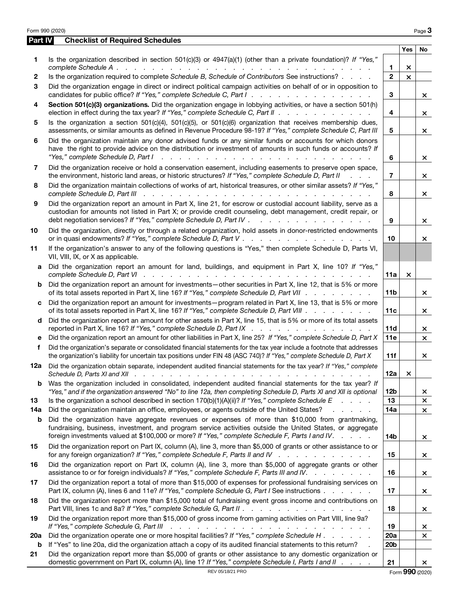| Part IV | <b>Checklist of Required Schedules</b>                                                                                                                                                                                                                                                                                                                                               |                 |                |          |
|---------|--------------------------------------------------------------------------------------------------------------------------------------------------------------------------------------------------------------------------------------------------------------------------------------------------------------------------------------------------------------------------------------|-----------------|----------------|----------|
|         |                                                                                                                                                                                                                                                                                                                                                                                      |                 | <b>Yes</b>     | No       |
| 1       | Is the organization described in section 501(c)(3) or 4947(a)(1) (other than a private foundation)? If "Yes,"                                                                                                                                                                                                                                                                        | 1               | ×              |          |
| 2       | Is the organization required to complete Schedule B, Schedule of Contributors See instructions?                                                                                                                                                                                                                                                                                      | $\overline{2}$  | $\pmb{\times}$ |          |
| 3       | Did the organization engage in direct or indirect political campaign activities on behalf of or in opposition to<br>candidates for public office? If "Yes," complete Schedule C, Part I.                                                                                                                                                                                             | 3               |                | ×        |
| 4       | Section 501(c)(3) organizations. Did the organization engage in lobbying activities, or have a section 501(h)<br>election in effect during the tax year? If "Yes," complete Schedule C, Part II                                                                                                                                                                                      | 4               |                | $\times$ |
| 5       | Is the organization a section $501(c)(4)$ , $501(c)(5)$ , or $501(c)(6)$ organization that receives membership dues,<br>assessments, or similar amounts as defined in Revenue Procedure 98-19? If "Yes," complete Schedule C, Part III                                                                                                                                               | 5               |                | ×        |
| 6       | Did the organization maintain any donor advised funds or any similar funds or accounts for which donors<br>have the right to provide advice on the distribution or investment of amounts in such funds or accounts? If<br>"Yes," complete Schedule D, Part I<br>المتابعة المتابعة المتابعة المتابعة المتابعة المتابعة المتابعة المتابعة المتابعة المتابعة المتابعة المتابعة المتابعة | 6               |                | ×        |
| 7       | Did the organization receive or hold a conservation easement, including easements to preserve open space,<br>the environment, historic land areas, or historic structures? If "Yes," complete Schedule D, Part II                                                                                                                                                                    | 7               |                | $\times$ |
| 8       | Did the organization maintain collections of works of art, historical treasures, or other similar assets? If "Yes,"<br>complete Schedule D, Part III recently recently recently recently recently recently recently recently recently recently recently recently recently recently recently recently recently recently recently recently recently rec                                | 8               |                | ×        |
| 9       | Did the organization report an amount in Part X, line 21, for escrow or custodial account liability, serve as a<br>custodian for amounts not listed in Part X; or provide credit counseling, debt management, credit repair, or<br>debt negotiation services? If "Yes," complete Schedule D, Part IV .<br>and the contract of the contract of the con-                               | 9               |                | $\times$ |
| 10      | Did the organization, directly or through a related organization, hold assets in donor-restricted endowments                                                                                                                                                                                                                                                                         | 10              |                | ×        |
| 11      | If the organization's answer to any of the following questions is "Yes," then complete Schedule D, Parts VI,<br>VII, VIII, IX, or X as applicable.                                                                                                                                                                                                                                   |                 |                |          |
| a       | Did the organization report an amount for land, buildings, and equipment in Part X, line 10? If "Yes,"                                                                                                                                                                                                                                                                               | 11a             | $\times$       |          |
| b       | Did the organization report an amount for investments—other securities in Part X, line 12, that is 5% or more<br>of its total assets reported in Part X, line 16? If "Yes," complete Schedule D, Part VII                                                                                                                                                                            | 11 <sub>b</sub> |                | ×        |
| C       | Did the organization report an amount for investments-program related in Part X, line 13, that is 5% or more<br>of its total assets reported in Part X, line 16? If "Yes," complete Schedule D, Part VIII                                                                                                                                                                            | 11c             |                | ×        |
| d       | Did the organization report an amount for other assets in Part X, line 15, that is 5% or more of its total assets<br>reported in Part X, line 16? If "Yes," complete Schedule D, Part IX                                                                                                                                                                                             | 11d             |                | $\times$ |
| е       | Did the organization report an amount for other liabilities in Part X, line 25? If "Yes," complete Schedule D, Part X                                                                                                                                                                                                                                                                | 11e             |                | $\times$ |
| f       | Did the organization's separate or consolidated financial statements for the tax year include a footnote that addresses<br>the organization's liability for uncertain tax positions under FIN 48 (ASC 740)? If "Yes," complete Schedule D, Part X                                                                                                                                    | 11f             |                | $\times$ |
| 12a     | Did the organization obtain separate, independent audited financial statements for the tax year? If "Yes," complete                                                                                                                                                                                                                                                                  | 12a             | $\times$       |          |
| b       | Was the organization included in consolidated, independent audited financial statements for the tax year? If<br>"Yes," and if the organization answered "No" to line 12a, then completing Schedule D, Parts XI and XII is optional                                                                                                                                                   | 12b             |                | ×.       |
| 13      | Is the organization a school described in section $170(b)(1)(A)(ii)?$ If "Yes," complete Schedule E<br>$\mathbf{r}$ and $\mathbf{r}$ and $\mathbf{r}$                                                                                                                                                                                                                                | 13              |                | $\times$ |
| 14a     | Did the organization maintain an office, employees, or agents outside of the United States?                                                                                                                                                                                                                                                                                          | 14a             |                | ×        |
| b       | Did the organization have aggregate revenues or expenses of more than \$10,000 from grantmaking,<br>fundraising, business, investment, and program service activities outside the United States, or aggregate<br>foreign investments valued at \$100,000 or more? If "Yes," complete Schedule F, Parts I and IV.                                                                     | <b>14b</b>      |                | ×        |
| 15      | Did the organization report on Part IX, column (A), line 3, more than \$5,000 of grants or other assistance to or<br>for any foreign organization? If "Yes," complete Schedule F, Parts II and IV                                                                                                                                                                                    | 15              |                | ×.       |
| 16      | Did the organization report on Part IX, column (A), line 3, more than \$5,000 of aggregate grants or other<br>assistance to or for foreign individuals? If "Yes," complete Schedule F, Parts III and IV.                                                                                                                                                                             | 16              |                | ×.       |
| 17      | Did the organization report a total of more than \$15,000 of expenses for professional fundraising services on<br>Part IX, column (A), lines 6 and 11e? If "Yes," complete Schedule G, Part I See instructions                                                                                                                                                                       | 17              |                | ×        |
| 18      | Did the organization report more than \$15,000 total of fundraising event gross income and contributions on<br>Part VIII, lines 1c and 8a? If "Yes," complete Schedule G, Part II.                                                                                                                                                                                                   | 18              |                | ×.       |
| 19      | Did the organization report more than \$15,000 of gross income from gaming activities on Part VIII, line 9a?<br>If "Yes," complete Schedule G, Part III<br>والمتعاون والمتعاون والمتعاون والمتعاونة والمتعاونة والمتعاونة والمتعاونة                                                                                                                                                 | 19              |                | ×        |
| 20a     | Did the organization operate one or more hospital facilities? If "Yes," complete Schedule H                                                                                                                                                                                                                                                                                          | 20a             |                | ×        |
| b       | If "Yes" to line 20a, did the organization attach a copy of its audited financial statements to this return?                                                                                                                                                                                                                                                                         | 20 <sub>b</sub> |                |          |
| 21      | Did the organization report more than \$5,000 of grants or other assistance to any domestic organization or<br>domestic government on Part IX, column (A), line 1? If "Yes," complete Schedule I, Parts I and II                                                                                                                                                                     | 21              |                | ×        |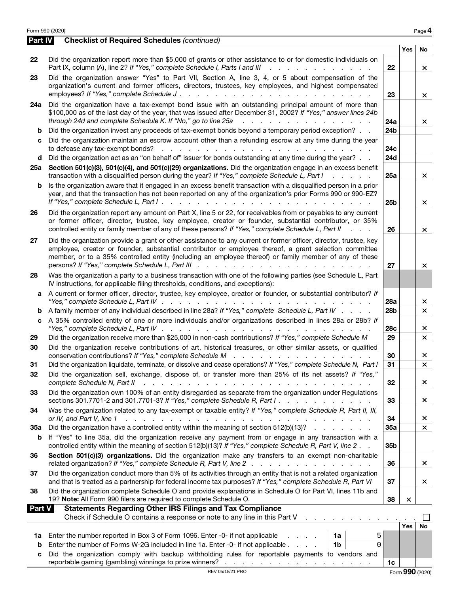|               | Form 990 (2020)                                                                                                                                                                                                                                                                                                                                                                                                                                                                                          |                 |          | Page 4                   |
|---------------|----------------------------------------------------------------------------------------------------------------------------------------------------------------------------------------------------------------------------------------------------------------------------------------------------------------------------------------------------------------------------------------------------------------------------------------------------------------------------------------------------------|-----------------|----------|--------------------------|
| Part IV       | <b>Checklist of Required Schedules (continued)</b>                                                                                                                                                                                                                                                                                                                                                                                                                                                       |                 |          |                          |
| 22            | Did the organization report more than \$5,000 of grants or other assistance to or for domestic individuals on                                                                                                                                                                                                                                                                                                                                                                                            | 22              | Yes      | No                       |
| 23            | Part IX, column (A), line 2? If "Yes," complete Schedule I, Parts I and III<br>$\mathbf{r}$ , $\mathbf{r}$ , $\mathbf{r}$ , $\mathbf{r}$ , $\mathbf{r}$ , $\mathbf{r}$ , $\mathbf{r}$ , $\mathbf{r}$<br>Did the organization answer "Yes" to Part VII, Section A, line 3, 4, or 5 about compensation of the<br>organization's current and former officers, directors, trustees, key employees, and highest compensated<br>employees? If "Yes," complete Schedule J.<br>and a straight and a straight and | 23              |          | $\times$<br>$\mathsf{x}$ |
| 24a           | Did the organization have a tax-exempt bond issue with an outstanding principal amount of more than<br>\$100,000 as of the last day of the year, that was issued after December 31, 2002? If "Yes," answer lines 24b<br>through 24d and complete Schedule K. If "No," go to line 25a<br>and the property of the property of the property                                                                                                                                                                 | 24a             |          | ×.                       |
| b<br>с        | Did the organization invest any proceeds of tax-exempt bonds beyond a temporary period exception?<br>Did the organization maintain an escrow account other than a refunding escrow at any time during the year                                                                                                                                                                                                                                                                                           | 24 <sub>b</sub> |          |                          |
| d             | Did the organization act as an "on behalf of" issuer for bonds outstanding at any time during the year?                                                                                                                                                                                                                                                                                                                                                                                                  | 24c<br>24d      |          |                          |
| 25а           | Section 501(c)(3), 501(c)(4), and 501(c)(29) organizations. Did the organization engage in an excess benefit<br>transaction with a disqualified person during the year? If "Yes," complete Schedule L, Part I<br>$\mathbf{r}$ and $\mathbf{r}$ and $\mathbf{r}$ and $\mathbf{r}$                                                                                                                                                                                                                         | 25a             |          | $\times$                 |
| b             | Is the organization aware that it engaged in an excess benefit transaction with a disqualified person in a prior<br>year, and that the transaction has not been reported on any of the organization's prior Forms 990 or 990-EZ?                                                                                                                                                                                                                                                                         | 25 <sub>b</sub> |          | ×.                       |
| 26            | Did the organization report any amount on Part X, line 5 or 22, for receivables from or payables to any current<br>or former officer, director, trustee, key employee, creator or founder, substantial contributor, or 35%<br>controlled entity or family member of any of these persons? If "Yes," complete Schedule L, Part II<br>$\mathcal{L} = \mathcal{L} \times \mathcal{L}$                                                                                                                       | 26              |          | $\times$                 |
| 27            | Did the organization provide a grant or other assistance to any current or former officer, director, trustee, key<br>employee, creator or founder, substantial contributor or employee thereof, a grant selection committee<br>member, or to a 35% controlled entity (including an employee thereof) or family member of any of these                                                                                                                                                                    | 27              |          | ×                        |
| 28            | Was the organization a party to a business transaction with one of the following parties (see Schedule L, Part<br>IV instructions, for applicable filing thresholds, conditions, and exceptions):                                                                                                                                                                                                                                                                                                        |                 |          |                          |
| a             | A current or former officer, director, trustee, key employee, creator or founder, or substantial contributor? If<br>"Yes," complete Schedule L, Part IV $\ldots$ , $\ldots$ , $\ldots$ , $\ldots$ , $\ldots$ , $\ldots$                                                                                                                                                                                                                                                                                  | 28a             |          | ×                        |
| b             | A family member of any individual described in line 28a? If "Yes," complete Schedule L, Part IV                                                                                                                                                                                                                                                                                                                                                                                                          | 28 <sub>b</sub> |          | $\mathsf{x}$             |
| c             | A 35% controlled entity of one or more individuals and/or organizations described in lines 28a or 28b? If<br>"Yes," complete Schedule L, Part IV $\ldots$ $\ldots$ $\ldots$ $\ldots$ $\ldots$ $\ldots$ $\ldots$                                                                                                                                                                                                                                                                                          | 28c             |          | ×.                       |
| 29            | Did the organization receive more than \$25,000 in non-cash contributions? If "Yes," complete Schedule M                                                                                                                                                                                                                                                                                                                                                                                                 | 29              |          | $\times$                 |
| 30            | Did the organization receive contributions of art, historical treasures, or other similar assets, or qualified                                                                                                                                                                                                                                                                                                                                                                                           | 30              |          | ×.                       |
| 31            | Did the organization liquidate, terminate, or dissolve and cease operations? If "Yes," complete Schedule N, Part I                                                                                                                                                                                                                                                                                                                                                                                       | $\overline{31}$ |          | $\times$                 |
| 32            | Did the organization sell, exchange, dispose of, or transfer more than 25% of its net assets? If "Yes,"<br>complete Schedule N, Part II<br>a construction of the construction of the construction of the construction of the construction of the construction of the construction of the construction of the construction of the construction of the construction of the                                                                                                                                 | 32              |          | $\times$                 |
| 33            | Did the organization own 100% of an entity disregarded as separate from the organization under Regulations<br>sections 301.7701-2 and 301.7701-3? If "Yes," complete Schedule R, Part I. $\ldots$                                                                                                                                                                                                                                                                                                        | 33              |          | ×.                       |
| 34            | Was the organization related to any tax-exempt or taxable entity? If "Yes," complete Schedule R, Part II, III,<br>or IV, and Part V, line 1<br>المتعاون والمتعاون والمتعاون والمتعاون والمتعاون والمتعاون والمتعاون والمتعاون والمتعاون والمتعاون                                                                                                                                                                                                                                                        | 34              |          | ×.                       |
| 35a           | Did the organization have a controlled entity within the meaning of section 512(b)(13)?                                                                                                                                                                                                                                                                                                                                                                                                                  | 35a             |          | $\times$                 |
| b             | If "Yes" to line 35a, did the organization receive any payment from or engage in any transaction with a<br>controlled entity within the meaning of section 512(b)(13)? If "Yes," complete Schedule R, Part V, line 2.                                                                                                                                                                                                                                                                                    | 35b             |          |                          |
| 36            | Section 501(c)(3) organizations. Did the organization make any transfers to an exempt non-charitable<br>related organization? If "Yes," complete Schedule R, Part V, line 2.                                                                                                                                                                                                                                                                                                                             | 36              |          | $\times$                 |
| 37            | Did the organization conduct more than 5% of its activities through an entity that is not a related organization<br>and that is treated as a partnership for federal income tax purposes? If "Yes," complete Schedule R, Part VI                                                                                                                                                                                                                                                                         | 37              |          | ×.                       |
| 38            | Did the organization complete Schedule O and provide explanations in Schedule O for Part VI, lines 11b and<br>19? Note: All Form 990 filers are required to complete Schedule O.                                                                                                                                                                                                                                                                                                                         | 38              | $\times$ |                          |
| <b>Part V</b> | <b>Statements Regarding Other IRS Filings and Tax Compliance</b><br>Check if Schedule O contains a response or note to any line in this Part V                                                                                                                                                                                                                                                                                                                                                           |                 |          |                          |
|               |                                                                                                                                                                                                                                                                                                                                                                                                                                                                                                          |                 | Yes      | No                       |
| 1a<br>b       | 1a<br>Enter the number reported in Box 3 of Form 1096. Enter -0- if not applicable<br>5<br>1 <sub>b</sub><br>Enter the number of Forms W-2G included in line 1a. Enter -0- if not applicable.<br>0                                                                                                                                                                                                                                                                                                       |                 |          |                          |

c Did the organization comply with backup withholding rules for reportable payments to vendors and reportable gaming (gambling) winnings to prize winners? . . . . . . . . . . . . . . . . . 1c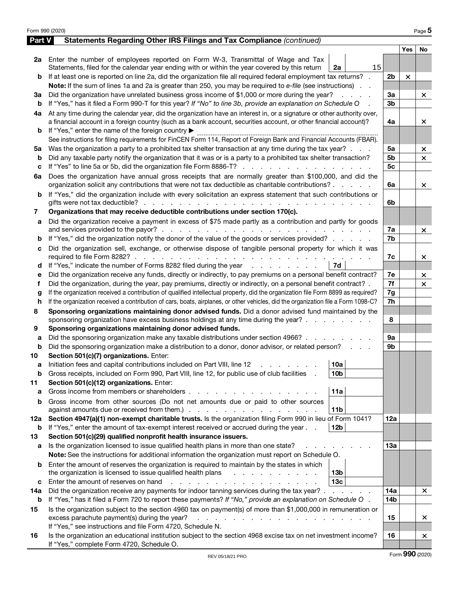|        | Form 990 (2020)                                                                                                                                                                                                                  |                 |            | Page 5       |
|--------|----------------------------------------------------------------------------------------------------------------------------------------------------------------------------------------------------------------------------------|-----------------|------------|--------------|
| Part V | Statements Regarding Other IRS Filings and Tax Compliance (continued)                                                                                                                                                            |                 |            |              |
|        |                                                                                                                                                                                                                                  |                 | <b>Yes</b> | <b>No</b>    |
|        | 2a Enter the number of employees reported on Form W-3, Transmittal of Wage and Tax                                                                                                                                               |                 |            |              |
|        | 15<br>Statements, filed for the calendar year ending with or within the year covered by this return<br>2a                                                                                                                        |                 |            |              |
| b      | If at least one is reported on line 2a, did the organization file all required federal employment tax returns? .                                                                                                                 | 2 <sub>b</sub>  | $\times$   |              |
|        | Note: If the sum of lines 1a and 2a is greater than 250, you may be required to e-file (see instructions).                                                                                                                       |                 |            |              |
| За     | Did the organization have unrelated business gross income of \$1,000 or more during the year?                                                                                                                                    | За              |            | ×            |
| b      | If "Yes," has it filed a Form 990-T for this year? If "No" to line 3b, provide an explanation on Schedule O                                                                                                                      | 3 <sub>b</sub>  |            |              |
| 4a     | At any time during the calendar year, did the organization have an interest in, or a signature or other authority over,                                                                                                          |                 |            |              |
|        | a financial account in a foreign country (such as a bank account, securities account, or other financial account)?                                                                                                               | 4a              |            | ×            |
| b      | If "Yes," enter the name of the foreign country ▶                                                                                                                                                                                |                 |            |              |
|        | See instructions for filing requirements for FinCEN Form 114, Report of Foreign Bank and Financial Accounts (FBAR).                                                                                                              |                 |            |              |
| 5а     | Was the organization a party to a prohibited tax shelter transaction at any time during the tax year?                                                                                                                            | 5a              |            | ×            |
| b      | Did any taxable party notify the organization that it was or is a party to a prohibited tax shelter transaction?                                                                                                                 | 5b              |            | $\times$     |
| c      | If "Yes" to line 5a or 5b, did the organization file Form 8886-T?                                                                                                                                                                | 5 <sub>c</sub>  |            |              |
| 6a     | Does the organization have annual gross receipts that are normally greater than \$100,000, and did the                                                                                                                           |                 |            |              |
|        | organization solicit any contributions that were not tax deductible as charitable contributions?                                                                                                                                 | 6a              |            | $\mathsf{x}$ |
| b      | If "Yes," did the organization include with every solicitation an express statement that such contributions or                                                                                                                   |                 |            |              |
|        | gifts were not tax deductible? $\cdots$ $\cdots$ $\cdots$ $\cdots$ $\cdots$ $\cdots$ $\cdots$<br>Organizations that may receive deductible contributions under section 170(c).                                                   | 6b              |            |              |
| 7      |                                                                                                                                                                                                                                  |                 |            |              |
| а      | Did the organization receive a payment in excess of \$75 made partly as a contribution and partly for goods                                                                                                                      | 7a              |            |              |
|        |                                                                                                                                                                                                                                  | 7b              |            | $\mathsf{x}$ |
| b      | If "Yes," did the organization notify the donor of the value of the goods or services provided?                                                                                                                                  |                 |            |              |
| c      | Did the organization sell, exchange, or otherwise dispose of tangible personal property for which it was                                                                                                                         | 7c              |            | ×            |
| d      | If "Yes," indicate the number of Forms 8282 filed during the year<br>7d                                                                                                                                                          |                 |            |              |
| е      | Did the organization receive any funds, directly or indirectly, to pay premiums on a personal benefit contract?                                                                                                                  | 7e              |            | ×            |
| f      | Did the organization, during the year, pay premiums, directly or indirectly, on a personal benefit contract? .                                                                                                                   | 7f              |            | $\times$     |
| g      | If the organization received a contribution of qualified intellectual property, did the organization file Form 8899 as required?                                                                                                 | 7g              |            |              |
| h      | If the organization received a contribution of cars, boats, airplanes, or other vehicles, did the organization file a Form 1098-C?                                                                                               | 7h              |            |              |
| 8      | Sponsoring organizations maintaining donor advised funds. Did a donor advised fund maintained by the                                                                                                                             |                 |            |              |
|        | sponsoring organization have excess business holdings at any time during the year?                                                                                                                                               | 8               |            |              |
| 9      | Sponsoring organizations maintaining donor advised funds.                                                                                                                                                                        |                 |            |              |
| а      | Did the sponsoring organization make any taxable distributions under section 4966?                                                                                                                                               | 9a              |            |              |
| b      | Did the sponsoring organization make a distribution to a donor, donor advisor, or related person?                                                                                                                                | 9 <sub>b</sub>  |            |              |
| 10     | Section 501(c)(7) organizations. Enter:                                                                                                                                                                                          |                 |            |              |
|        | 10a <br>Initiation fees and capital contributions included on Part VIII, line 12 \[matter cases and capital contributions included on Part VIII, line 12 \[matter cases and capital contributions included on Part VIII, line 12 |                 |            |              |
| b      | Gross receipts, included on Form 990, Part VIII, line 12, for public use of club facilities<br>10 <sub>b</sub>                                                                                                                   |                 |            |              |
| 11     | Section 501(c)(12) organizations. Enter:                                                                                                                                                                                         |                 |            |              |
| a      | Gross income from members or shareholders.<br>11a                                                                                                                                                                                |                 |            |              |
| b      | Gross income from other sources (Do not net amounts due or paid to other sources                                                                                                                                                 |                 |            |              |
|        | 11 <sub>b</sub>                                                                                                                                                                                                                  |                 |            |              |
| 12a    | Section 4947(a)(1) non-exempt charitable trusts. Is the organization filing Form 990 in lieu of Form 1041?                                                                                                                       | 12a             |            |              |
| b      | If "Yes," enter the amount of tax-exempt interest received or accrued during the year<br>12 <sub>b</sub>                                                                                                                         |                 |            |              |
| 13     | Section 501(c)(29) qualified nonprofit health insurance issuers.                                                                                                                                                                 |                 |            |              |
| а      | Is the organization licensed to issue qualified health plans in more than one state?                                                                                                                                             | 13a             |            |              |
|        | Note: See the instructions for additional information the organization must report on Schedule O.                                                                                                                                |                 |            |              |
| b      | Enter the amount of reserves the organization is required to maintain by the states in which                                                                                                                                     |                 |            |              |
|        | the organization is licensed to issue qualified health plans<br>13 <sub>b</sub><br><u>.</u>                                                                                                                                      |                 |            |              |
| c      | 13 <sub>c</sub><br>Enter the amount of reserves on hand<br>the contract of the contract of the con-                                                                                                                              |                 |            |              |
| 14a    | Did the organization receive any payments for indoor tanning services during the tax year?                                                                                                                                       | 14a             |            | ×.           |
| b      | If "Yes," has it filed a Form 720 to report these payments? If "No," provide an explanation on Schedule O.                                                                                                                       | 14 <sub>b</sub> |            |              |
| 15     | Is the organization subject to the section 4960 tax on payment(s) of more than \$1,000,000 in remuneration or                                                                                                                    |                 |            |              |
|        | excess parachute payment(s) during the year?<br><u>.</u>                                                                                                                                                                         | 15              |            | ×            |
|        | If "Yes," see instructions and file Form 4720, Schedule N.                                                                                                                                                                       |                 |            |              |
| 16     | Is the organization an educational institution subject to the section 4968 excise tax on net investment income?                                                                                                                  | 16              |            | ×            |
|        | If "Yes," complete Form 4720, Schedule O.                                                                                                                                                                                        |                 |            |              |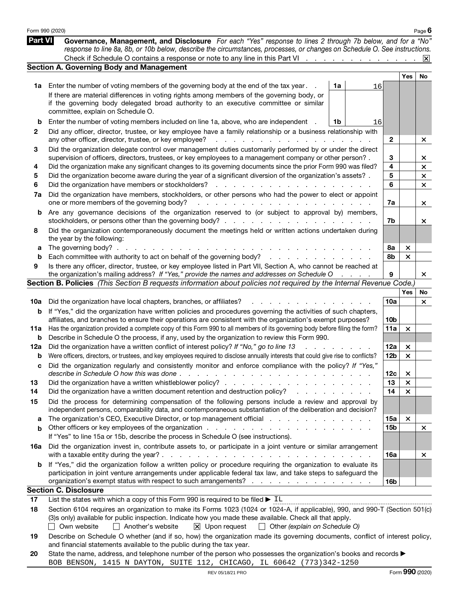|         | Form 990 (2020)                                                                                                                                                                                                                                                                                                                                                                         |                 |                           | Page $6$  |
|---------|-----------------------------------------------------------------------------------------------------------------------------------------------------------------------------------------------------------------------------------------------------------------------------------------------------------------------------------------------------------------------------------------|-----------------|---------------------------|-----------|
| Part VI | Governance, Management, and Disclosure For each "Yes" response to lines 2 through 7b below, and for a "No"<br>response to line 8a, 8b, or 10b below, describe the circumstances, processes, or changes on Schedule O. See instructions.                                                                                                                                                 |                 |                           |           |
|         | Check if Schedule O contains a response or note to any line in this Part VI X                                                                                                                                                                                                                                                                                                           |                 |                           |           |
|         | <b>Section A. Governing Body and Management</b>                                                                                                                                                                                                                                                                                                                                         |                 |                           |           |
|         |                                                                                                                                                                                                                                                                                                                                                                                         |                 | <b>Yes</b>                | <b>No</b> |
| 1a      | Enter the number of voting members of the governing body at the end of the tax year.<br>1a<br>16                                                                                                                                                                                                                                                                                        |                 |                           |           |
|         | If there are material differences in voting rights among members of the governing body, or                                                                                                                                                                                                                                                                                              |                 |                           |           |
|         | if the governing body delegated broad authority to an executive committee or similar<br>committee, explain on Schedule O.                                                                                                                                                                                                                                                               |                 |                           |           |
|         |                                                                                                                                                                                                                                                                                                                                                                                         |                 |                           |           |
| b       | Enter the number of voting members included on line 1a, above, who are independent<br>1b<br>16                                                                                                                                                                                                                                                                                          |                 |                           |           |
| 2       | Did any officer, director, trustee, or key employee have a family relationship or a business relationship with                                                                                                                                                                                                                                                                          |                 |                           |           |
|         | any other officer, director, trustee, or key employee?<br>the contract of the contract of the contract of the contract of the contract of the contract of the contract of                                                                                                                                                                                                               | $\mathbf{2}$    |                           | ×         |
| З       | Did the organization delegate control over management duties customarily performed by or under the direct                                                                                                                                                                                                                                                                               | 3               |                           |           |
| 4       | supervision of officers, directors, trustees, or key employees to a management company or other person?.<br>Did the organization make any significant changes to its governing documents since the prior Form 990 was filed?                                                                                                                                                            | 4               |                           | ×<br>×    |
| 5       | Did the organization become aware during the year of a significant diversion of the organization's assets?.                                                                                                                                                                                                                                                                             | 5               |                           | $\times$  |
| 6       | Did the organization have members or stockholders?<br>$\sim$<br>and a state                                                                                                                                                                                                                                                                                                             | 6               |                           | $\times$  |
| 7a      | Did the organization have members, stockholders, or other persons who had the power to elect or appoint                                                                                                                                                                                                                                                                                 |                 |                           |           |
|         | one or more members of the governing body?<br>.                                                                                                                                                                                                                                                                                                                                         | 7a              |                           | ×         |
| b       | Are any governance decisions of the organization reserved to (or subject to approval by) members,                                                                                                                                                                                                                                                                                       |                 |                           |           |
|         | stockholders, or persons other than the governing body?                                                                                                                                                                                                                                                                                                                                 | 7b              |                           | ×         |
| 8       | Did the organization contemporaneously document the meetings held or written actions undertaken during<br>the year by the following:                                                                                                                                                                                                                                                    |                 |                           |           |
| а       | The governing body? $\ldots$                                                                                                                                                                                                                                                                                                                                                            | 8а              | ×                         |           |
| b       | Each committee with authority to act on behalf of the governing body?<br>and a strain and a strain and                                                                                                                                                                                                                                                                                  | 8b              | $\times$                  |           |
| 9       | Is there any officer, director, trustee, or key employee listed in Part VII, Section A, who cannot be reached at                                                                                                                                                                                                                                                                        |                 |                           |           |
|         | the organization's mailing address? If "Yes," provide the names and addresses on Schedule O<br>and a state of                                                                                                                                                                                                                                                                           | 9               |                           | ×         |
|         | Section B. Policies (This Section B requests information about policies not required by the Internal Revenue Code.)                                                                                                                                                                                                                                                                     |                 |                           |           |
|         |                                                                                                                                                                                                                                                                                                                                                                                         |                 | Yes                       | No        |
| 10a     | Did the organization have local chapters, branches, or affiliates?                                                                                                                                                                                                                                                                                                                      | 10a             |                           | ×         |
| b       | If "Yes," did the organization have written policies and procedures governing the activities of such chapters,                                                                                                                                                                                                                                                                          |                 |                           |           |
|         | affiliates, and branches to ensure their operations are consistent with the organization's exempt purposes?                                                                                                                                                                                                                                                                             | 10 <sub>b</sub> |                           |           |
| 11a     | Has the organization provided a complete copy of this Form 990 to all members of its governing body before filing the form?                                                                                                                                                                                                                                                             | 11a             | $\times$                  |           |
| b       | Describe in Schedule O the process, if any, used by the organization to review this Form 990.                                                                                                                                                                                                                                                                                           |                 |                           |           |
| 12a     | Did the organization have a written conflict of interest policy? If "No," go to line 13                                                                                                                                                                                                                                                                                                 | 12a             | ×                         |           |
| b       | Were officers, directors, or trustees, and key employees required to disclose annually interests that could give rise to conflicts?                                                                                                                                                                                                                                                     | 12 <sub>b</sub> | $\times$                  |           |
|         | Did the organization regularly and consistently monitor and enforce compliance with the policy? If "Yes,<br>describe in Schedule O how this was done.<br>and the contract of the contract of the contract of the contract of the contract of the contract of the contract of the contract of the contract of the contract of the contract of the contract of the contract of the contra | 12 <sub>c</sub> | ×                         |           |
| 13      |                                                                                                                                                                                                                                                                                                                                                                                         | 13              | $\times$                  |           |
| 14      | Did the organization have a written document retention and destruction policy?                                                                                                                                                                                                                                                                                                          | 14              | $\boldsymbol{\mathsf{x}}$ |           |
| 15      | Did the process for determining compensation of the following persons include a review and approval by                                                                                                                                                                                                                                                                                  |                 |                           |           |
|         | independent persons, comparability data, and contemporaneous substantiation of the deliberation and decision?                                                                                                                                                                                                                                                                           |                 |                           |           |
| а       | The organization's CEO, Executive Director, or top management official enters and contact the organization's CEO, Executive Director, or top management official                                                                                                                                                                                                                        | 15a             | $\times$                  |           |
| b       |                                                                                                                                                                                                                                                                                                                                                                                         | 15b             |                           | ×         |
|         | If "Yes" to line 15a or 15b, describe the process in Schedule O (see instructions).                                                                                                                                                                                                                                                                                                     |                 |                           |           |
| 16а     | Did the organization invest in, contribute assets to, or participate in a joint venture or similar arrangement                                                                                                                                                                                                                                                                          |                 |                           |           |
|         |                                                                                                                                                                                                                                                                                                                                                                                         | 16a             |                           | ×         |
|         | <b>b</b> If "Yes," did the organization follow a written policy or procedure requiring the organization to evaluate its                                                                                                                                                                                                                                                                 |                 |                           |           |
|         | participation in joint venture arrangements under applicable federal tax law, and take steps to safeguard the                                                                                                                                                                                                                                                                           |                 |                           |           |
|         | organization's exempt status with respect to such arrangements?                                                                                                                                                                                                                                                                                                                         | 16 <sub>b</sub> |                           |           |
|         | <b>Section C. Disclosure</b>                                                                                                                                                                                                                                                                                                                                                            |                 |                           |           |
| 17      | List the states with which a copy of this Form 990 is required to be filed $\blacktriangleright$ IL                                                                                                                                                                                                                                                                                     |                 |                           |           |
| 18      | Section 6104 requires an organization to make its Forms 1023 (1024 or 1024-A, if applicable), 990, and 990-T (Section 501(c)<br>(3)s only) available for public inspection. Indicate how you made these available. Check all that apply.                                                                                                                                                |                 |                           |           |
|         | Another's website<br>$\boxtimes$ Upon request<br>Own website<br>$\Box$ Other (explain on Schedule O)<br>$\Box$                                                                                                                                                                                                                                                                          |                 |                           |           |
| 19      | Describe on Schedule O whether (and if so, how) the organization made its governing documents, conflict of interest policy,                                                                                                                                                                                                                                                             |                 |                           |           |
|         | and financial statements available to the public during the tax year.                                                                                                                                                                                                                                                                                                                   |                 |                           |           |
| 20      | State the name, address, and telephone number of the person who possesses the organization's books and records                                                                                                                                                                                                                                                                          |                 |                           |           |

|  |                                                                       |  | 20 State the name, address, and telephone number of the person who possesses the organization's books and records ▶ |
|--|-----------------------------------------------------------------------|--|---------------------------------------------------------------------------------------------------------------------|
|  | BOB BENSON, 1415 N DAYTON, SUITE 112, CHICAGO, IL 60642 (773)342-1250 |  |                                                                                                                     |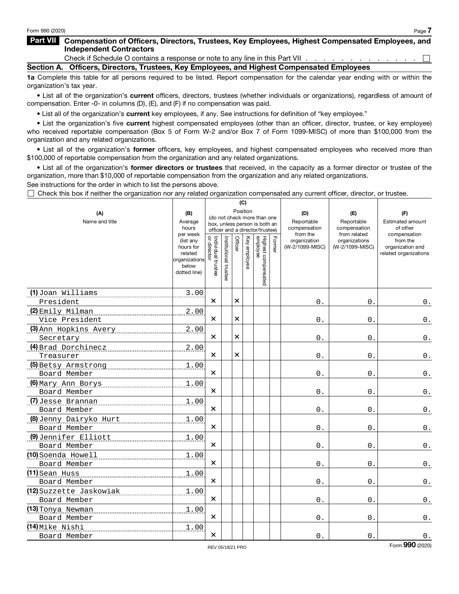#### Part VII Compensation of Officers, Directors, Trustees, Key Employees, Highest Compensated Employees, and Independent Contractors

Check if Schedule O contains a response or note to any line in this Part VII  $\ldots$ ,  $\ldots$ ,  $\ldots$ ,  $\ldots$ Section A. Officers, Directors, Trustees, Key Employees, and Highest Compensated Employees

1a Complete this table for all persons required to be listed. Report compensation for the calendar year ending with or within the organization's tax year.

• List all of the organization's current officers, directors, trustees (whether individuals or organizations), regardless of amount of compensation. Enter -0- in columns (D), (E), and (F) if no compensation was paid.

•List all of the organization's current key employees, if any. See instructions for definition of "key employee."

•List the organization's five current highest compensated employees (other than an officer, director, trustee, or key employee) who received reportable compensation (Box 5 of Form W-2 and/or Box 7 of Form 1099-MISC) of more than \$100,000 from the organization and any related organizations.

• List all of the organization's former officers, key employees, and highest compensated employees who received more than \$100,000 of reportable compensation from the organization and any related organizations.

•List all of the organization's former directors or trustees that received, in the capacity as a former director or trustee of the organization, more than \$10,000 of reportable compensation from the organization and any related organizations.

See instructions for the order in which to list the persons above.

 $\Box$  Check this box if neither the organization nor any related organization compensated any current officer, director, or trustee.

|                                                                                   |                                                                             |                                   |                       |          | (C)          |                                                                                                 |       |                                               |                                                   |                                                       |
|-----------------------------------------------------------------------------------|-----------------------------------------------------------------------------|-----------------------------------|-----------------------|----------|--------------|-------------------------------------------------------------------------------------------------|-------|-----------------------------------------------|---------------------------------------------------|-------------------------------------------------------|
| (A)<br>Name and title                                                             | (B)<br>Average<br>hours<br>per week                                         |                                   |                       |          | Position     | (do not check more than one<br>box, unless person is both an<br>officer and a director/trustee) |       | (D)<br>Reportable<br>compensation<br>from the | (E)<br>Reportable<br>compensation<br>from related | (F)<br>Estimated amount<br>of other<br>compensation   |
|                                                                                   | (list any<br>hours for<br>related<br>organizations<br>below<br>dotted line) | Individual trustee<br>or director | Institutional trustee | Officer  | Key employee | Highest compensated<br>employee                                                                 | Forme | organization<br>(W-2/1099-MISC)               | organizations<br>(W-2/1099-MISC)                  | from the<br>organization and<br>related organizations |
| (1) Joan Williams<br>President                                                    | 3.00                                                                        | ×                                 |                       | $\times$ |              |                                                                                                 |       | 0.                                            | 0.                                                | 0.                                                    |
| (2) Emily Milman                                                                  | 2.00                                                                        |                                   |                       |          |              |                                                                                                 |       |                                               |                                                   |                                                       |
| __________________________________<br>Vice President                              |                                                                             | ×                                 |                       | $\times$ |              |                                                                                                 |       | $0$ .                                         | 0.                                                | 0.                                                    |
| (3) Ann Hopkins Avery<br>Secretary                                                | 2.00                                                                        | ×                                 |                       | $\times$ |              |                                                                                                 |       | 0.                                            | 0.                                                | $\mathfrak o$ .                                       |
| (4) Brad Dorchinecz [2010]                                                        | 2.00                                                                        |                                   |                       |          |              |                                                                                                 |       |                                               |                                                   |                                                       |
| Treasurer                                                                         |                                                                             | ×                                 |                       | $\times$ |              |                                                                                                 |       | 0.                                            | 0.                                                | $\mathfrak o$ .                                       |
| (5) Betsy Armstrong [11] [12] Betsy Armstrong<br>Board Member                     | 1.00                                                                        | $\times$                          |                       |          |              |                                                                                                 |       | $0$ .                                         | 0.                                                | $\mathbf 0$ .                                         |
| <u>(6) Mary Ann Borys (6) Mary Ann Borys (6) Mary Ann Borys (6) Mary Ann an I</u> | 1.00                                                                        |                                   |                       |          |              |                                                                                                 |       |                                               |                                                   |                                                       |
| Board Member                                                                      |                                                                             | ×                                 |                       |          |              |                                                                                                 |       | 0.                                            | 0.                                                | $\mathbf 0$ .                                         |
| (7) Jesse Brannan (7) Jesse Brannan (2008)<br>Board Member                        | 1.00                                                                        | $\times$                          |                       |          |              |                                                                                                 |       | 0.                                            | 0.                                                | $\mathbf 0$ .                                         |
| (8) Jenny Dairyko Hurt<br>Board Member                                            | 1.00                                                                        | $\times$                          |                       |          |              |                                                                                                 |       | $0$ .                                         | 0.                                                | $\mathsf{0}$ .                                        |
| (9) Jennifer Elliott                                                              | 1.00                                                                        |                                   |                       |          |              |                                                                                                 |       |                                               |                                                   |                                                       |
| Board Member                                                                      |                                                                             | $\times$                          |                       |          |              |                                                                                                 |       | 0.                                            | 0.                                                | 0.                                                    |
| (10) Soenda Howell<br>Board Member                                                | 1.00                                                                        | $\times$                          |                       |          |              |                                                                                                 |       | 0.                                            | 0.                                                | $\mathbf 0$ .                                         |
| $(11)$ Sean Huss                                                                  | 1.00                                                                        |                                   |                       |          |              |                                                                                                 |       |                                               |                                                   |                                                       |
| Board Member                                                                      |                                                                             | $\boldsymbol{\times}$             |                       |          |              |                                                                                                 |       | $0$ .                                         | 0.                                                | $\mathbf 0$ .                                         |
| (12) Suzzette Jaskowiak<br>Board Member                                           | 1.00                                                                        | $\times$                          |                       |          |              |                                                                                                 |       | 0.                                            | 0.                                                | $0$ .                                                 |
| (13) Tonya Newman<br>_____________________________                                | 1.00                                                                        | $\times$                          |                       |          |              |                                                                                                 |       |                                               |                                                   |                                                       |
| Board Member                                                                      |                                                                             |                                   |                       |          |              |                                                                                                 |       | $0$ .                                         | 0.                                                | 0.                                                    |
| (14) Mike Nishi<br>Board Member                                                   | 1.00                                                                        | $\times$                          |                       |          |              |                                                                                                 |       | 0.                                            | 0.                                                | $\mathbf 0$ .                                         |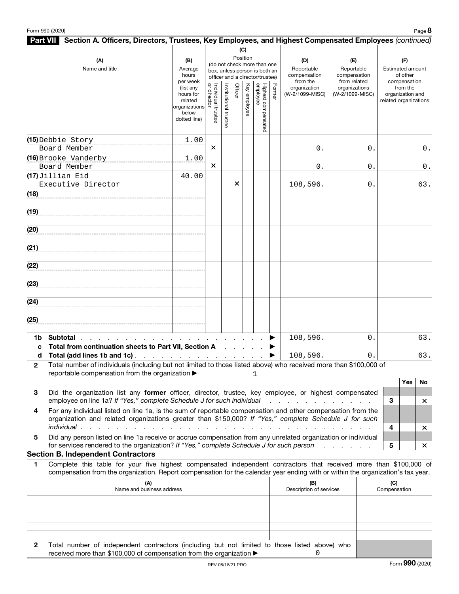| <b>Part VII</b> Section A. Officers, Directors, Trustees, Key Employees, and Highest Compensated Employees (continued)                                                                                                                                      |                                                                                         |                                     |                       |          |                 |                                                                                                 |        |                                             |                                                  |                                                                       |
|-------------------------------------------------------------------------------------------------------------------------------------------------------------------------------------------------------------------------------------------------------------|-----------------------------------------------------------------------------------------|-------------------------------------|-----------------------|----------|-----------------|-------------------------------------------------------------------------------------------------|--------|---------------------------------------------|--------------------------------------------------|-----------------------------------------------------------------------|
| (A)<br>Name and title                                                                                                                                                                                                                                       | (B)<br>Average<br>hours                                                                 |                                     |                       |          | (C)<br>Position | (do not check more than one<br>box, unless person is both an<br>officer and a director/trustee) |        | (D)<br>Reportable<br>compensation           | (E)<br>Reportable<br>compensation                | (F)<br>Estimated amount<br>of other                                   |
|                                                                                                                                                                                                                                                             | per week<br>(list any<br>hours for<br>related<br>organizations<br>below<br>dotted line) | ă<br>Individual trustee<br>director | Institutional trustee | Officer  | Key employee    | Highest compensated<br>employee                                                                 | Former | from the<br>organization<br>(W-2/1099-MISC) | from related<br>organizations<br>(W-2/1099-MISC) | compensation<br>from the<br>organization and<br>related organizations |
| (15) Debbie Story                                                                                                                                                                                                                                           | 1.00                                                                                    |                                     |                       |          |                 |                                                                                                 |        |                                             |                                                  |                                                                       |
| Board Member                                                                                                                                                                                                                                                |                                                                                         | $\times$                            |                       |          |                 |                                                                                                 |        | 0.                                          | 0.                                               | 0.                                                                    |
| (16) Brooke Vanderby                                                                                                                                                                                                                                        | 1.00                                                                                    |                                     |                       |          |                 |                                                                                                 |        |                                             |                                                  |                                                                       |
| Board Member                                                                                                                                                                                                                                                |                                                                                         | $\times$                            |                       |          |                 |                                                                                                 |        | 0.                                          | 0.                                               | $0$ .                                                                 |
| (17) Jillian Eid                                                                                                                                                                                                                                            | 40.00                                                                                   |                                     |                       | $\times$ |                 |                                                                                                 |        |                                             |                                                  |                                                                       |
| Executive Director                                                                                                                                                                                                                                          |                                                                                         |                                     |                       |          |                 |                                                                                                 |        | 108,596.                                    | 0.                                               | 63.                                                                   |
| (18)                                                                                                                                                                                                                                                        |                                                                                         |                                     |                       |          |                 |                                                                                                 |        |                                             |                                                  |                                                                       |
| (19)                                                                                                                                                                                                                                                        |                                                                                         |                                     |                       |          |                 |                                                                                                 |        |                                             |                                                  |                                                                       |
| (20)                                                                                                                                                                                                                                                        |                                                                                         |                                     |                       |          |                 |                                                                                                 |        |                                             |                                                  |                                                                       |
| (21)                                                                                                                                                                                                                                                        |                                                                                         |                                     |                       |          |                 |                                                                                                 |        |                                             |                                                  |                                                                       |
| (22)                                                                                                                                                                                                                                                        |                                                                                         |                                     |                       |          |                 |                                                                                                 |        |                                             |                                                  |                                                                       |
| (23)                                                                                                                                                                                                                                                        |                                                                                         |                                     |                       |          |                 |                                                                                                 |        |                                             |                                                  |                                                                       |
| (24)                                                                                                                                                                                                                                                        |                                                                                         |                                     |                       |          |                 |                                                                                                 |        |                                             |                                                  |                                                                       |
| (25)                                                                                                                                                                                                                                                        |                                                                                         |                                     |                       |          |                 |                                                                                                 |        |                                             |                                                  |                                                                       |
| Subtotal.<br>1b.                                                                                                                                                                                                                                            |                                                                                         |                                     |                       |          |                 |                                                                                                 |        | 108,596.                                    | $\mathbf 0$ .                                    | 63.                                                                   |
| Total from continuation sheets to Part VII, Section A<br>C<br>d                                                                                                                                                                                             |                                                                                         |                                     |                       |          |                 |                                                                                                 |        | 108,596.                                    | $\Omega$ .                                       | 63.                                                                   |
| Total (add lines 1b and 1c)<br>Total number of individuals (including but not limited to those listed above) who received more than \$100,000 of<br>$\mathbf{2}$<br>reportable compensation from the organization $\blacktriangleright$ 1                   |                                                                                         |                                     |                       |          |                 |                                                                                                 |        |                                             |                                                  |                                                                       |
|                                                                                                                                                                                                                                                             |                                                                                         |                                     |                       |          |                 |                                                                                                 |        |                                             |                                                  | Yes<br>No                                                             |
| Did the organization list any former officer, director, trustee, key employee, or highest compensated<br>3                                                                                                                                                  |                                                                                         |                                     |                       |          |                 |                                                                                                 |        |                                             |                                                  |                                                                       |
| employee on line 1a? If "Yes," complete Schedule J for such individual                                                                                                                                                                                      |                                                                                         |                                     |                       |          |                 |                                                                                                 |        | and a straight and a straight and           |                                                  | 3<br>×                                                                |
| For any individual listed on line 1a, is the sum of reportable compensation and other compensation from the<br>4<br>organization and related organizations greater than \$150,000? If "Yes," complete Schedule J for such                                   |                                                                                         |                                     |                       |          |                 |                                                                                                 |        |                                             |                                                  |                                                                       |
| individual.                                                                                                                                                                                                                                                 |                                                                                         |                                     |                       |          |                 |                                                                                                 |        |                                             |                                                  | 4<br>$\times$                                                         |
| Did any person listed on line 1a receive or accrue compensation from any unrelated organization or individual<br>5<br>for services rendered to the organization? If "Yes," complete Schedule J for such person                                              |                                                                                         |                                     |                       |          |                 |                                                                                                 |        |                                             |                                                  | 5<br>×                                                                |
| <b>Section B. Independent Contractors</b>                                                                                                                                                                                                                   |                                                                                         |                                     |                       |          |                 |                                                                                                 |        |                                             |                                                  |                                                                       |
| Complete this table for your five highest compensated independent contractors that received more than \$100,000 of<br>1<br>compensation from the organization. Report compensation for the calendar year ending with or within the organization's tax year. |                                                                                         |                                     |                       |          |                 |                                                                                                 |        |                                             |                                                  |                                                                       |
| (A)<br>Name and business address                                                                                                                                                                                                                            |                                                                                         |                                     |                       |          |                 |                                                                                                 |        | (B)<br>Description of services              |                                                  | (C)<br>Compensation                                                   |
|                                                                                                                                                                                                                                                             |                                                                                         |                                     |                       |          |                 |                                                                                                 |        |                                             |                                                  |                                                                       |
|                                                                                                                                                                                                                                                             |                                                                                         |                                     |                       |          |                 |                                                                                                 |        |                                             |                                                  |                                                                       |
|                                                                                                                                                                                                                                                             |                                                                                         |                                     |                       |          |                 |                                                                                                 |        |                                             |                                                  |                                                                       |

| Total number of independent contractors (including but not limited to those listed above) who |  |  |  |  |  |  |  |  |
|-----------------------------------------------------------------------------------------------|--|--|--|--|--|--|--|--|
| received more than \$100,000 of compensation from the organization $\blacktriangleright$      |  |  |  |  |  |  |  |  |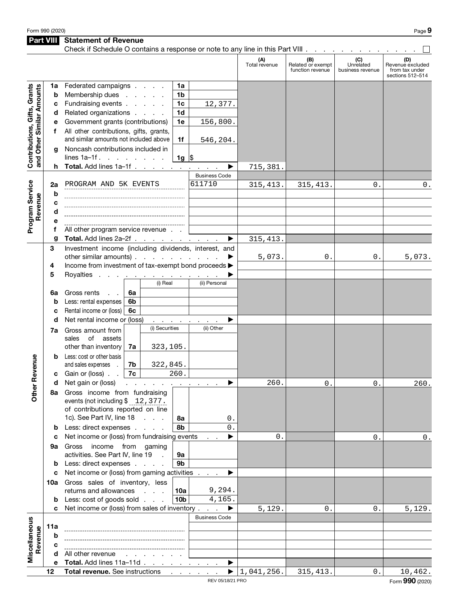Part VIII Statement of Revenue

|                                                           |        | Check if Schedule O contains a response or note to any line in this Part VIII |    |                                                 |                 |                      |                      |                                              |                                      |                                                               |
|-----------------------------------------------------------|--------|-------------------------------------------------------------------------------|----|-------------------------------------------------|-----------------|----------------------|----------------------|----------------------------------------------|--------------------------------------|---------------------------------------------------------------|
|                                                           |        |                                                                               |    |                                                 |                 |                      | (A)<br>Total revenue | (B)<br>Related or exempt<br>function revenue | (C)<br>Unrelated<br>business revenue | (D)<br>Revenue excluded<br>from tax under<br>sections 512-514 |
|                                                           | 1a     | Federated campaigns                                                           |    |                                                 | 1a              |                      |                      |                                              |                                      |                                                               |
| Contributions, Gifts, Grants<br>and Other Similar Amounts | b      | Membership dues                                                               |    | and the company                                 | 1b              |                      |                      |                                              |                                      |                                                               |
|                                                           | c      | Fundraising events                                                            |    |                                                 | 1 <sub>c</sub>  | 12,377.              |                      |                                              |                                      |                                                               |
|                                                           | d      | Related organizations<br>1 <sub>d</sub>                                       |    |                                                 |                 |                      |                      |                                              |                                      |                                                               |
|                                                           | е      | Government grants (contributions)                                             |    |                                                 | 1e              | 156,800.             |                      |                                              |                                      |                                                               |
|                                                           | f      | All other contributions, gifts, grants,                                       |    |                                                 |                 |                      |                      |                                              |                                      |                                                               |
|                                                           |        | and similar amounts not included above                                        |    |                                                 | 1f              | 546,204.             |                      |                                              |                                      |                                                               |
|                                                           | a      | Noncash contributions included in                                             |    |                                                 |                 |                      |                      |                                              |                                      |                                                               |
|                                                           |        | lines $1a-1f$ .                                                               |    |                                                 | 1g $ \$$        |                      |                      |                                              |                                      |                                                               |
|                                                           | h.     | Total. Add lines 1a-1f                                                        |    |                                                 |                 | ▶<br>$\mathbf{r}$    | 715,381.             |                                              |                                      |                                                               |
|                                                           |        |                                                                               |    |                                                 |                 | <b>Business Code</b> |                      |                                              |                                      |                                                               |
|                                                           | 2a     | PROGRAM AND 5K EVENTS                                                         |    |                                                 |                 | 611710               | 315, 413.            | 315, 413.                                    | 0.                                   | $\mathbf 0$ .                                                 |
|                                                           | b      |                                                                               |    |                                                 |                 |                      |                      |                                              |                                      |                                                               |
|                                                           | c      |                                                                               |    |                                                 |                 |                      |                      |                                              |                                      |                                                               |
| Revenue                                                   | d      |                                                                               |    |                                                 |                 |                      |                      |                                              |                                      |                                                               |
| Program Service                                           | е      |                                                                               |    |                                                 |                 |                      |                      |                                              |                                      |                                                               |
|                                                           | f<br>g | All other program service revenue<br>Total. Add lines 2a-2f                   |    |                                                 |                 | ▶                    | 315, 413.            |                                              |                                      |                                                               |
|                                                           | 3      | Investment income (including dividends, interest, and                         |    |                                                 |                 |                      |                      |                                              |                                      |                                                               |
|                                                           |        | other similar amounts)                                                        |    |                                                 |                 | ▶                    | 5,073.               | 0.                                           | 0.                                   | 5,073.                                                        |
|                                                           | 4      | Income from investment of tax-exempt bond proceeds >                          |    |                                                 |                 |                      |                      |                                              |                                      |                                                               |
|                                                           | 5      | Royalties                                                                     |    | the contract of the contract of the contract of |                 |                      |                      |                                              |                                      |                                                               |
|                                                           |        |                                                                               |    | (i) Real                                        |                 | (ii) Personal        |                      |                                              |                                      |                                                               |
|                                                           | 6а     | Gross rents                                                                   | 6a |                                                 |                 |                      |                      |                                              |                                      |                                                               |
|                                                           | b      | Less: rental expenses                                                         | 6b |                                                 |                 |                      |                      |                                              |                                      |                                                               |
|                                                           | C      | Rental income or (loss)                                                       | 6c |                                                 |                 |                      |                      |                                              |                                      |                                                               |
|                                                           | d      | Net rental income or (loss)                                                   |    | and a straightful and a straight                |                 | ▶                    |                      |                                              |                                      |                                                               |
|                                                           | 7a     | Gross amount from                                                             |    | (i) Securities                                  |                 | (ii) Other           |                      |                                              |                                      |                                                               |
|                                                           |        | of assets<br>sales                                                            |    |                                                 |                 |                      |                      |                                              |                                      |                                                               |
|                                                           |        | other than inventory                                                          | 7a | 323,105.                                        |                 |                      |                      |                                              |                                      |                                                               |
|                                                           | b      | Less: cost or other basis                                                     |    |                                                 |                 |                      |                      |                                              |                                      |                                                               |
| evenue                                                    |        | and sales expenses                                                            | 7b | 322,845.                                        |                 |                      |                      |                                              |                                      |                                                               |
| œ                                                         | c      | Gain or (loss).                                                               | 7c |                                                 | 260.            |                      |                      |                                              |                                      |                                                               |
| <b>Other</b>                                              | d      | Net gain or (loss)<br>Gross income from fundraising                           |    | and the contract of the contract of             |                 | ▸                    | 260.                 | 0.                                           | 0.                                   | 260.                                                          |
|                                                           | 8a l   | events (not including \$12,377.                                               |    |                                                 |                 |                      |                      |                                              |                                      |                                                               |
|                                                           |        | of contributions reported on line                                             |    |                                                 |                 |                      |                      |                                              |                                      |                                                               |
|                                                           |        | 1c). See Part IV, line 18                                                     |    |                                                 | 8a              | 0.                   |                      |                                              |                                      |                                                               |
|                                                           | b      | Less: direct expenses                                                         |    |                                                 | 8b              | 0.                   |                      |                                              |                                      |                                                               |
|                                                           | c      | Net income or (loss) from fundraising events                                  |    |                                                 |                 | ▶                    | 0.                   |                                              | 0.                                   | 0.                                                            |
|                                                           | 9а     | income from gaming<br>Gross                                                   |    |                                                 |                 |                      |                      |                                              |                                      |                                                               |
|                                                           |        | activities. See Part IV, line 19                                              |    | $\sim$                                          | 9a              |                      |                      |                                              |                                      |                                                               |
|                                                           | b      | Less: direct expenses                                                         |    |                                                 | 9b              |                      |                      |                                              |                                      |                                                               |
|                                                           | c      | Net income or (loss) from gaming activities                                   |    |                                                 |                 | ▶                    |                      |                                              |                                      |                                                               |
|                                                           |        | 10a Gross sales of inventory, less                                            |    |                                                 |                 |                      |                      |                                              |                                      |                                                               |
|                                                           |        | returns and allowances                                                        |    |                                                 | 10a             | 9,294.               |                      |                                              |                                      |                                                               |
|                                                           | b      | Less: cost of goods sold                                                      |    |                                                 | 10 <sub>b</sub> | 4,165.               |                      |                                              |                                      |                                                               |
|                                                           | c      | Net income or (loss) from sales of inventory.                                 |    |                                                 |                 | ▶                    | 5,129.               | 0.                                           | 0.                                   | 5,129.                                                        |
| Miscellaneous                                             | 11a    |                                                                               |    |                                                 |                 | <b>Business Code</b> |                      |                                              |                                      |                                                               |
| Revenue                                                   | b      |                                                                               |    |                                                 |                 |                      |                      |                                              |                                      |                                                               |
|                                                           | с      |                                                                               |    |                                                 |                 |                      |                      |                                              |                                      |                                                               |
|                                                           | d      | All other revenue                                                             |    | and the company of the com-                     |                 |                      |                      |                                              |                                      |                                                               |
|                                                           | е      | Total. Add lines 11a-11d                                                      |    |                                                 |                 | ▶                    |                      |                                              |                                      |                                                               |
|                                                           | 12     | Total revenue. See instructions                                               |    |                                                 |                 | ▶                    | 1,041,256.           | 315, 413.                                    | 0.                                   | 10,462.                                                       |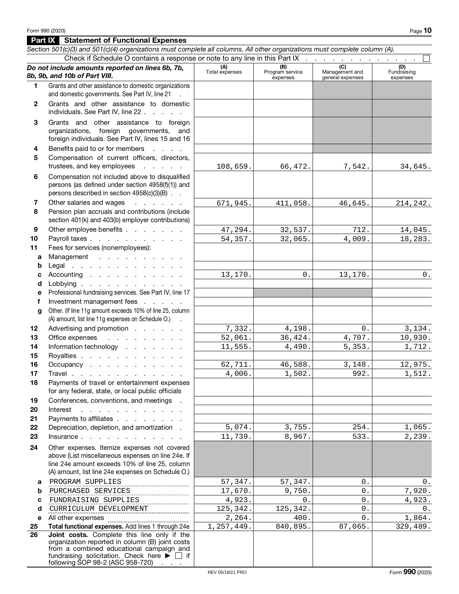Part IX Statement of Functional Expenses

#### Section 501(c)(3) and 501(c)(4) organizations must complete all columns. All other organizations must complete column (A). Check if Schedule O contains a response or note to any line in this Part IX . Do not include amounts reported on lines 6b, 7b, 8b, 9b, and 10b of Part VIII. (A) Total expenses (B) Program service expenses  $\overline{(c)}$ Management and general expenses  $\overline{(D)}$ Fundraising expenses 1 Grants and other assistance to domestic organizations and domestic governments. See Part IV, line 21 2 Grants and other assistance to domestic individuals. See Part IV, line 22 . . . . . 3 Grants and other assistance to foreign organizations, foreign governments, and foreign individuals. See Part IV, lines 15 and 16 4 Benefits paid to or for members . . . . 5 Compensation of current officers, directors, trustees, and key employees . . . . . 6 Compensation not included above to disqualified persons (as defined under section 4958(f)(1)) and persons described in section 4958(c)(3)(B) . . 7 Other salaries and wages . . . . . . 8 Pension plan accruals and contributions (include section 401(k) and 403(b) employer contributions) 9 Other employee benefits . . . . . . . 10 Payroll taxes . . . . . . . . . . . 11 Fees for services (nonemployees): a Management . . . . . . . . . **b** Legal . . . . . . . . . . . . . c Accounting . . . . . . . . . . . d Lobbying . . . . . . . . . . . e Professional fundraising services. See Part IV, line 17 f Investment management fees . . . . . g Other. (If line 11g amount exceeds 10% of line 25, column (A) amount, list line 11g expenses on Schedule O.) . 12 Advertising and promotion . . . . . . 13 Office expenses . . . . . . . . . 14 Information technology . . . . . . . 15 Royalties . . . . . . . . . . . 16 Occupancy . . . . . . . . . . . 17 Travel . . . . . . . . . . . . . 18 Payments of travel or entertainment expenses for any federal, state, or local public officials 19 Conferences, conventions, and meetings . 20 Interest . . . . . . . . . . . 21 Payments to affiliates . . . . . . . . 22 Depreciation, depletion, and amortization. 23 Insurance . . . . . . . . . . . . 24 Other expenses. Itemize expenses not covered above (List miscellaneous expenses on line 24e. If line 24e amount exceeds 10% of line 25, column (A) amount, list line 24e expenses on Schedule O.) **a** PROGRAM SUPPLIES (1999) 57,347. 57,347. b c d e All other expenses 25 Total functional expenses. Add lines 1 through 24e 26 **Joint costs.** Complete this line only if the organization reported in column (B) joint costs from a combined educational campaign and fundraising solicitation. Check here  $\blacktriangleright \Box$  if following SOP 98-2 (ASC 958-720)  $\overline{\phantom{a}}$ . 66,472. 7,542. 34,645.  $411,058.$   $46,645.$   $214,242.$  $32,537.$   $712.$  14,045.  $32,065.$   $4,009.$   $18,283.$  $0.$  13,170. 0. 46,588. 3,148. 12,975.<br>1,502. 992. 1,512.  $\begin{array}{c|cccc} 4,198. & 0. & 3,134. \\ \hline 6,424. & 4,707. & 10,930. \end{array}$ 1,512. 4,490. 5,353. 1,712.  $8,967.$   $533.$   $2,239.$  $3,755.$  254. 1,065.  $36,424.$   $4,707.$ 108,659. 671,945. 47,294. 54,357. 13,170. 7,332. 52,061. 11,555. 62,711. 4,006.  $5,074.$ 11,739.  $\begin{array}{c|cccc} 2,264. & 400. & 0. & 1,864. \ \hline 7,449. & 840.895. & 87.065. & 329.489. \end{array}$  $1,257,449.$  840,895. 87,065. 329,489. PURCHASED SERVICES 17,670. 9,750. 0. 7,920. FUNDRAISING SUPPLIES 4,923. 0. 0. 4,923. CURRICULUM DEVELOPMENT 125,342. 125,342. 0.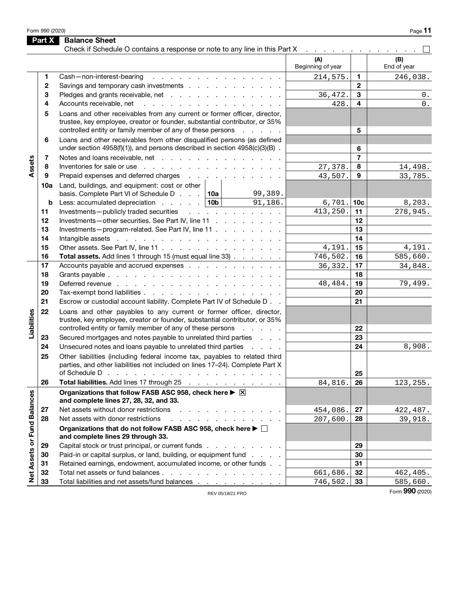Form 990 (2020) Page  $11$ 

|                             | Part X | <b>Balance Sheet</b>                                                                                                                                                                                                                                         |                                                 |                 |             |
|-----------------------------|--------|--------------------------------------------------------------------------------------------------------------------------------------------------------------------------------------------------------------------------------------------------------------|-------------------------------------------------|-----------------|-------------|
|                             |        | Check if Schedule O contains a response or note to any line in this Part X                                                                                                                                                                                   | and a series of the contract of the con-<br>(A) |                 | (B)         |
|                             |        |                                                                                                                                                                                                                                                              | Beginning of year                               |                 | End of year |
|                             | 1.     | Cash-non-interest-bearing<br>design and a state of the state of the state of the                                                                                                                                                                             | 214,575.                                        | 1.              | 246,038.    |
|                             | 2      | Savings and temporary cash investments                                                                                                                                                                                                                       |                                                 | $\mathbf{2}$    |             |
|                             | 3      | Pledges and grants receivable, net                                                                                                                                                                                                                           | 36,472.                                         | 3               | 0.          |
|                             | 4      | Accounts receivable, net<br>and the contract of the contract of the contract of                                                                                                                                                                              | 428.                                            | 4               | $0$ .       |
|                             | 5      | Loans and other receivables from any current or former officer, director,<br>trustee, key employee, creator or founder, substantial contributor, or 35%<br>controlled entity or family member of any of these persons<br>and a state of                      |                                                 | 5               |             |
|                             | 6      | Loans and other receivables from other disqualified persons (as defined<br>under section $4958(f)(1)$ ), and persons described in section $4958(c)(3)(B)$ .                                                                                                  |                                                 | 6               |             |
|                             | 7      | Notes and loans receivable, net                                                                                                                                                                                                                              |                                                 | $\overline{7}$  |             |
| Assets                      | 8      | Inventories for sale or use recovery and the contract of the sale or use of the contract of the contract of the contract of the contract of the contract of the contract of the contract of the contract of the contract of th                               | 27,378.                                         | 8               | 14,498.     |
|                             | 9      | Prepaid expenses and deferred charges                                                                                                                                                                                                                        | 43,507.                                         | 9               | 33,785.     |
|                             | 10a    | Land, buildings, and equipment: cost or other<br>basis. Complete Part VI of Schedule D. $\,$ . $\,$ 10a<br>99,389.                                                                                                                                           |                                                 |                 |             |
|                             | b      | Less: accumulated depreciation $\ldots$ 10b<br>91,186.                                                                                                                                                                                                       | 6,701.                                          | 10 <sub>c</sub> | 8,203.      |
|                             | 11     | Investments-publicly traded securities<br>and a strong contract and a strong                                                                                                                                                                                 | 413,250.                                        | 11              | 278,945.    |
|                             | 12     | Investments-other securities. See Part IV, line 11                                                                                                                                                                                                           |                                                 | 12              |             |
|                             | 13     | Investments-program-related. See Part IV, line 11                                                                                                                                                                                                            |                                                 | 13              |             |
|                             | 14     |                                                                                                                                                                                                                                                              |                                                 | 14              |             |
|                             | 15     | Other assets. See Part IV, line 11                                                                                                                                                                                                                           | 4,191.                                          | 15              | 4,191.      |
|                             | 16     | Total assets. Add lines 1 through 15 (must equal line 33)                                                                                                                                                                                                    | 746,502.                                        | 16              | 585,660.    |
|                             | 17     | Accounts payable and accrued expenses                                                                                                                                                                                                                        | 36, 332.                                        | 17              | 34,848.     |
|                             | 18     |                                                                                                                                                                                                                                                              |                                                 | 18              |             |
|                             | 19     |                                                                                                                                                                                                                                                              | 48, 484.                                        | 19              | 79,499.     |
|                             | 20     | Tax-exempt bond liabilities                                                                                                                                                                                                                                  |                                                 | 20              |             |
|                             | 21     | Escrow or custodial account liability. Complete Part IV of Schedule D. .                                                                                                                                                                                     |                                                 | 21              |             |
| Liabilities                 | 22     | Loans and other payables to any current or former officer, director,<br>trustee, key employee, creator or founder, substantial contributor, or 35%                                                                                                           |                                                 |                 |             |
|                             |        | controlled entity or family member of any of these persons<br><b>Contractor</b>                                                                                                                                                                              |                                                 | 22              |             |
|                             | 23     | Secured mortgages and notes payable to unrelated third parties                                                                                                                                                                                               |                                                 | 23              |             |
|                             | 24     | Unsecured notes and loans payable to unrelated third parties<br><b>Contractor</b>                                                                                                                                                                            |                                                 | 24              | 8,908.      |
|                             | 25     | Other liabilities (including federal income tax, payables to related third<br>parties, and other liabilities not included on lines 17-24). Complete Part X<br>of Schedule D $\cdots$ $\cdots$ $\cdots$ $\cdots$ $\cdots$ $\cdots$ $\cdots$ $\cdots$ $\cdots$ |                                                 | 25              |             |
|                             | 26     | Total liabilities. Add lines 17 through 25                                                                                                                                                                                                                   | 84,816.                                         | 26              | 123, 255.   |
|                             |        | Organizations that follow FASB ASC 958, check here ▶ ⊠<br>and complete lines 27, 28, 32, and 33.                                                                                                                                                             |                                                 |                 |             |
|                             | 27     | Net assets without donor restrictions<br>design and a state of the state of the                                                                                                                                                                              | 454,086.                                        | 27              | 422,487.    |
|                             | 28     | Net assets with donor restrictions<br>a construction of the contract of the con-                                                                                                                                                                             | 207,600.                                        | 28              | 39,918.     |
| Net Assets or Fund Balances |        | Organizations that do not follow FASB ASC 958, check here ▶ □<br>and complete lines 29 through 33.                                                                                                                                                           |                                                 |                 |             |
|                             | 29     | Capital stock or trust principal, or current funds                                                                                                                                                                                                           |                                                 | 29              |             |
|                             | 30     | Paid-in or capital surplus, or land, building, or equipment fund                                                                                                                                                                                             |                                                 | 30              |             |
|                             | 31     | Retained earnings, endowment, accumulated income, or other funds                                                                                                                                                                                             |                                                 | 31              |             |
|                             | 32     | Total net assets or fund balances                                                                                                                                                                                                                            | 661,686.                                        | 32              | 462,405.    |
|                             | 33     | Total liabilities and net assets/fund balances                                                                                                                                                                                                               | 746,502.                                        | 33              | 585,660.    |

REV 05/18/21 PRO

Form 990 (2020)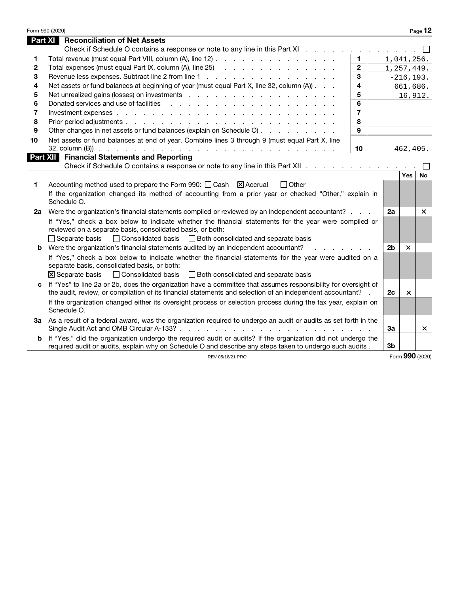|              | Form 990 (2020)                                                                                                                                                                                                               |                |                |                           | Page 12         |
|--------------|-------------------------------------------------------------------------------------------------------------------------------------------------------------------------------------------------------------------------------|----------------|----------------|---------------------------|-----------------|
|              | Part XI<br><b>Reconciliation of Net Assets</b>                                                                                                                                                                                |                |                |                           |                 |
|              | Check if Schedule O contains a response or note to any line in this Part XI                                                                                                                                                   |                |                |                           |                 |
| 1            | Total revenue (must equal Part VIII, column (A), line 12)                                                                                                                                                                     | $\mathbf{1}$   |                |                           | 1,041,256.      |
| $\mathbf{2}$ | Total expenses (must equal Part IX, column (A), line 25) (and a contact of the contact of the contact of the contact of the contact of the contact of the contact of the contact of the contact of the contact of the contact | $\mathbf{2}$   |                |                           | 1, 257, 449.    |
| 3            |                                                                                                                                                                                                                               | 3              |                |                           | $-216, 193.$    |
| 4            | Net assets or fund balances at beginning of year (must equal Part X, line 32, column (A))                                                                                                                                     | 4              |                |                           | 661,686.        |
| 5            |                                                                                                                                                                                                                               | 5              |                |                           | 16,912.         |
| 6            | Donated services and use of facilities<br>and the contract of the contract of the contract of the contract of                                                                                                                 | 6              |                |                           |                 |
| 7            |                                                                                                                                                                                                                               | $\overline{7}$ |                |                           |                 |
| 8            |                                                                                                                                                                                                                               | 8              |                |                           |                 |
| 9            | Other changes in net assets or fund balances (explain on Schedule O)                                                                                                                                                          | 9              |                |                           |                 |
| 10           | Net assets or fund balances at end of year. Combine lines 3 through 9 (must equal Part X, line                                                                                                                                |                |                |                           |                 |
|              |                                                                                                                                                                                                                               | 10             |                | 462,405.                  |                 |
|              | <b>Part XII</b> Financial Statements and Reporting                                                                                                                                                                            |                |                |                           |                 |
|              | Check if Schedule O contains a response or note to any line in this Part XII                                                                                                                                                  |                |                |                           |                 |
|              |                                                                                                                                                                                                                               |                |                | Yes                       | No              |
| 1            | Accounting method used to prepare the Form 990: $\Box$ Cash $\Box$ Accrual<br>$\Box$ Other                                                                                                                                    |                |                |                           |                 |
|              | If the organization changed its method of accounting from a prior year or checked "Other," explain in                                                                                                                         |                |                |                           |                 |
|              | Schedule O.                                                                                                                                                                                                                   |                |                |                           |                 |
| 2a           | Were the organization's financial statements compiled or reviewed by an independent accountant?                                                                                                                               |                | 2a             |                           | ×               |
|              | If "Yes," check a box below to indicate whether the financial statements for the year were compiled or                                                                                                                        |                |                |                           |                 |
|              | reviewed on a separate basis, consolidated basis, or both:                                                                                                                                                                    |                |                |                           |                 |
|              | □ Consolidated basis □ Both consolidated and separate basis<br>$\Box$ Separate basis                                                                                                                                          |                |                |                           |                 |
|              | <b>b</b> Were the organization's financial statements audited by an independent accountant?                                                                                                                                   |                | 2 <sub>b</sub> | $\boldsymbol{\times}$     |                 |
|              | If "Yes," check a box below to indicate whether the financial statements for the year were audited on a                                                                                                                       |                |                |                           |                 |
|              | separate basis, consolidated basis, or both:                                                                                                                                                                                  |                |                |                           |                 |
|              | □ Consolidated basis<br>$\overline{X}$ Separate basis<br>Both consolidated and separate basis                                                                                                                                 |                |                |                           |                 |
| C            | If "Yes" to line 2a or 2b, does the organization have a committee that assumes responsibility for oversight of                                                                                                                |                |                |                           |                 |
|              | the audit, review, or compilation of its financial statements and selection of an independent accountant? .                                                                                                                   |                | 2с             | $\boldsymbol{\mathsf{x}}$ |                 |
|              | If the organization changed either its oversight process or selection process during the tax year, explain on                                                                                                                 |                |                |                           |                 |
|              | Schedule O.                                                                                                                                                                                                                   |                |                |                           |                 |
|              | 3a As a result of a federal award, was the organization required to undergo an audit or audits as set forth in the                                                                                                            |                |                |                           |                 |
|              |                                                                                                                                                                                                                               |                | За             |                           | ×               |
| b            | If "Yes," did the organization undergo the required audit or audits? If the organization did not undergo the                                                                                                                  |                |                |                           |                 |
|              | required audit or audits, explain why on Schedule O and describe any steps taken to undergo such audits.                                                                                                                      |                | 3b             |                           |                 |
|              | REV 05/18/21 PRO                                                                                                                                                                                                              |                |                |                           | Form 990 (2020) |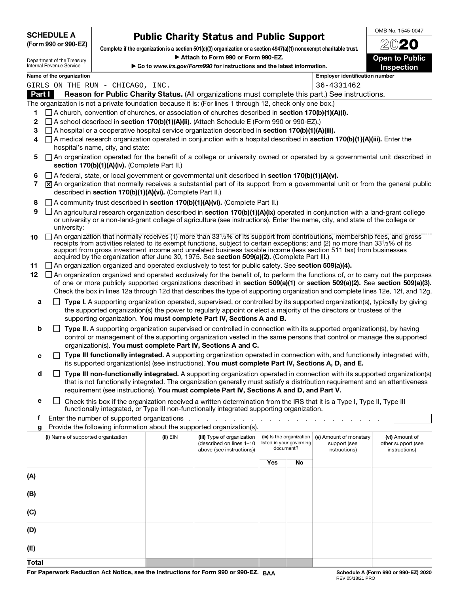| <b>SCHEDULE A</b> |                      |
|-------------------|----------------------|
|                   | (Form 990 or 990-EZ) |

# Public Charity Status and Public Support

OMB No. 1545-0047 2020

**Open to Public** 

| Department of the Treasury |  |
|----------------------------|--|
| Internal Revenue Service   |  |

(D)

(E) **Total**  Complete if the organization is a section 501(c)(3) organization or a section 4947(a)(1) nonexempt charitable trust. Attach to Form 990 or Form 990-EZ.

| Internal Revenue Service<br>Go to www.irs.gov/Form990 for instructions and the latest information. |                                                                                                                                                                            |                                               |                                                            |                                                                                                                                                                                                                                                                                                                                                                                                                                                                                |     | Inspection                                                        |                                                         |                                                       |
|----------------------------------------------------------------------------------------------------|----------------------------------------------------------------------------------------------------------------------------------------------------------------------------|-----------------------------------------------|------------------------------------------------------------|--------------------------------------------------------------------------------------------------------------------------------------------------------------------------------------------------------------------------------------------------------------------------------------------------------------------------------------------------------------------------------------------------------------------------------------------------------------------------------|-----|-------------------------------------------------------------------|---------------------------------------------------------|-------------------------------------------------------|
| Name of the organization<br><b>Employer identification number</b>                                  |                                                                                                                                                                            |                                               |                                                            |                                                                                                                                                                                                                                                                                                                                                                                                                                                                                |     |                                                                   |                                                         |                                                       |
|                                                                                                    | GIRLS ON THE RUN - CHICAGO, INC.                                                                                                                                           |                                               |                                                            |                                                                                                                                                                                                                                                                                                                                                                                                                                                                                |     |                                                                   | 36-4331462                                              |                                                       |
|                                                                                                    | Part I<br>Reason for Public Charity Status. (All organizations must complete this part.) See instructions.                                                                 |                                               |                                                            |                                                                                                                                                                                                                                                                                                                                                                                                                                                                                |     |                                                                   |                                                         |                                                       |
|                                                                                                    |                                                                                                                                                                            |                                               |                                                            | The organization is not a private foundation because it is: (For lines 1 through 12, check only one box.)                                                                                                                                                                                                                                                                                                                                                                      |     |                                                                   |                                                         |                                                       |
| 1                                                                                                  |                                                                                                                                                                            |                                               |                                                            | $\Box$ A church, convention of churches, or association of churches described in <b>section 170(b)(1)(A)(i).</b>                                                                                                                                                                                                                                                                                                                                                               |     |                                                                   |                                                         |                                                       |
| 2                                                                                                  |                                                                                                                                                                            |                                               |                                                            | $\Box$ A school described in section 170(b)(1)(A)(ii). (Attach Schedule E (Form 990 or 990-EZ).)                                                                                                                                                                                                                                                                                                                                                                               |     |                                                                   |                                                         |                                                       |
| 3                                                                                                  |                                                                                                                                                                            |                                               |                                                            | $\Box$ A hospital or a cooperative hospital service organization described in <b>section 170(b)(1)(A)(iii).</b><br>$\Box$ A medical research organization operated in conjunction with a hospital described in section 170(b)(1)(A)(iii). Enter the                                                                                                                                                                                                                            |     |                                                                   |                                                         |                                                       |
| 4                                                                                                  |                                                                                                                                                                            | hospital's name, city, and state:             |                                                            |                                                                                                                                                                                                                                                                                                                                                                                                                                                                                |     |                                                                   |                                                         |                                                       |
| 5                                                                                                  | An organization operated for the benefit of a college or university owned or operated by a governmental unit described in<br>section 170(b)(1)(A)(iv). (Complete Part II.) |                                               |                                                            |                                                                                                                                                                                                                                                                                                                                                                                                                                                                                |     |                                                                   |                                                         |                                                       |
| 6                                                                                                  |                                                                                                                                                                            |                                               |                                                            | $\Box$ A federal, state, or local government or governmental unit described in section 170(b)(1)(A)(v).                                                                                                                                                                                                                                                                                                                                                                        |     |                                                                   |                                                         |                                                       |
| 7                                                                                                  |                                                                                                                                                                            |                                               |                                                            | $[\overline{x}]$ An organization that normally receives a substantial part of its support from a governmental unit or from the general public                                                                                                                                                                                                                                                                                                                                  |     |                                                                   |                                                         |                                                       |
|                                                                                                    |                                                                                                                                                                            |                                               | described in section 170(b)(1)(A)(vi). (Complete Part II.) |                                                                                                                                                                                                                                                                                                                                                                                                                                                                                |     |                                                                   |                                                         |                                                       |
| 8                                                                                                  |                                                                                                                                                                            |                                               |                                                            | A community trust described in section 170(b)(1)(A)(vi). (Complete Part II.)                                                                                                                                                                                                                                                                                                                                                                                                   |     |                                                                   |                                                         |                                                       |
| 9                                                                                                  | university:                                                                                                                                                                |                                               |                                                            | An agricultural research organization described in section 170(b)(1)(A)(ix) operated in conjunction with a land-grant college<br>or university or a non-land-grant college of agriculture (see instructions). Enter the name, city, and state of the college or                                                                                                                                                                                                                |     |                                                                   |                                                         |                                                       |
| 10                                                                                                 |                                                                                                                                                                            |                                               |                                                            | An organization that normally receives (1) more than 331/3% of its support from contributions, membership fees, and gross<br>receipts from activities related to its exempt functions, subject to certain exceptions; and (2) no more than 331/3% of its<br>support from gross investment income and unrelated business taxable income (less section 511 tax) from businesses<br>acquired by the organization after June 30, 1975. See section 509(a)(2). (Complete Part III.) |     |                                                                   |                                                         |                                                       |
| 11                                                                                                 |                                                                                                                                                                            |                                               |                                                            | $\Box$ An organization organized and operated exclusively to test for public safety. See section 509(a)(4).                                                                                                                                                                                                                                                                                                                                                                    |     |                                                                   |                                                         |                                                       |
| 12                                                                                                 |                                                                                                                                                                            |                                               |                                                            | $\Box$ An organization organized and operated exclusively for the benefit of, to perform the functions of, or to carry out the purposes                                                                                                                                                                                                                                                                                                                                        |     |                                                                   |                                                         |                                                       |
|                                                                                                    |                                                                                                                                                                            |                                               |                                                            | of one or more publicly supported organizations described in section 509(a)(1) or section 509(a)(2). See section 509(a)(3).<br>Check the box in lines 12a through 12d that describes the type of supporting organization and complete lines 12e, 12f, and 12g.                                                                                                                                                                                                                 |     |                                                                   |                                                         |                                                       |
| a                                                                                                  |                                                                                                                                                                            |                                               |                                                            | Type I. A supporting organization operated, supervised, or controlled by its supported organization(s), typically by giving<br>the supported organization(s) the power to regularly appoint or elect a majority of the directors or trustees of the<br>supporting organization. You must complete Part IV, Sections A and B.                                                                                                                                                   |     |                                                                   |                                                         |                                                       |
| b                                                                                                  |                                                                                                                                                                            |                                               |                                                            | Type II. A supporting organization supervised or controlled in connection with its supported organization(s), by having<br>control or management of the supporting organization vested in the same persons that control or manage the supported<br>organization(s). You must complete Part IV, Sections A and C.                                                                                                                                                               |     |                                                                   |                                                         |                                                       |
| c                                                                                                  |                                                                                                                                                                            |                                               |                                                            | Type III functionally integrated. A supporting organization operated in connection with, and functionally integrated with,<br>its supported organization(s) (see instructions). You must complete Part IV, Sections A, D, and E.                                                                                                                                                                                                                                               |     |                                                                   |                                                         |                                                       |
| d                                                                                                  |                                                                                                                                                                            |                                               |                                                            | Type III non-functionally integrated. A supporting organization operated in connection with its supported organization(s)                                                                                                                                                                                                                                                                                                                                                      |     |                                                                   |                                                         |                                                       |
|                                                                                                    |                                                                                                                                                                            |                                               |                                                            | that is not functionally integrated. The organization generally must satisfy a distribution requirement and an attentiveness<br>requirement (see instructions). You must complete Part IV, Sections A and D, and Part V.                                                                                                                                                                                                                                                       |     |                                                                   |                                                         |                                                       |
| е                                                                                                  |                                                                                                                                                                            |                                               |                                                            | Check this box if the organization received a written determination from the IRS that it is a Type I, Type II, Type III<br>functionally integrated, or Type III non-functionally integrated supporting organization.                                                                                                                                                                                                                                                           |     |                                                                   |                                                         |                                                       |
| f.                                                                                                 |                                                                                                                                                                            | Enter the number of supported organizations . |                                                            | $\sim$<br>the contract of the contract of the contract of the contract of the contract of the contract of the contract of                                                                                                                                                                                                                                                                                                                                                      |     |                                                                   |                                                         |                                                       |
| g                                                                                                  |                                                                                                                                                                            |                                               |                                                            | Provide the following information about the supported organization(s).                                                                                                                                                                                                                                                                                                                                                                                                         |     |                                                                   |                                                         |                                                       |
|                                                                                                    | (i) Name of supported organization                                                                                                                                         |                                               | $(ii)$ $EIN$                                               | (iii) Type of organization<br>(described on lines 1-10<br>above (see instructions))                                                                                                                                                                                                                                                                                                                                                                                            |     | (iv) Is the organization<br>listed in your governing<br>document? | (v) Amount of monetary<br>support (see<br>instructions) | (vi) Amount of<br>other support (see<br>instructions) |
|                                                                                                    |                                                                                                                                                                            |                                               |                                                            |                                                                                                                                                                                                                                                                                                                                                                                                                                                                                | Yes | No                                                                |                                                         |                                                       |
| (A)                                                                                                |                                                                                                                                                                            |                                               |                                                            |                                                                                                                                                                                                                                                                                                                                                                                                                                                                                |     |                                                                   |                                                         |                                                       |
| (B)                                                                                                |                                                                                                                                                                            |                                               |                                                            |                                                                                                                                                                                                                                                                                                                                                                                                                                                                                |     |                                                                   |                                                         |                                                       |
| (C)                                                                                                |                                                                                                                                                                            |                                               |                                                            |                                                                                                                                                                                                                                                                                                                                                                                                                                                                                |     |                                                                   |                                                         |                                                       |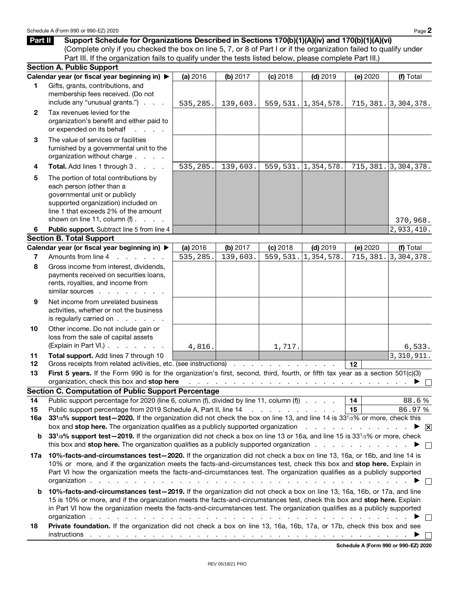Part II Support Schedule for Organizations Described in Sections 170(b)(1)(A)(iv) and 170(b)(1)(A)(vi) (Complete only if you checked the box on line 5, 7, or 8 of Part I or if the organization failed to qualify under Part III. If the organization fails to qualify under the tests listed below, please complete Part III.)

|              | <b>Section A. Public Support</b>                                                                                                                                                                                                                                                                                                                                                                                                                                                                                                                                                                                              |          |          |            |                                                                                                                                                                                                                                |          |                                      |
|--------------|-------------------------------------------------------------------------------------------------------------------------------------------------------------------------------------------------------------------------------------------------------------------------------------------------------------------------------------------------------------------------------------------------------------------------------------------------------------------------------------------------------------------------------------------------------------------------------------------------------------------------------|----------|----------|------------|--------------------------------------------------------------------------------------------------------------------------------------------------------------------------------------------------------------------------------|----------|--------------------------------------|
|              | Calendar year (or fiscal year beginning in) ▶                                                                                                                                                                                                                                                                                                                                                                                                                                                                                                                                                                                 | (a) 2016 | (b) 2017 | $(c)$ 2018 | $(d)$ 2019                                                                                                                                                                                                                     | (e) 2020 | (f) Total                            |
| 1            | Gifts, grants, contributions, and<br>membership fees received. (Do not<br>include any "unusual grants.")                                                                                                                                                                                                                                                                                                                                                                                                                                                                                                                      | 535,285. | 139,603. |            | 559, 531.  1, 354, 578.                                                                                                                                                                                                        |          | 715, 381.   3, 304, 378.             |
| $\mathbf{2}$ | Tax revenues levied for the<br>organization's benefit and either paid to<br>or expended on its behalf<br><b>Service Control</b>                                                                                                                                                                                                                                                                                                                                                                                                                                                                                               |          |          |            |                                                                                                                                                                                                                                |          |                                      |
| 3            | The value of services or facilities<br>furnished by a governmental unit to the<br>organization without charge                                                                                                                                                                                                                                                                                                                                                                                                                                                                                                                 |          |          |            |                                                                                                                                                                                                                                |          |                                      |
| 4            | Total. Add lines 1 through 3.                                                                                                                                                                                                                                                                                                                                                                                                                                                                                                                                                                                                 | 535,285. | 139,603. |            | 559, 531.  1, 354, 578.                                                                                                                                                                                                        |          | 715, 381.   3, 304, 378.             |
| 5            | The portion of total contributions by<br>each person (other than a<br>governmental unit or publicly<br>supported organization) included on<br>line 1 that exceeds 2% of the amount                                                                                                                                                                                                                                                                                                                                                                                                                                            |          |          |            |                                                                                                                                                                                                                                |          |                                      |
|              | shown on line 11, column $(f)$ .                                                                                                                                                                                                                                                                                                                                                                                                                                                                                                                                                                                              |          |          |            |                                                                                                                                                                                                                                |          | 370,968.                             |
| 6            | Public support. Subtract line 5 from line 4                                                                                                                                                                                                                                                                                                                                                                                                                                                                                                                                                                                   |          |          |            |                                                                                                                                                                                                                                |          | 2,933,410.                           |
|              | <b>Section B. Total Support</b>                                                                                                                                                                                                                                                                                                                                                                                                                                                                                                                                                                                               |          |          |            |                                                                                                                                                                                                                                |          |                                      |
|              | Calendar year (or fiscal year beginning in) ▶                                                                                                                                                                                                                                                                                                                                                                                                                                                                                                                                                                                 | (a) 2016 | (b) 2017 | $(c)$ 2018 | $(d)$ 2019                                                                                                                                                                                                                     | (e) 2020 | (f) Total                            |
| 7<br>8       | Amounts from line 4<br>and the control of the con-<br>Gross income from interest, dividends,                                                                                                                                                                                                                                                                                                                                                                                                                                                                                                                                  | 535,285. | 139,603. | 559,531.   | 1,354,578.                                                                                                                                                                                                                     | 715,381. | 3,304,378.                           |
|              | payments received on securities loans,<br>rents, royalties, and income from<br>similar sources                                                                                                                                                                                                                                                                                                                                                                                                                                                                                                                                |          |          |            |                                                                                                                                                                                                                                |          |                                      |
| 9            | Net income from unrelated business<br>activities, whether or not the business<br>is regularly carried on $\ldots$ $\ldots$ $\ldots$                                                                                                                                                                                                                                                                                                                                                                                                                                                                                           |          |          |            |                                                                                                                                                                                                                                |          |                                      |
| 10           | Other income. Do not include gain or<br>loss from the sale of capital assets<br>(Explain in Part VI.)                                                                                                                                                                                                                                                                                                                                                                                                                                                                                                                         | 4,816.   |          | 1,717.     |                                                                                                                                                                                                                                |          | 6,533.                               |
| 11           | Total support. Add lines 7 through 10                                                                                                                                                                                                                                                                                                                                                                                                                                                                                                                                                                                         |          |          |            |                                                                                                                                                                                                                                |          | 3, 310, 911.                         |
| 12           | Gross receipts from related activities, etc. (see instructions)                                                                                                                                                                                                                                                                                                                                                                                                                                                                                                                                                               |          |          |            |                                                                                                                                                                                                                                | 12       |                                      |
| 13           | First 5 years. If the Form 990 is for the organization's first, second, third, fourth, or fifth tax year as a section 501(c)(3)<br>organization, check this box and stop here<br><b>Section C. Computation of Public Support Percentage</b>                                                                                                                                                                                                                                                                                                                                                                                   |          |          |            | والمتعاونة والمتعاونة والمتعاونة والمتعاونة والمتعاونة والمتعاونة والمتعاونة والمتعاونة                                                                                                                                        |          |                                      |
| 14           | Public support percentage for 2020 (line 6, column (f), divided by line 11, column (f)                                                                                                                                                                                                                                                                                                                                                                                                                                                                                                                                        |          |          |            |                                                                                                                                                                                                                                | 14       | 88.6%                                |
| 15           | Public support percentage from 2019 Schedule A, Part II, line 14                                                                                                                                                                                                                                                                                                                                                                                                                                                                                                                                                              |          |          |            |                                                                                                                                                                                                                                | 15       | 86.97%                               |
| 16a          | 33 <sup>1</sup> /3% support test-2020. If the organization did not check the box on line 13, and line 14 is 33 <sup>1</sup> /3% or more, check this<br>box and stop here. The organization qualifies as a publicly supported organization<br>$\overline{\mathsf{x}}$                                                                                                                                                                                                                                                                                                                                                          |          |          |            |                                                                                                                                                                                                                                |          |                                      |
| b            | 331/3% support test-2019. If the organization did not check a box on line 13 or 16a, and line 15 is 331/3% or more, check<br>this box and stop here. The organization qualifies as a publicly supported organization                                                                                                                                                                                                                                                                                                                                                                                                          |          |          |            |                                                                                                                                                                                                                                |          |                                      |
| 17a          | 10%-facts-and-circumstances test-2020. If the organization did not check a box on line 13, 16a, or 16b, and line 14 is<br>10% or more, and if the organization meets the facts-and-circumstances test, check this box and stop here. Explain in<br>Part VI how the organization meets the facts-and-circumstances test. The organization qualifies as a publicly supported<br>organization.<br>the contract of the contract of the contract of the contract of the contract of the contract of the contract of the contract of the contract of the contract of the contract of the contract of the contract of the contract o |          |          |            |                                                                                                                                                                                                                                |          |                                      |
| b            | 10%-facts-and-circumstances test-2019. If the organization did not check a box on line 13, 16a, 16b, or 17a, and line<br>15 is 10% or more, and if the organization meets the facts-and-circumstances test, check this box and stop here. Explain<br>in Part VI how the organization meets the facts-and-circumstances test. The organization qualifies as a publicly supported<br>organization.<br>the contract of the contract of the con-                                                                                                                                                                                  |          |          |            | the contract of the contract of the contract of the contract of the contract of the contract of the contract of the contract of the contract of the contract of the contract of the contract of the contract of the contract o |          |                                      |
| 18           | Private foundation. If the organization did not check a box on line 13, 16a, 16b, 17a, or 17b, check this box and see                                                                                                                                                                                                                                                                                                                                                                                                                                                                                                         |          |          |            |                                                                                                                                                                                                                                |          |                                      |
|              |                                                                                                                                                                                                                                                                                                                                                                                                                                                                                                                                                                                                                               |          |          |            |                                                                                                                                                                                                                                |          | Cabadule A (Faum 000 av 000 F7) 0000 |

Schedule A (Form 990 or 990-EZ) 2020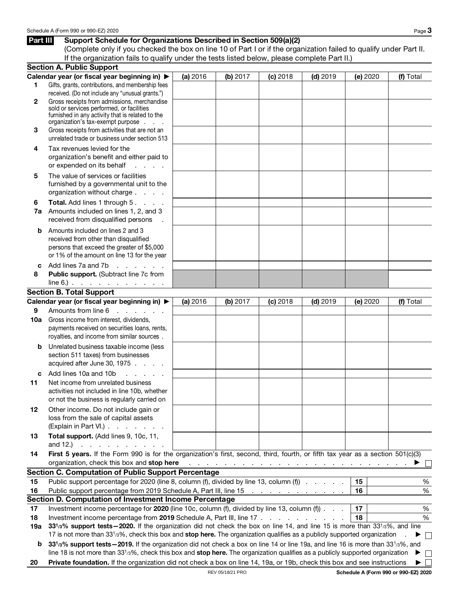#### Part III Support Schedule for Organizations Described in Section 509(a)(2)

(Complete only if you checked the box on line 10 of Part I or if the organization failed to qualify under Part II. If the organization fails to qualify under the tests listed below, please complete Part II.)

|              | <b>Section A. Public Support</b>                                                                                                                                                                                                                                      |          |                                                                                          |            |            |          |              |
|--------------|-----------------------------------------------------------------------------------------------------------------------------------------------------------------------------------------------------------------------------------------------------------------------|----------|------------------------------------------------------------------------------------------|------------|------------|----------|--------------|
|              | Calendar year (or fiscal year beginning in) ▶                                                                                                                                                                                                                         | (a) 2016 | (b) 2017                                                                                 | $(c)$ 2018 | $(d)$ 2019 | (e) 2020 | (f) Total    |
| 1            | Gifts, grants, contributions, and membership fees                                                                                                                                                                                                                     |          |                                                                                          |            |            |          |              |
|              | received. (Do not include any "unusual grants.")                                                                                                                                                                                                                      |          |                                                                                          |            |            |          |              |
| $\mathbf{2}$ | Gross receipts from admissions, merchandise<br>sold or services performed, or facilities                                                                                                                                                                              |          |                                                                                          |            |            |          |              |
|              | furnished in any activity that is related to the                                                                                                                                                                                                                      |          |                                                                                          |            |            |          |              |
|              | organization's tax-exempt purpose                                                                                                                                                                                                                                     |          |                                                                                          |            |            |          |              |
| 3            | Gross receipts from activities that are not an                                                                                                                                                                                                                        |          |                                                                                          |            |            |          |              |
|              | unrelated trade or business under section 513                                                                                                                                                                                                                         |          |                                                                                          |            |            |          |              |
| 4            | Tax revenues levied for the                                                                                                                                                                                                                                           |          |                                                                                          |            |            |          |              |
|              | organization's benefit and either paid to                                                                                                                                                                                                                             |          |                                                                                          |            |            |          |              |
|              | or expended on its behalf<br>and the con-                                                                                                                                                                                                                             |          |                                                                                          |            |            |          |              |
| 5            | The value of services or facilities                                                                                                                                                                                                                                   |          |                                                                                          |            |            |          |              |
|              | furnished by a governmental unit to the                                                                                                                                                                                                                               |          |                                                                                          |            |            |          |              |
|              | organization without charge                                                                                                                                                                                                                                           |          |                                                                                          |            |            |          |              |
| 6            | Total. Add lines 1 through 5.<br>Amounts included on lines 1, 2, and 3                                                                                                                                                                                                |          |                                                                                          |            |            |          |              |
| 7a           | received from disqualified persons                                                                                                                                                                                                                                    |          |                                                                                          |            |            |          |              |
|              |                                                                                                                                                                                                                                                                       |          |                                                                                          |            |            |          |              |
| b            | Amounts included on lines 2 and 3<br>received from other than disqualified                                                                                                                                                                                            |          |                                                                                          |            |            |          |              |
|              | persons that exceed the greater of \$5,000                                                                                                                                                                                                                            |          |                                                                                          |            |            |          |              |
|              | or 1% of the amount on line 13 for the year                                                                                                                                                                                                                           |          |                                                                                          |            |            |          |              |
| C            | and a series<br>Add lines 7a and 7b                                                                                                                                                                                                                                   |          |                                                                                          |            |            |          |              |
| 8            | Public support. (Subtract line 7c from                                                                                                                                                                                                                                |          |                                                                                          |            |            |          |              |
|              | $line 6$ . $\ldots$ $\ldots$ $\ldots$ $\ldots$                                                                                                                                                                                                                        |          |                                                                                          |            |            |          |              |
|              | <b>Section B. Total Support</b>                                                                                                                                                                                                                                       |          |                                                                                          |            |            |          |              |
|              | Calendar year (or fiscal year beginning in) ▶                                                                                                                                                                                                                         | (a) 2016 | (b) 2017                                                                                 | $(c)$ 2018 | $(d)$ 2019 | (e) 2020 | (f) Total    |
| 9            | Amounts from line 6<br>and the company                                                                                                                                                                                                                                |          |                                                                                          |            |            |          |              |
| 10a          | Gross income from interest, dividends,                                                                                                                                                                                                                                |          |                                                                                          |            |            |          |              |
|              | payments received on securities loans, rents,                                                                                                                                                                                                                         |          |                                                                                          |            |            |          |              |
|              | royalties, and income from similar sources.                                                                                                                                                                                                                           |          |                                                                                          |            |            |          |              |
| b            | Unrelated business taxable income (less                                                                                                                                                                                                                               |          |                                                                                          |            |            |          |              |
|              | section 511 taxes) from businesses                                                                                                                                                                                                                                    |          |                                                                                          |            |            |          |              |
|              | acquired after June 30, 1975                                                                                                                                                                                                                                          |          |                                                                                          |            |            |          |              |
| c            | Add lines 10a and 10b<br>and a state of                                                                                                                                                                                                                               |          |                                                                                          |            |            |          |              |
| 11           | Net income from unrelated business                                                                                                                                                                                                                                    |          |                                                                                          |            |            |          |              |
|              | activities not included in line 10b, whether<br>or not the business is regularly carried on                                                                                                                                                                           |          |                                                                                          |            |            |          |              |
|              |                                                                                                                                                                                                                                                                       |          |                                                                                          |            |            |          |              |
| 12           | Other income. Do not include gain or<br>loss from the sale of capital assets                                                                                                                                                                                          |          |                                                                                          |            |            |          |              |
|              | (Explain in Part VI.)                                                                                                                                                                                                                                                 |          |                                                                                          |            |            |          |              |
| 13           | Total support. (Add lines 9, 10c, 11,                                                                                                                                                                                                                                 |          |                                                                                          |            |            |          |              |
|              | and 12.) $\therefore$ $\therefore$ $\therefore$ $\therefore$ $\therefore$ $\therefore$                                                                                                                                                                                |          |                                                                                          |            |            |          |              |
| 14           | First 5 years. If the Form 990 is for the organization's first, second, third, fourth, or fifth tax year as a section 501(c)(3)                                                                                                                                       |          |                                                                                          |            |            |          |              |
|              | organization, check this box and stop here                                                                                                                                                                                                                            |          | المتابعة والمتابعة والمتابعة والمتابعة والمتابعة والمتابعة والمتابعة والمتابعة والمتابعة |            |            |          |              |
|              | <b>Section C. Computation of Public Support Percentage</b>                                                                                                                                                                                                            |          |                                                                                          |            |            |          |              |
| 15           | Public support percentage for 2020 (line 8, column (f), divided by line 13, column (f)                                                                                                                                                                                |          |                                                                                          |            |            | 15       | $\%$         |
| 16           | Public support percentage from 2019 Schedule A, Part III, line 15                                                                                                                                                                                                     |          |                                                                                          |            |            | 16       | %            |
|              | Section D. Computation of Investment Income Percentage                                                                                                                                                                                                                |          |                                                                                          |            |            |          |              |
| 17           | Investment income percentage for 2020 (line 10c, column (f), divided by line 13, column (f))                                                                                                                                                                          |          |                                                                                          |            |            | 17       | $\%$         |
| 18           | Investment income percentage from 2019 Schedule A, Part III, line 17                                                                                                                                                                                                  |          |                                                                                          |            |            | 18       | $\%$         |
| 19а          | 331/3% support tests - 2020. If the organization did not check the box on line 14, and line 15 is more than 331/3%, and line                                                                                                                                          |          |                                                                                          |            |            |          |              |
|              | 17 is not more than 33 <sup>1</sup> /3%, check this box and stop here. The organization qualifies as a publicly supported organization                                                                                                                                |          |                                                                                          |            |            |          | $\Box$       |
| b            | 331/3% support tests - 2019. If the organization did not check a box on line 14 or line 19a, and line 16 is more than 331/3%, and<br>line 18 is not more than $3313%$ , check this box and stop here. The organization qualifies as a publicly supported organization |          |                                                                                          |            |            |          | П<br>▸       |
|              | Private foundation. If the organization did not check a box on line 14, 19a, or 19b, check this box and see instructions                                                                                                                                              |          |                                                                                          |            |            |          | $\mathbf{L}$ |
| 20           |                                                                                                                                                                                                                                                                       |          |                                                                                          |            |            |          | ▶            |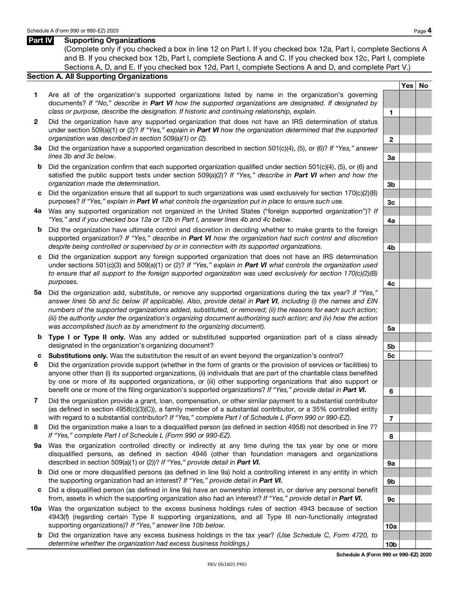#### Part IV Supporting Organizations

(Complete only if you checked a box in line 12 on Part I. If you checked box 12a, Part I, complete Sections A and B. If you checked box 12b, Part I, complete Sections A and C. If you checked box 12c, Part I, complete Sections A, D, and E. If you checked box 12d, Part I, complete Sections A and D, and complete Part V.)

#### Section A. All Supporting Organizations

- 1 Are all of the organization's supported organizations listed by name in the organization's governing documents? If "No," describe in Part VI how the supported organizations are designated. If designated by class or purpose, describe the designation. If historic and continuing relationship, explain.  $1$
- 2 Did the organization have any supported organization that does not have an IRS determination of status under section 509(a)(1) or (2)? If "Yes," explain in **Part VI** how the organization determined that the supported organization was described in section 509(a)(1) or (2).  $\Box$
- 3a Did the organization have a supported organization described in section 501(c)(4), (5), or (6)? If "Yes," answer  $\blacksquare$  lines 3b and 3c below.  $\blacksquare$  3a
- b Did the organization confirm that each supported organization qualified under section 501(c)(4), (5), or (6) and satisfied the public support tests under section  $509(a)(2)$ ? If "Yes," describe in Part VI when and how the organization made the determination. **3b** and 3b and 3b and 3b and 3b and 3b and 3b and 3b and 3b and 3b and 3b and 3b and 3b and 3b and 3b and 3b and 3b and 3b and 3b and 3b and 3b and 3b and 3b and 3b and 3b and 3b and 3
- c Did the organization ensure that all support to such organizations was used exclusively for section  $170(c)(2)(B)$ purposes? If "Yes," explain in **Part VI** what controls the organization put in place to ensure such use.
- 4a Was any supported organization not organized in the United States ("foreign supported organization")? If "Yes," and if you checked box 12a or 12b in Part I, answer lines 4b and 4c below.
- b Did the organization have ultimate control and discretion in deciding whether to make grants to the foreign supported organization? If "Yes," describe in Part VI how the organization had such control and discretion despite being controlled or supervised by or in connection with its supported organizations.
- c Did the organization support any foreign supported organization that does not have an IRS determination under sections 501(c)(3) and 509(a)(1) or (2)? If "Yes," explain in **Part VI** what controls the organization used to ensure that all support to the foreign supported organization was used exclusively for section 170(c)(2)(B) purposes.
- 5a Did the organization add, substitute, or remove any supported organizations during the tax year? If "Yes," answer lines 5b and 5c below (if applicable). Also, provide detail in Part VI, including (i) the names and EIN numbers of the supported organizations added, substituted, or removed; (ii) the reasons for each such action; (iii) the authority under the organization's organizing document authorizing such action; and (iv) how the action was accomplished (such as by amendment to the organizing document).  $\overline{\mathbf{5a}}$
- b Type I or Type II only. Was any added or substituted supported organization part of a class already designated in the organization's organizing document? 5b
- c Substitutions only. Was the substitution the result of an event beyond the organization's control?
- 6 Did the organization provide support (whether in the form of grants or the provision of services or facilities) to anyone other than (i) its supported organizations, (ii) individuals that are part of the charitable class benefited by one or more of its supported organizations, or (iii) other supporting organizations that also support or benefit one or more of the filing organization's supported organizations? If "Yes," provide detail in Part VI.
- 7 Did the organization provide a grant, loan, compensation, or other similar payment to a substantial contributor (as defined in section 4958(c)(3)(C)), a family member of a substantial contributor, or a 35% controlled entity with regard to a substantial contributor? If "Yes," complete Part I of Schedule L (Form 990 or 990-EZ).
- 8 Did the organization make a loan to a disqualified person (as defined in section 4958) not described in line 7? If "Yes," complete Part I of Schedule L (Form 990 or 990-EZ).
- 9a Was the organization controlled directly or indirectly at any time during the tax year by one or more disqualified persons, as defined in section 4946 (other than foundation managers and organizations described in section 509(a)(1) or (2))? If "Yes," provide detail in **Part VI.** 9a
- b Did one or more disqualified persons (as defined in line 9a) hold a controlling interest in any entity in which the supporting organization had an interest? If "Yes," provide detail in **Part VI.**  $\overline{96}$
- c Did a disqualified person (as defined in line 9a) have an ownership interest in, or derive any personal benefit from, assets in which the supporting organization also had an interest? If "Yes," provide detail in Part VI.
- 10a Was the organization subject to the excess business holdings rules of section 4943 because of section 4943(f) (regarding certain Type II supporting organizations, and all Type III non-functionally integrated supporting organizations)? If "Yes," answer line 10b below. 10a
	- **b** Did the organization have any excess business holdings in the tax year? (Use Schedule C, Form 4720, to determine whether the organization had excess business holdings.) 10b

Yes No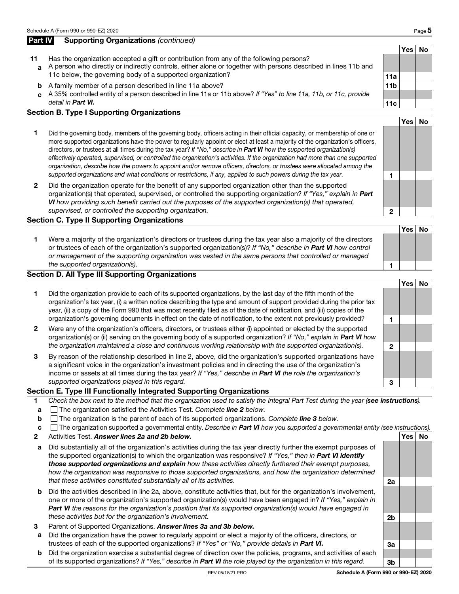# Part IV Supporting Organizations (continued)

- 11 Has the organization accepted a gift or contribution from any of the following persons? a A person who directly or indirectly controls, either alone or together with persons described in lines 11b and 11c below, the governing body of a supported organization? 11a 12a 11a 12a 11a 12a 11a 12a 11a 12a 11a 12a 11a
	- **b** A family member of a person described in line 11a above? 11b
	- c A 35% controlled entity of a person described in line 11a or 11b above? If "Yes" to line 11a, 11b, or 11c, provide detail in Part VI. 11c | 11c | 11c | 11c | 11c | 11c | 11c | 11c | 11c | 11c | 11c | 11c | 11c | 11c | 11c | 1

#### Section B. Type I Supporting Organizations

- 1 Did the governing body, members of the governing body, officers acting in their official capacity, or membership of one or more supported organizations have the power to regularly appoint or elect at least a majority of the organization's officers, directors, or trustees at all times during the tax year? If "No," describe in Part VI how the supported organization(s) effectively operated, supervised, or controlled the organization's activities. If the organization had more than one supported organization, describe how the powers to appoint and/or remove officers, directors, or trustees were allocated among the supported organizations and what conditions or restrictions, if any, applied to such powers during the tax year.
- 2 Did the organization operate for the benefit of any supported organization other than the supported organization(s) that operated, supervised, or controlled the supporting organization? If "Yes," explain in Part VI how providing such benefit carried out the purposes of the supported organization(s) that operated, supervised, or controlled the supporting organization. 2008. The supervision of  $\sim$  2008.

#### Section C. Type II Supporting Organizations

1 Were a majority of the organization's directors or trustees during the tax year also a majority of the directors or trustees of each of the organization's supported organization(s)? If "No," describe in Part VI how control or management of the supporting organization was vested in the same persons that controlled or managed the supported organization(s). 1 and 1 and 2 and 2 and 2 and 2 and 2 and 2 and 2 and 2 and 2 and 2 and 2 and 2 and 2 and 2 and 2 and 2 and 2 and 2 and 2 and 2 and 2 and 2 and 2 and 2 and 2 and 2 and 2 and 2 and 2 and 2 and

#### Section D. All Type III Supporting Organizations

Yes No 1 Did the organization provide to each of its supported organizations, by the last day of the fifth month of the organization's tax year, (i) a written notice describing the type and amount of support provided during the prior tax year, (ii) a copy of the Form 990 that was most recently filed as of the date of notification, and (iii) copies of the organization's governing documents in effect on the date of notification, to the extent not previously provided? 2 Were any of the organization's officers, directors, or trustees either (i) appointed or elected by the supported organization(s) or (ii) serving on the governing body of a supported organization? If "No," explain in Part VI how the organization maintained a close and continuous working relationship with the supported organization(s).  $2$  3 By reason of the relationship described in line 2, above, did the organization's supported organizations have a significant voice in the organization's investment policies and in directing the use of the organization's income or assets at all times during the tax year? If "Yes," describe in Part VI the role the organization's

#### Section E. Type III Functionally Integrated Supporting Organizations

1 Check the box next to the method that the organization used to satisfy the Integral Part Test during the year (see instructions).

supported organizations played in this regard.  $\overline{3}$ 

- **a**  $\Box$  The organization satisfied the Activities Test. Complete **line 2** below.
- **b** The organization is the parent of each of its supported organizations. Complete line 3 below.
- $c \cap$  The organization supported a governmental entity. Describe in **Part VI** how you supported a governmental entity (see instructions).
- 2 Activities Test. Answer lines 2a and 2b below. And the state of the state of the No of Test No of the No of the No
- a Did substantially all of the organization's activities during the tax year directly further the exempt purposes of the supported organization(s) to which the organization was responsive? If "Yes," then in Part VI identify those supported organizations and explain how these activities directly furthered their exempt purposes, how the organization was responsive to those supported organizations, and how the organization determined that these activities constituted substantially all of its activities. 2a
- b Did the activities described in line 2a, above, constitute activities that, but for the organization's involvement, one or more of the organization's supported organization(s) would have been engaged in? If "Yes," explain in Part VI the reasons for the organization's position that its supported organization(s) would have engaged in these activities but for the organization's involvement.  $2b$
- Parent of Supported Organizations. Answer lines 3a and 3b below.
- a Did the organization have the power to regularly appoint or elect a majority of the officers, directors, or trustees of each of the supported organizations? If "Yes" or "No," provide details in **Part VI.**  $\overline{3a}$
- b Did the organization exercise a substantial degree of direction over the policies, programs, and activities of each of its supported organizations? If "Yes," describe in **Part VI** the role played by the organization in this regard.

Yes No

Yes No

Yes No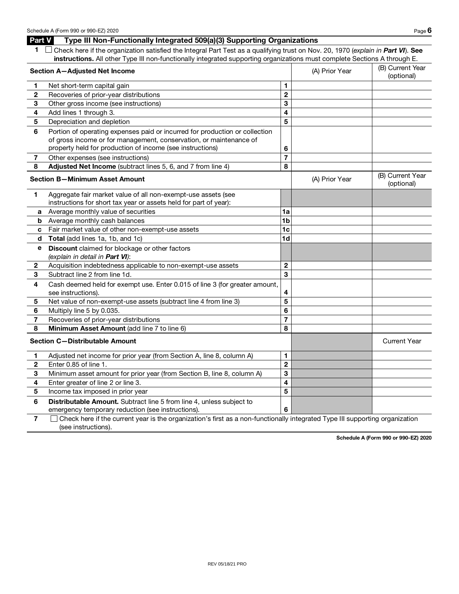| $\sqrt{ }$ Check here if the organization satisfied the Integral Part Test as a qualifying trust on Nov. 20, 1970 (explain in Part VI). See |
|---------------------------------------------------------------------------------------------------------------------------------------------|
| instructions. All other Type III non-functionally integrated supporting organizations must complete Sections A through E.                   |

|                                       | Section A-Adjusted Net Income                                                                     |                         | (A) Prior Year | (B) Current Year<br>(optional) |
|---------------------------------------|---------------------------------------------------------------------------------------------------|-------------------------|----------------|--------------------------------|
| 1                                     | Net short-term capital gain                                                                       | 1                       |                |                                |
| $\mathbf{2}$                          | Recoveries of prior-year distributions                                                            | $\mathbf 2$             |                |                                |
| 3                                     | Other gross income (see instructions)                                                             | 3                       |                |                                |
| 4                                     | Add lines 1 through 3.                                                                            | $\overline{\mathbf{4}}$ |                |                                |
| 5                                     | Depreciation and depletion                                                                        | 5                       |                |                                |
| 6                                     | Portion of operating expenses paid or incurred for production or collection                       |                         |                |                                |
|                                       | of gross income or for management, conservation, or maintenance of                                |                         |                |                                |
|                                       | property held for production of income (see instructions)                                         | 6                       |                |                                |
| $\overline{\mathbf{r}}$               | Other expenses (see instructions)                                                                 | $\overline{7}$          |                |                                |
| 8                                     | Adjusted Net Income (subtract lines 5, 6, and 7 from line 4)                                      | 8                       |                |                                |
| <b>Section B-Minimum Asset Amount</b> |                                                                                                   |                         | (A) Prior Year | (B) Current Year<br>(optional) |
| 1.                                    | Aggregate fair market value of all non-exempt-use assets (see                                     |                         |                |                                |
|                                       | instructions for short tax year or assets held for part of year):                                 |                         |                |                                |
| a                                     | Average monthly value of securities                                                               | 1a                      |                |                                |
| b                                     | Average monthly cash balances                                                                     | 1 <sub>b</sub>          |                |                                |
| c                                     | Fair market value of other non-exempt-use assets                                                  | 1 <sub>c</sub>          |                |                                |
| d                                     | Total (add lines 1a, 1b, and 1c)                                                                  | 1 <sub>d</sub>          |                |                                |
| е                                     | Discount claimed for blockage or other factors<br>(explain in detail in Part VI):                 |                         |                |                                |
| $\mathbf{2}$                          | Acquisition indebtedness applicable to non-exempt-use assets                                      | $\overline{2}$          |                |                                |
| 3                                     | Subtract line 2 from line 1d.                                                                     | 3                       |                |                                |
| 4                                     | Cash deemed held for exempt use. Enter 0.015 of line 3 (for greater amount,<br>see instructions). | 4                       |                |                                |
| 5                                     | Net value of non-exempt-use assets (subtract line 4 from line 3)                                  | 5                       |                |                                |
| 6                                     | Multiply line 5 by 0.035.                                                                         | 6                       |                |                                |
| $\overline{7}$                        | Recoveries of prior-year distributions                                                            | $\overline{7}$          |                |                                |
| 8                                     | Minimum Asset Amount (add line 7 to line 6)                                                       | 8                       |                |                                |
|                                       | <b>Section C-Distributable Amount</b>                                                             |                         |                | <b>Current Year</b>            |
| 1                                     | Adjusted net income for prior year (from Section A, line 8, column A)                             | $\mathbf{1}$            |                |                                |
| $\overline{\mathbf{2}}$               | Enter 0.85 of line 1.                                                                             | $\overline{2}$          |                |                                |
| 3                                     | Minimum asset amount for prior year (from Section B, line 8, column A)                            | 3                       |                |                                |
| 4                                     | Enter greater of line 2 or line 3.                                                                | 4                       |                |                                |
| 5                                     | Income tax imposed in prior year                                                                  | 5                       |                |                                |
| 6                                     | Distributable Amount. Subtract line 5 from line 4, unless subject to                              |                         |                |                                |
|                                       | emergency temporary reduction (see instructions).                                                 | 6                       |                |                                |

7 Check here if the current year is the organization's first as a non-functionally integrated Type III supporting organization (see instructions).

Schedule A (Form 990 or 990-EZ) 2020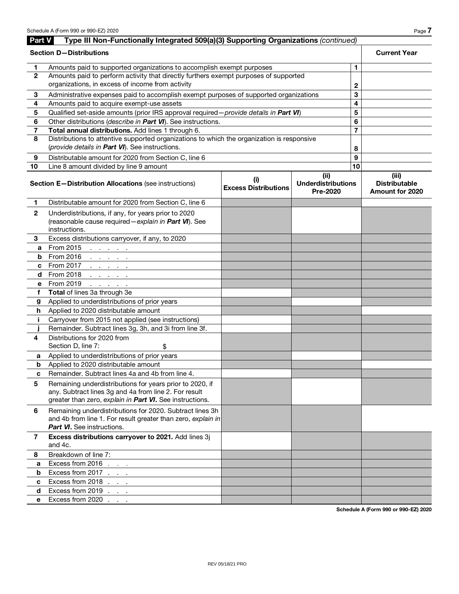| Part V       | Type III Non-Functionally Integrated 509(a)(3) Supporting Organizations (continued)                                                                                           |                                             |                                               |                |                                                         |
|--------------|-------------------------------------------------------------------------------------------------------------------------------------------------------------------------------|---------------------------------------------|-----------------------------------------------|----------------|---------------------------------------------------------|
|              | <b>Section D-Distributions</b>                                                                                                                                                |                                             |                                               |                | <b>Current Year</b>                                     |
| 1.           | Amounts paid to supported organizations to accomplish exempt purposes                                                                                                         | 1.                                          |                                               |                |                                                         |
| $\mathbf{2}$ | Amounts paid to perform activity that directly furthers exempt purposes of supported<br>organizations, in excess of income from activity                                      | 2                                           |                                               |                |                                                         |
| 3            | Administrative expenses paid to accomplish exempt purposes of supported organizations                                                                                         |                                             |                                               | 3              |                                                         |
| 4            | Amounts paid to acquire exempt-use assets                                                                                                                                     |                                             |                                               | 4              |                                                         |
| 5            | Qualified set-aside amounts (prior IRS approval required - provide details in Part VI)                                                                                        |                                             |                                               | 5              |                                                         |
| 6            | Other distributions (describe in Part VI). See instructions.                                                                                                                  |                                             |                                               | 6              |                                                         |
| 7            | Total annual distributions. Add lines 1 through 6.                                                                                                                            |                                             |                                               | $\overline{7}$ |                                                         |
| 8            | Distributions to attentive supported organizations to which the organization is responsive                                                                                    |                                             |                                               |                |                                                         |
|              | (provide details in Part VI). See instructions.                                                                                                                               |                                             |                                               | 8              |                                                         |
| 9            | Distributable amount for 2020 from Section C, line 6                                                                                                                          |                                             |                                               | 9              |                                                         |
| 10           | Line 8 amount divided by line 9 amount                                                                                                                                        |                                             |                                               | 10             |                                                         |
|              | Section E-Distribution Allocations (see instructions)                                                                                                                         | $\mathbf{u}$<br><b>Excess Distributions</b> | (ii)<br><b>Underdistributions</b><br>Pre-2020 |                | (iii)<br><b>Distributable</b><br><b>Amount for 2020</b> |
| 1            | Distributable amount for 2020 from Section C, line 6                                                                                                                          |                                             |                                               |                |                                                         |
| $\mathbf{2}$ | Underdistributions, if any, for years prior to 2020<br>(reasonable cause required - explain in Part VI). See<br>instructions.                                                 |                                             |                                               |                |                                                         |
| 3            | Excess distributions carryover, if any, to 2020                                                                                                                               |                                             |                                               |                |                                                         |
| a            | From 2015<br>and a state of the                                                                                                                                               |                                             |                                               |                |                                                         |
| b            | From 2016<br>and a strategic and                                                                                                                                              |                                             |                                               |                |                                                         |
| c            | From 2017<br>and the company of                                                                                                                                               |                                             |                                               |                |                                                         |
| d            | From 2018<br>and a state of                                                                                                                                                   |                                             |                                               |                |                                                         |
| e            | From 2019<br>and a state of                                                                                                                                                   |                                             |                                               |                |                                                         |
| f            | Total of lines 3a through 3e                                                                                                                                                  |                                             |                                               |                |                                                         |
| g            | Applied to underdistributions of prior years                                                                                                                                  |                                             |                                               |                |                                                         |
| h.           | Applied to 2020 distributable amount                                                                                                                                          |                                             |                                               |                |                                                         |
| Ť.           | Carryover from 2015 not applied (see instructions)                                                                                                                            |                                             |                                               |                |                                                         |
|              | Remainder. Subtract lines 3g, 3h, and 3i from line 3f.                                                                                                                        |                                             |                                               |                |                                                         |
| 4            | Distributions for 2020 from                                                                                                                                                   |                                             |                                               |                |                                                         |
|              | Section D, line 7:<br>\$                                                                                                                                                      |                                             |                                               |                |                                                         |
| а            | Applied to underdistributions of prior years                                                                                                                                  |                                             |                                               |                |                                                         |
| b            | Applied to 2020 distributable amount                                                                                                                                          |                                             |                                               |                |                                                         |
| c            | Remainder. Subtract lines 4a and 4b from line 4.                                                                                                                              |                                             |                                               |                |                                                         |
| 5            | Remaining underdistributions for years prior to 2020, if<br>any. Subtract lines 3g and 4a from line 2. For result<br>greater than zero, explain in Part VI. See instructions. |                                             |                                               |                |                                                         |
| 6            | Remaining underdistributions for 2020. Subtract lines 3h<br>and 4b from line 1. For result greater than zero, explain in<br><b>Part VI.</b> See instructions.                 |                                             |                                               |                |                                                         |
| 7            | Excess distributions carryover to 2021. Add lines 3j<br>and 4c.                                                                                                               |                                             |                                               |                |                                                         |
| 8            | Breakdown of line 7:                                                                                                                                                          |                                             |                                               |                |                                                         |
| a            | Excess from 2016<br>and a state                                                                                                                                               |                                             |                                               |                |                                                         |
| b            | Excess from 2017                                                                                                                                                              |                                             |                                               |                |                                                         |
| C            | Excess from 2018                                                                                                                                                              |                                             |                                               |                |                                                         |
| d            | Excess from 2019                                                                                                                                                              |                                             |                                               |                |                                                         |
| e            | Excess from 2020                                                                                                                                                              |                                             |                                               |                |                                                         |

Schedule A (Form 990 or 990-EZ) 2020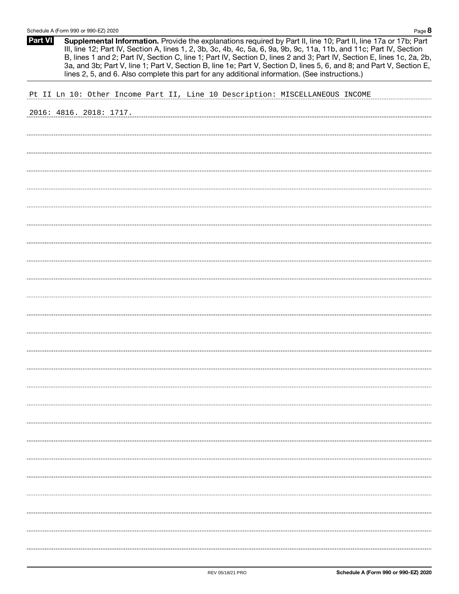| <b>Part VI</b><br>Supplemental Information. Provide the explanations required by Part II, line 10; Part II, line 17a or 17b; Part<br>III, line 12; Part IV, Section A, lines 1, 2, 3b, 3c, 4b, 4c, 5a, 6, 9a, 9b, 9c, 11a, 11b, and 11c; Part IV, Section<br>B, lines 1 and 2; Part IV, Section C, line 1; Part IV, Section D, lines 2 and 3; Part IV, Section E, lines 1c, 2a, 2b,<br>3a, and 3b; Part V, line 1; Part V, Section B, line 1e; Part V, Section D, lines 5, 6, and 8; and Part V, Section E,<br>lines 2, 5, and 6. Also complete this part for any additional information. (See instructions.) |  |
|---------------------------------------------------------------------------------------------------------------------------------------------------------------------------------------------------------------------------------------------------------------------------------------------------------------------------------------------------------------------------------------------------------------------------------------------------------------------------------------------------------------------------------------------------------------------------------------------------------------|--|
| Pt II Ln 10: Other Income Part II, Line 10 Description: MISCELLANEOUS INCOME                                                                                                                                                                                                                                                                                                                                                                                                                                                                                                                                  |  |
| 2016: 4816. 2018: 1717.                                                                                                                                                                                                                                                                                                                                                                                                                                                                                                                                                                                       |  |
|                                                                                                                                                                                                                                                                                                                                                                                                                                                                                                                                                                                                               |  |
|                                                                                                                                                                                                                                                                                                                                                                                                                                                                                                                                                                                                               |  |
|                                                                                                                                                                                                                                                                                                                                                                                                                                                                                                                                                                                                               |  |
|                                                                                                                                                                                                                                                                                                                                                                                                                                                                                                                                                                                                               |  |
|                                                                                                                                                                                                                                                                                                                                                                                                                                                                                                                                                                                                               |  |
|                                                                                                                                                                                                                                                                                                                                                                                                                                                                                                                                                                                                               |  |
|                                                                                                                                                                                                                                                                                                                                                                                                                                                                                                                                                                                                               |  |
|                                                                                                                                                                                                                                                                                                                                                                                                                                                                                                                                                                                                               |  |
|                                                                                                                                                                                                                                                                                                                                                                                                                                                                                                                                                                                                               |  |
|                                                                                                                                                                                                                                                                                                                                                                                                                                                                                                                                                                                                               |  |
|                                                                                                                                                                                                                                                                                                                                                                                                                                                                                                                                                                                                               |  |
|                                                                                                                                                                                                                                                                                                                                                                                                                                                                                                                                                                                                               |  |
|                                                                                                                                                                                                                                                                                                                                                                                                                                                                                                                                                                                                               |  |
|                                                                                                                                                                                                                                                                                                                                                                                                                                                                                                                                                                                                               |  |
|                                                                                                                                                                                                                                                                                                                                                                                                                                                                                                                                                                                                               |  |
|                                                                                                                                                                                                                                                                                                                                                                                                                                                                                                                                                                                                               |  |
|                                                                                                                                                                                                                                                                                                                                                                                                                                                                                                                                                                                                               |  |
|                                                                                                                                                                                                                                                                                                                                                                                                                                                                                                                                                                                                               |  |
|                                                                                                                                                                                                                                                                                                                                                                                                                                                                                                                                                                                                               |  |
|                                                                                                                                                                                                                                                                                                                                                                                                                                                                                                                                                                                                               |  |
|                                                                                                                                                                                                                                                                                                                                                                                                                                                                                                                                                                                                               |  |
|                                                                                                                                                                                                                                                                                                                                                                                                                                                                                                                                                                                                               |  |
|                                                                                                                                                                                                                                                                                                                                                                                                                                                                                                                                                                                                               |  |
|                                                                                                                                                                                                                                                                                                                                                                                                                                                                                                                                                                                                               |  |
|                                                                                                                                                                                                                                                                                                                                                                                                                                                                                                                                                                                                               |  |
|                                                                                                                                                                                                                                                                                                                                                                                                                                                                                                                                                                                                               |  |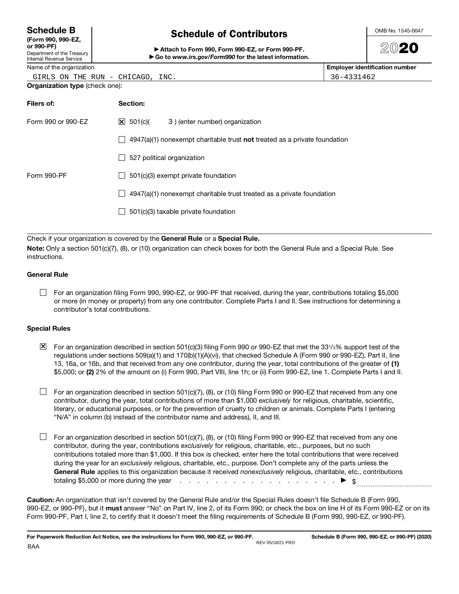| <b>Schedule B</b> |  |
|-------------------|--|
|-------------------|--|

|            | (Form 990, 990-EZ, |
|------------|--------------------|
| or 990-PF) |                    |

#### Department of the Treasury Internal Revenue Service

# Schedule of Contributors

Attach to Form 990, Form 990-EZ, or Form 990-PF. ▶ Go to www.irs.gov/Form990 for the latest information.



# 2020

Name of the organization **Employer identification number**  $\blacksquare$ 

36-4331462

|  |  | GIRLS ON THE RUN - CHICAGO, INC. |  |
|--|--|----------------------------------|--|
|  |  |                                  |  |

| Filers of:         | Section:                                                                    |
|--------------------|-----------------------------------------------------------------------------|
| Form 990 or 990-EZ | $\mathbf{\times}$ 501(c)(<br>3) (enter number) organization                 |
|                    | $4947(a)(1)$ nonexempt charitable trust not treated as a private foundation |
|                    | 527 political organization                                                  |
| Form 990-PF        | 501(c)(3) exempt private foundation                                         |
|                    | 4947(a)(1) nonexempt charitable trust treated as a private foundation       |
|                    | 501(c)(3) taxable private foundation                                        |
|                    |                                                                             |

Check if your organization is covered by the General Rule or a Special Rule.

Note: Only a section 501(c)(7), (8), or (10) organization can check boxes for both the General Rule and a Special Rule. See instructions.

#### General Rule

 $\Box$  For an organization filing Form 990, 990-EZ, or 990-PF that received, during the year, contributions totaling \$5,000 or more (in money or property) from any one contributor. Complete Parts I and II. See instructions for determining a contributor's total contributions.

### Special Rules

 $\boxtimes$  For an organization described in section 501(c)(3) filing Form 990 or 990-EZ that met the 331/3% support test of the regulations under sections 509(a)(1) and 170(b)(1)(A)(vi), that checked Schedule A (Form 990 or 990-EZ), Part II, line 13, 16a, or 16b, and that received from any one contributor, during the year, total contributions of the greater of (1) \$5,000; or (2) 2% of the amount on (i) Form 990, Part VIII, line 1h; or (ii) Form 990-EZ, line 1. Complete Parts I and II.

 $\Box$  For an organization described in section 501(c)(7), (8), or (10) filing Form 990 or 990-EZ that received from any one contributor, during the year, total contributions of more than \$1,000 exclusively for religious, charitable, scientific, literary, or educational purposes, or for the prevention of cruelty to children or animals. Complete Parts I (entering "N/A" in column (b) instead of the contributor name and address), II, and III.

 $\Box$  For an organization described in section 501(c)(7), (8), or (10) filing Form 990 or 990-EZ that received from any one contributor, during the year, contributions exclusively for religious, charitable, etc., purposes, but no such contributions totaled more than \$1,000. If this box is checked, enter here the total contributions that were received during the year for an exclusively religious, charitable, etc., purpose. Don't complete any of the parts unless the General Rule applies to this organization because it received nonexclusively religious, charitable, etc., contributions totaling \$5,000 or more during the year . . . . . . . . . . . . . . . . . . \$

Caution: An organization that isn't covered by the General Rule and/or the Special Rules doesn't file Schedule B (Form 990, 990-EZ, or 990-PF), but it must answer "No" on Part IV, line 2, of its Form 990; or check the box on line H of its Form 990-EZ or on its Form 990-PF, Part I, line 2, to certify that it doesn't meet the filing requirements of Schedule B (Form 990, 990-EZ, or990-PF).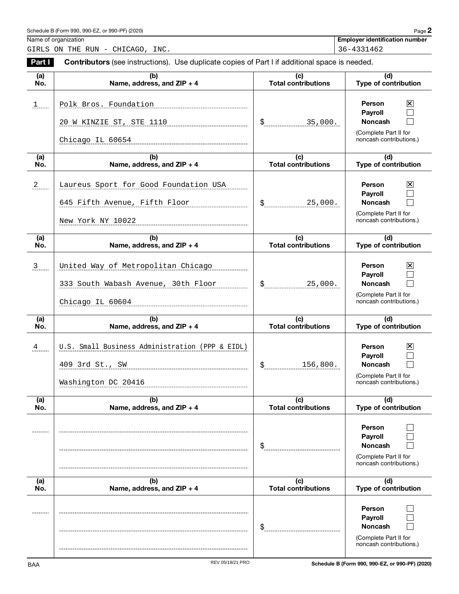| Schedule B (Form 990, 990-EZ, or 990-PF) (2020) | $P$ age $\blacktriangle$ |  |
|-------------------------------------------------|--------------------------|--|
|-------------------------------------------------|--------------------------|--|

Name of organization **Employer identification number**  $\blacksquare$ 

GIRLS ON THE RUN - CHICAGO, INC.  $36-4331462$ 

Part I Contributors (see instructions). Use duplicate copies of Part I if additional space is needed. (a) (b) (c) (d) Type of contribution No. Name, address, and ZIP + 4 Total contributions Person  $\boxtimes$ 1 Polk Bros. Foundation 1.1 Polk Bros.  $\Box$ Payroll Noncash  $\Box$ \$ 20 W KINZIE ST, STE 1110  $\frac{1}{3}$  | \$ 35,000. (Complete Part II for noncash contributions.) Chicago IL 60654  $\overline{a}$  $\overline{(b)}$ (c) (d) Type of contribution Total contributions No. Name, address, and ZIP + 4 2 Laureus Sport for Good Foundation USA Person  $|\mathsf{X}|$ Payroll  $\Box$ 645 Fifth Avenue, Fifth Floor  $\vert \$   $\$  25,000.  $\Box$ \$ Noncash (Complete Part II for New York NY 10022 noncash contributions.) (a) (b) (c)  $(d)$ Name, address, and ZIP + 4 Total contributions Type of contribution No. Person 3 United Way of Metropolitan Chicago ⊠ Payroll  $\Box$ \$ Noncash  $\Box$ 333 South Wabash Avenue, 30th Floor 25,000. (Complete Part II for noncash contributions.) Chicago IL 60604  $\overline{a}$ (b) (c) (d) No. Name, address, and  $ZIP + 4$ Total contributions Type of contribution 4 U.S. Small Business Administration (PPP & EIDL) Person  $|\mathsf{X}|$ Payroll  $\Box$ 409 3rd St., SW 156,800. \$ Noncash  $\Box$ (Complete Part II for Washington DC 20416 noncash contributions.)  $\overline{a}$ (b) (c) (d) Total contributions No. Name, address, and ZIP + 4 Type of contribution Person  $\Box$ Payroll  $\Box$ Noncash \$ П (Complete Part II for noncash contributions.) (a) (b) (c) (d) Type of contribution No. Name, address, and ZIP + 4 Total contributions Person  $\Box$ -------Payroll  $\Box$  $$$ Noncash  $\Box$ (Complete Part II for noncash contributions.)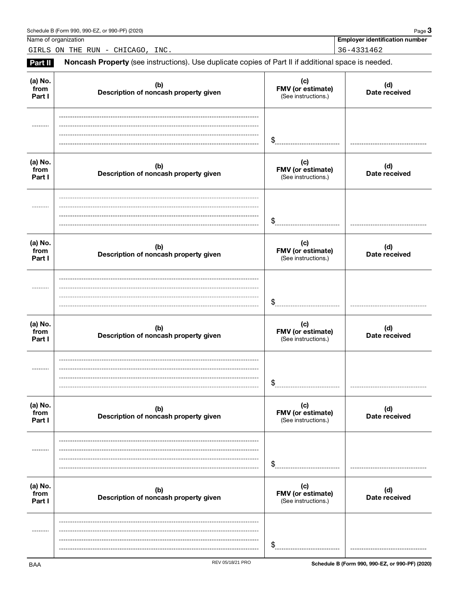Name of organization **Employer identification number**  $\blacksquare$ 

GIRLS ON THE RUN - CHICAGO, INC. 36-4331462

Part II Noncash Property (see instructions). Use duplicate copies of Part II if additional space is needed.

| (a) No.<br>from<br>Part I | (b)<br>Description of noncash property given | (c)<br>FMV (or estimate)<br>(See instructions.) | (d)<br>Date received |
|---------------------------|----------------------------------------------|-------------------------------------------------|----------------------|
|                           |                                              | $\frac{1}{2}$                                   |                      |
| (a) No.<br>from<br>Part I | (b)<br>Description of noncash property given | (c)<br>FMV (or estimate)<br>(See instructions.) | (d)<br>Date received |
|                           |                                              | \$                                              |                      |
| (a) No.<br>from<br>Part I | (b)<br>Description of noncash property given | (c)<br>FMV (or estimate)<br>(See instructions.) | (d)<br>Date received |
|                           |                                              | \$                                              |                      |
| (a) No.<br>from<br>Part I | (b)<br>Description of noncash property given | (c)<br>FMV (or estimate)<br>(See instructions.) | (d)<br>Date received |
|                           |                                              | \$                                              |                      |
| (a) No.<br>from<br>Part I | (b)<br>Description of noncash property given | (c)<br>FMV (or estimate)<br>(See instructions.) | (d)<br>Date received |
| --------                  |                                              | $\boldsymbol{\hat{\theta}}$                     |                      |
| (a) No.<br>from<br>Part I | (b)<br>Description of noncash property given | (c)<br>FMV (or estimate)<br>(See instructions.) | (d)<br>Date received |
| $- - - - - -$             |                                              | $\mathfrak{F}$                                  |                      |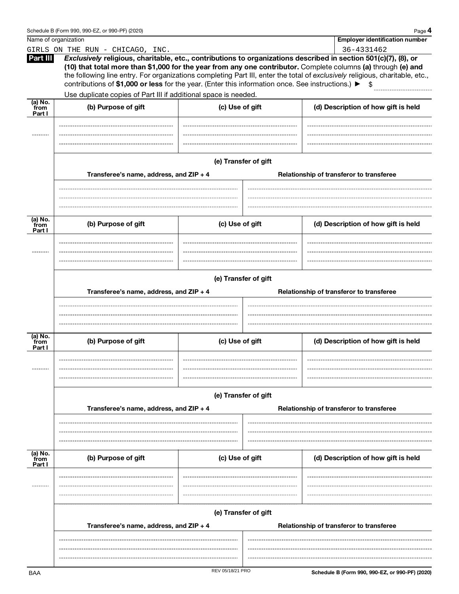|                           | Schedule B (Form 990, 990-EZ, or 990-PF) (2020)                                                   |                      |                                                                  | Page 4                                                                                                                                                                                                                                                                                                                                                                 |  |  |  |
|---------------------------|---------------------------------------------------------------------------------------------------|----------------------|------------------------------------------------------------------|------------------------------------------------------------------------------------------------------------------------------------------------------------------------------------------------------------------------------------------------------------------------------------------------------------------------------------------------------------------------|--|--|--|
| Name of organization      |                                                                                                   |                      |                                                                  | <b>Employer identification number</b>                                                                                                                                                                                                                                                                                                                                  |  |  |  |
|                           | GIRLS ON THE RUN - CHICAGO, INC.                                                                  |                      |                                                                  | 36-4331462                                                                                                                                                                                                                                                                                                                                                             |  |  |  |
| Part III                  | contributions of \$1,000 or less for the year. (Enter this information once. See instructions.) ▶ |                      |                                                                  | Exclusively religious, charitable, etc., contributions to organizations described in section 501(c)(7), (8), or<br>(10) that total more than \$1,000 for the year from any one contributor. Complete columns (a) through (e) and<br>the following line entry. For organizations completing Part III, enter the total of exclusively religious, charitable, etc.,<br>\$ |  |  |  |
|                           | Use duplicate copies of Part III if additional space is needed.                                   |                      |                                                                  |                                                                                                                                                                                                                                                                                                                                                                        |  |  |  |
| (a) No.<br>from<br>Part I | (b) Purpose of gift                                                                               | (c) Use of gift      |                                                                  | (d) Description of how gift is held                                                                                                                                                                                                                                                                                                                                    |  |  |  |
|                           | Transferee's name, address, and ZIP + 4                                                           | (e) Transfer of gift |                                                                  | Relationship of transferor to transferee                                                                                                                                                                                                                                                                                                                               |  |  |  |
| (a) No.                   |                                                                                                   |                      |                                                                  |                                                                                                                                                                                                                                                                                                                                                                        |  |  |  |
| from<br>Part I            | (b) Purpose of gift                                                                               | (c) Use of gift      |                                                                  | (d) Description of how gift is held                                                                                                                                                                                                                                                                                                                                    |  |  |  |
|                           | Transferee's name, address, and ZIP + 4                                                           |                      | (e) Transfer of gift<br>Relationship of transferor to transferee |                                                                                                                                                                                                                                                                                                                                                                        |  |  |  |
| (a) No.                   |                                                                                                   |                      |                                                                  |                                                                                                                                                                                                                                                                                                                                                                        |  |  |  |
| from<br>Part I            | (c) Use of gift<br>(b) Purpose of gift                                                            |                      | (d) Description of how gift is held                              |                                                                                                                                                                                                                                                                                                                                                                        |  |  |  |
|                           | (e) Transfer of gift                                                                              |                      |                                                                  |                                                                                                                                                                                                                                                                                                                                                                        |  |  |  |
|                           | Transferee's name, address, and ZIP + 4                                                           |                      |                                                                  | Relationship of transferor to transferee                                                                                                                                                                                                                                                                                                                               |  |  |  |
| (a) No.<br>from<br>Part I | (b) Purpose of gift                                                                               | (c) Use of gift      |                                                                  | (d) Description of how gift is held                                                                                                                                                                                                                                                                                                                                    |  |  |  |
|                           |                                                                                                   | (e) Transfer of gift |                                                                  |                                                                                                                                                                                                                                                                                                                                                                        |  |  |  |
|                           | Transferee's name, address, and ZIP + 4                                                           |                      |                                                                  | Relationship of transferor to transferee                                                                                                                                                                                                                                                                                                                               |  |  |  |
| BAA                       |                                                                                                   | REV 05/18/21 PRO     |                                                                  | Schedule B (Form 990, 990-EZ, or 990-PF) (2020)                                                                                                                                                                                                                                                                                                                        |  |  |  |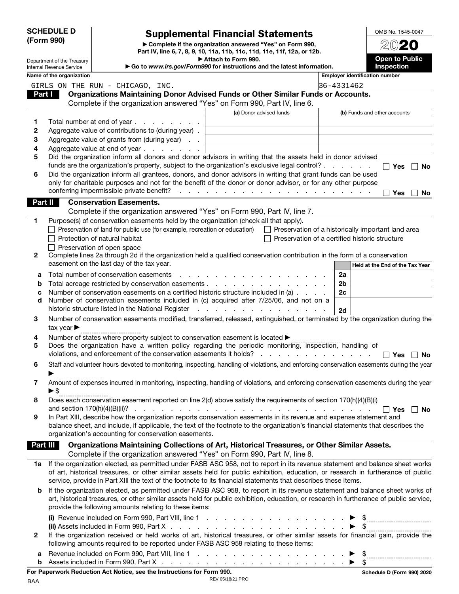| (Form 990) | <b>SCHEDULE D</b>          | <b>Supplemental Financial Statements</b><br>Complete if the organization answered "Yes" on Form 990,                                                           |                     |                                                     |            |    | OMB No. 1545-0047                              |
|------------|----------------------------|----------------------------------------------------------------------------------------------------------------------------------------------------------------|---------------------|-----------------------------------------------------|------------|----|------------------------------------------------|
|            | Department of the Treasury | Part IV, line 6, 7, 8, 9, 10, 11a, 11b, 11c, 11d, 11e, 11f, 12a, or 12b.                                                                                       | Attach to Form 990. |                                                     |            |    | <b>Open to Public</b>                          |
|            | Internal Revenue Service   | Go to www.irs.gov/Form990 for instructions and the latest information.                                                                                         |                     |                                                     |            |    | Inspection                                     |
|            | Name of the organization   |                                                                                                                                                                |                     |                                                     |            |    | <b>Employer identification number</b>          |
|            |                            | GIRLS ON THE RUN - CHICAGO, INC.                                                                                                                               |                     |                                                     | 36-4331462 |    |                                                |
| Part I     |                            | Organizations Maintaining Donor Advised Funds or Other Similar Funds or Accounts.<br>Complete if the organization answered "Yes" on Form 990, Part IV, line 6. |                     |                                                     |            |    |                                                |
|            |                            |                                                                                                                                                                |                     | (a) Donor advised funds                             |            |    | (b) Funds and other accounts                   |
|            |                            | Total number at end of year                                                                                                                                    |                     |                                                     |            |    |                                                |
| 1<br>2     |                            | Aggregate value of contributions to (during year).                                                                                                             |                     |                                                     |            |    |                                                |
| 3          |                            | Aggregate value of grants from (during year)                                                                                                                   |                     |                                                     |            |    |                                                |
| 4          |                            | Aggregate value at end of year                                                                                                                                 |                     |                                                     |            |    |                                                |
| 5          |                            | Did the organization inform all donors and donor advisors in writing that the assets held in donor advised                                                     |                     |                                                     |            |    |                                                |
|            |                            | funds are the organization's property, subject to the organization's exclusive legal control?                                                                  |                     |                                                     |            |    | <b>Yes</b><br>No                               |
| 6          |                            | Did the organization inform all grantees, donors, and donor advisors in writing that grant funds can be used                                                   |                     |                                                     |            |    |                                                |
|            |                            | only for charitable purposes and not for the benefit of the donor or donor advisor, or for any other purpose                                                   |                     |                                                     |            |    |                                                |
|            |                            |                                                                                                                                                                |                     |                                                     |            |    | Yes<br><b>No</b>                               |
| Part II    |                            | <b>Conservation Easements.</b>                                                                                                                                 |                     |                                                     |            |    |                                                |
|            |                            | Complete if the organization answered "Yes" on Form 990, Part IV, line 7.                                                                                      |                     |                                                     |            |    |                                                |
| 1          |                            | Purpose(s) of conservation easements held by the organization (check all that apply).                                                                          |                     |                                                     |            |    |                                                |
|            |                            | $\Box$ Preservation of land for public use (for example, recreation or education) $\Box$ Preservation of a historically important land area                    |                     |                                                     |            |    |                                                |
|            |                            | Protection of natural habitat                                                                                                                                  |                     |                                                     |            |    | Preservation of a certified historic structure |
|            |                            | $\Box$ Preservation of open space                                                                                                                              |                     |                                                     |            |    |                                                |
| 2          |                            | Complete lines 2a through 2d if the organization held a qualified conservation contribution in the form of a conservation                                      |                     |                                                     |            |    |                                                |
|            |                            | easement on the last day of the tax year.                                                                                                                      |                     |                                                     |            |    | Held at the End of the Tax Year                |
| а          |                            | Total number of conservation easements                                                                                                                         |                     | and a series and a series and a series and          |            | 2a |                                                |
| b          |                            | Total acreage restricted by conservation easements                                                                                                             |                     |                                                     |            | 2b |                                                |
| c          |                            | Number of conservation easements on a certified historic structure included in (a)                                                                             |                     |                                                     |            | 2c |                                                |
| d          |                            | Number of conservation easements included in (c) acquired after 7/25/06, and not on a                                                                          |                     |                                                     |            |    |                                                |
|            |                            | historic structure listed in the National Register                                                                                                             |                     | and the contract of the contract of the contract of |            | 2d |                                                |
| 3          |                            | Number of conservation easements modified, transferred, released, extinguished, or terminated by the organization during the                                   |                     |                                                     |            |    |                                                |
|            | tax year                   |                                                                                                                                                                |                     |                                                     |            |    |                                                |
| 4          |                            | Number of states where property subject to conservation easement is located ▶                                                                                  |                     |                                                     |            |    |                                                |
| 5          |                            | Does the organization have a written policy regarding the periodic monitoring, inspection, handling of                                                         |                     |                                                     |            |    |                                                |
|            |                            | violations, and enforcement of the conservation easements it holds?                                                                                            |                     |                                                     |            |    | Yes<br>No                                      |
| 6          |                            | Staff and volunteer hours devoted to monitoring, inspecting, handling of violations, and enforcing conservation easements during the year                      |                     |                                                     |            |    |                                                |
|            |                            |                                                                                                                                                                |                     |                                                     |            |    |                                                |
| 7          |                            | Amount of expenses incurred in monitoring, inspecting, handling of violations, and enforcing conservation easements during the year                            |                     |                                                     |            |    |                                                |
|            | $\blacktriangleright$ \$   |                                                                                                                                                                |                     |                                                     |            |    |                                                |
| 8          |                            | Does each conservation easement reported on line 2(d) above satisfy the requirements of section 170(h)(4)(B)(i)                                                |                     |                                                     |            |    |                                                |
| 9          |                            | In Part XIII, describe how the organization reports conservation easements in its revenue and expense statement and                                            |                     |                                                     |            |    | ΠYes ΠNo                                       |
|            |                            | balance sheet, and include, if applicable, the text of the footnote to the organization's financial statements that describes the                              |                     |                                                     |            |    |                                                |
|            |                            | organization's accounting for conservation easements.                                                                                                          |                     |                                                     |            |    |                                                |
| Part III   |                            | Organizations Maintaining Collections of Art, Historical Treasures, or Other Similar Assets.                                                                   |                     |                                                     |            |    |                                                |
|            |                            | Complete if the organization answered "Yes" on Form 990, Part IV, line 8.                                                                                      |                     |                                                     |            |    |                                                |
| 1a         |                            | If the organization elected, as permitted under FASB ASC 958, not to report in its revenue statement and balance sheet works                                   |                     |                                                     |            |    |                                                |
|            |                            | of art, historical treasures, or other similar assets held for public exhibition, education, or research in furtherance of public                              |                     |                                                     |            |    |                                                |
|            |                            | service, provide in Part XIII the text of the footnote to its financial statements that describes these items.                                                 |                     |                                                     |            |    |                                                |
| b          |                            | If the organization elected, as permitted under FASB ASC 958, to report in its revenue statement and balance sheet works of                                    |                     |                                                     |            |    |                                                |
|            |                            | art, historical treasures, or other similar assets held for public exhibition, education, or research in furtherance of public service,                        |                     |                                                     |            |    |                                                |
|            |                            | provide the following amounts relating to these items:                                                                                                         |                     |                                                     |            |    |                                                |
|            |                            | (i) Revenue included on Form 990, Part VIII, line 1 $\ldots$ $\ldots$ $\ldots$ $\ldots$ $\ldots$ $\ldots$ $\blacktriangleright$ \$                             |                     |                                                     |            |    |                                                |
|            |                            |                                                                                                                                                                |                     |                                                     |            |    |                                                |
| 2          |                            | If the organization received or held works of art, historical treasures, or other similar assets for financial gain, provide the                               |                     |                                                     |            |    |                                                |
|            |                            | following amounts required to be reported under FASB ASC 958 relating to these items:                                                                          |                     |                                                     |            |    |                                                |
| а          |                            |                                                                                                                                                                |                     |                                                     |            |    |                                                |
| b          |                            |                                                                                                                                                                |                     |                                                     |            |    |                                                |
|            |                            |                                                                                                                                                                |                     |                                                     |            |    |                                                |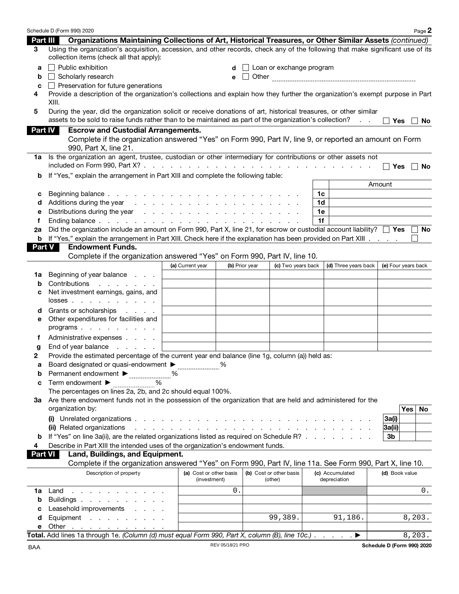|                |       | Schedule D (Form 990) 2020                                                                                                                                                                                                     |                                                                                                                                                                                                                               |                  |                |                                    |    |                                 |                            | Page 2              |
|----------------|-------|--------------------------------------------------------------------------------------------------------------------------------------------------------------------------------------------------------------------------------|-------------------------------------------------------------------------------------------------------------------------------------------------------------------------------------------------------------------------------|------------------|----------------|------------------------------------|----|---------------------------------|----------------------------|---------------------|
| Part III       |       | Organizations Maintaining Collections of Art, Historical Treasures, or Other Similar Assets (continued)                                                                                                                        |                                                                                                                                                                                                                               |                  |                |                                    |    |                                 |                            |                     |
| 3              |       | Using the organization's acquisition, accession, and other records, check any of the following that make significant use of its<br>collection items (check all that apply):                                                    |                                                                                                                                                                                                                               |                  |                |                                    |    |                                 |                            |                     |
| a              |       | $\Box$ Public exhibition                                                                                                                                                                                                       |                                                                                                                                                                                                                               |                  |                | $\Box$ Loan or exchange program    |    |                                 |                            |                     |
| b              |       | Scholarly research                                                                                                                                                                                                             |                                                                                                                                                                                                                               | е                |                |                                    |    |                                 |                            |                     |
| C              |       | $\Box$ Preservation for future generations                                                                                                                                                                                     |                                                                                                                                                                                                                               |                  |                |                                    |    |                                 |                            |                     |
| 4              | XIII. | Provide a description of the organization's collections and explain how they further the organization's exempt purpose in Part                                                                                                 |                                                                                                                                                                                                                               |                  |                |                                    |    |                                 |                            |                     |
| 5              |       | During the year, did the organization solicit or receive donations of art, historical treasures, or other similar                                                                                                              |                                                                                                                                                                                                                               |                  |                |                                    |    |                                 |                            |                     |
|                |       | assets to be sold to raise funds rather than to be maintained as part of the organization's collection?                                                                                                                        |                                                                                                                                                                                                                               |                  |                |                                    |    | <b>Contract Contract</b>        | <b>Yes</b>                 | No                  |
| <b>Part IV</b> |       | <b>Escrow and Custodial Arrangements.</b>                                                                                                                                                                                      |                                                                                                                                                                                                                               |                  |                |                                    |    |                                 |                            |                     |
|                |       | Complete if the organization answered "Yes" on Form 990, Part IV, line 9, or reported an amount on Form<br>990, Part X, line 21.                                                                                               |                                                                                                                                                                                                                               |                  |                |                                    |    |                                 |                            |                     |
| 1a             |       | Is the organization an agent, trustee, custodian or other intermediary for contributions or other assets not                                                                                                                   |                                                                                                                                                                                                                               |                  |                |                                    |    |                                 |                            |                     |
|                |       |                                                                                                                                                                                                                                |                                                                                                                                                                                                                               |                  |                |                                    |    |                                 |                            | ∣∣Yes IINo          |
| b              |       | If "Yes," explain the arrangement in Part XIII and complete the following table:                                                                                                                                               |                                                                                                                                                                                                                               |                  |                |                                    |    |                                 |                            |                     |
|                |       |                                                                                                                                                                                                                                |                                                                                                                                                                                                                               |                  |                |                                    |    |                                 | Amount                     |                     |
| с              |       |                                                                                                                                                                                                                                |                                                                                                                                                                                                                               |                  |                |                                    | 1c |                                 |                            |                     |
| d              |       | Additions during the year response to response the set of the set of the set of the set of the set of the set of the set of the set of the set of the set of the set of the set of the set of the set of the set of the set of |                                                                                                                                                                                                                               |                  |                |                                    | 1d |                                 |                            |                     |
| е              |       |                                                                                                                                                                                                                                |                                                                                                                                                                                                                               |                  |                |                                    | 1e |                                 |                            |                     |
| f              |       |                                                                                                                                                                                                                                |                                                                                                                                                                                                                               |                  |                |                                    | 1f |                                 |                            |                     |
| 2а             |       | Did the organization include an amount on Form 990, Part X, line 21, for escrow or custodial account liability? $\Box$ Yes $\Box$ No                                                                                           |                                                                                                                                                                                                                               |                  |                |                                    |    |                                 |                            |                     |
|                |       | <b>b</b> If "Yes," explain the arrangement in Part XIII. Check here if the explanation has been provided on Part XIII.                                                                                                         |                                                                                                                                                                                                                               |                  |                |                                    |    |                                 |                            |                     |
| <b>Part V</b>  |       | <b>Endowment Funds.</b><br>Complete if the organization answered "Yes" on Form 990, Part IV, line 10.                                                                                                                          |                                                                                                                                                                                                                               |                  |                |                                    |    |                                 |                            |                     |
|                |       |                                                                                                                                                                                                                                | (a) Current year                                                                                                                                                                                                              |                  | (b) Prior year | (c) Two years back                 |    | (d) Three years back $ $        |                            | (e) Four years back |
| 1a             |       | Beginning of year balance                                                                                                                                                                                                      |                                                                                                                                                                                                                               |                  |                |                                    |    |                                 |                            |                     |
| b              |       | Contributions<br>and the company of the company of                                                                                                                                                                             |                                                                                                                                                                                                                               |                  |                |                                    |    |                                 |                            |                     |
| с              |       | Net investment earnings, gains, and                                                                                                                                                                                            |                                                                                                                                                                                                                               |                  |                |                                    |    |                                 |                            |                     |
|                |       | $losses$ .                                                                                                                                                                                                                     |                                                                                                                                                                                                                               |                  |                |                                    |    |                                 |                            |                     |
| d              |       | Grants or scholarships                                                                                                                                                                                                         |                                                                                                                                                                                                                               |                  |                |                                    |    |                                 |                            |                     |
| е              |       | Other expenditures for facilities and                                                                                                                                                                                          |                                                                                                                                                                                                                               |                  |                |                                    |    |                                 |                            |                     |
|                |       | programs                                                                                                                                                                                                                       |                                                                                                                                                                                                                               |                  |                |                                    |    |                                 |                            |                     |
| f.             |       | Administrative expenses                                                                                                                                                                                                        |                                                                                                                                                                                                                               |                  |                |                                    |    |                                 |                            |                     |
| g              |       | End of year balance<br>and the control of the state                                                                                                                                                                            |                                                                                                                                                                                                                               |                  |                |                                    |    |                                 |                            |                     |
| 2              |       | Provide the estimated percentage of the current year end balance (line 1g, column (a)) held as:                                                                                                                                |                                                                                                                                                                                                                               |                  |                |                                    |    |                                 |                            |                     |
| a              |       | Board designated or quasi-endowment ▶                                                                                                                                                                                          |                                                                                                                                                                                                                               | ℅                |                |                                    |    |                                 |                            |                     |
| b              |       | Permanent endowment ▶<br>____________________                                                                                                                                                                                  | %                                                                                                                                                                                                                             |                  |                |                                    |    |                                 |                            |                     |
| C              |       | Term endowment ▶<br>%                                                                                                                                                                                                          |                                                                                                                                                                                                                               |                  |                |                                    |    |                                 |                            |                     |
|                |       | The percentages on lines 2a, 2b, and 2c should equal 100%.                                                                                                                                                                     |                                                                                                                                                                                                                               |                  |                |                                    |    |                                 |                            |                     |
|                |       | 3a Are there endowment funds not in the possession of the organization that are held and administered for the<br>organization by:                                                                                              |                                                                                                                                                                                                                               |                  |                |                                    |    |                                 |                            |                     |
|                |       |                                                                                                                                                                                                                                |                                                                                                                                                                                                                               |                  |                |                                    |    |                                 |                            | Yes<br>No           |
|                |       | (ii) Related organizations                                                                                                                                                                                                     |                                                                                                                                                                                                                               |                  |                |                                    |    |                                 | 3a(i)<br>3a(ii)            |                     |
| b              |       | If "Yes" on line 3a(ii), are the related organizations listed as required on Schedule R?                                                                                                                                       | and a construction of the construction of the construction of the construction of the construction of the construction of the construction of the construction of the construction of the construction of the construction of |                  |                |                                    |    |                                 | 3b                         |                     |
| 4              |       | Describe in Part XIII the intended uses of the organization's endowment funds.                                                                                                                                                 |                                                                                                                                                                                                                               |                  |                |                                    |    |                                 |                            |                     |
| <b>Part VI</b> |       | Land, Buildings, and Equipment.                                                                                                                                                                                                |                                                                                                                                                                                                                               |                  |                |                                    |    |                                 |                            |                     |
|                |       | Complete if the organization answered "Yes" on Form 990, Part IV, line 11a. See Form 990, Part X, line 10.                                                                                                                     |                                                                                                                                                                                                                               |                  |                |                                    |    |                                 |                            |                     |
|                |       | Description of property                                                                                                                                                                                                        | (a) Cost or other basis<br>(investment)                                                                                                                                                                                       |                  |                | (b) Cost or other basis<br>(other) |    | (c) Accumulated<br>depreciation | (d) Book value             |                     |
| 1a             |       | Land $\ldots$ $\ldots$ $\ldots$                                                                                                                                                                                                |                                                                                                                                                                                                                               | 0.               |                |                                    |    |                                 |                            | 0.                  |
| b              |       | Buildings                                                                                                                                                                                                                      |                                                                                                                                                                                                                               |                  |                |                                    |    |                                 |                            |                     |
| с              |       | Leasehold improvements                                                                                                                                                                                                         |                                                                                                                                                                                                                               |                  |                |                                    |    |                                 |                            |                     |
| d              |       | Equipment                                                                                                                                                                                                                      |                                                                                                                                                                                                                               |                  |                | 99,389.                            |    | 91,186.                         |                            | 8,203.              |
| е              |       | Other $\ldots$ $\ldots$ $\ldots$ $\ldots$ $\ldots$                                                                                                                                                                             |                                                                                                                                                                                                                               |                  |                |                                    |    |                                 |                            |                     |
|                |       | Total. Add lines 1a through 1e. (Column (d) must equal Form 990, Part X, column (B), line 10c.) $\ldots$                                                                                                                       |                                                                                                                                                                                                                               |                  |                |                                    |    |                                 |                            | 8,203.              |
| BAA            |       |                                                                                                                                                                                                                                |                                                                                                                                                                                                                               | REV 05/18/21 PRO |                |                                    |    |                                 | Schedule D (Form 990) 2020 |                     |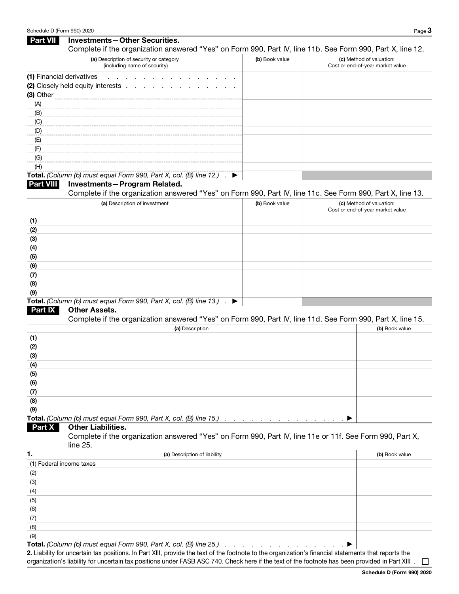#### Schedule D (Form 990) 2020 Page 3 Part VII Investments-Other Securities. Complete if the organization answered "Yes" on Form 990, Part IV, line 11b. See Form 990, Part X, line 12. (a) Description of security or category (including name of security) (b) Book value (c) Method of valuation: Cost or end-of-year market value (1) Financial derivatives . . . . . (2) Closely held equity interests . (3) Other (A) (B) (C) (D) (E) (F) (G) (H) Total. (Column (b) must equal Form 990, Part X, col. (B) line 12.) Part VIII Investments—Program Related. Complete if the organization answered "Yes" on Form 990, Part IV, line 11c. See Form 990, Part X, line 13. (a) Description of investment (b) Book value (b) Book value (c) Method of valuation: Cost or end-of-year market value (1) (2) (3) (4) (5) (6) (7) (8) (9) Total. (Column (b) must equal Form 990, Part X, col. (B) line 13.)  $\qquad \blacktriangleright$ Part IX Other Assets. Complete if the organization answered "Yes" on Form 990, Part IV, line 11d. See Form 990, Part X, line 15. (a) Description **(b)** Book value (1) (2) (3) (4) (5) (6) (7) (8) (9) Total. (Column (b) must equal Form 990, Part X, col. (B) line 15.)  $\ldots$  . . . . . . . . . . . . . . . .  $\blacktriangleright$ Part X Other Liabilities. Complete if the organization answered "Yes" on Form 990, Part IV, line 11e or 11f. See Form 990, Part X, line 25. 1. **(a) Description of liability (b) Book value** (1) Federal income taxes (2) (3) (4) (5) (6) (7) (8) (9) Total. (Column (b) must equal Form 990, Part X, col. (B) line 25.) . . . . . . . . . . . . . .

2. Liability for uncertain tax positions. In Part XIII, provide the text of the footnote to the organization's financial statements that reports the organization's liability for uncertain tax positions under FASB ASC 740. Check here if the text of the footnote has been provided in Part XIII .

 $\Box$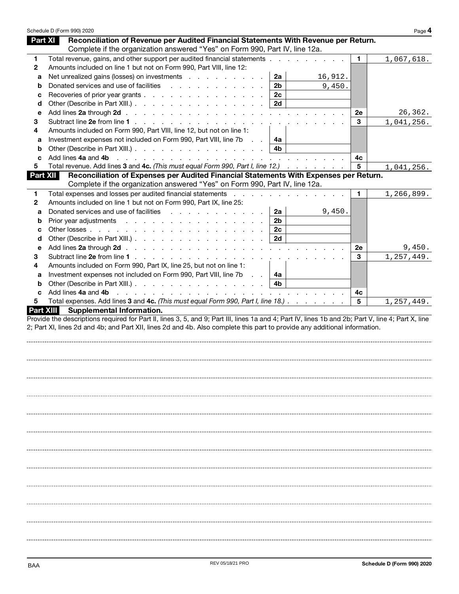| Schedule D (Form 990) 2020 |                                                                                                                                                                                                                               |                |         |    | Page 4     |
|----------------------------|-------------------------------------------------------------------------------------------------------------------------------------------------------------------------------------------------------------------------------|----------------|---------|----|------------|
| <b>Part XI</b>             | Reconciliation of Revenue per Audited Financial Statements With Revenue per Return.                                                                                                                                           |                |         |    |            |
|                            | Complete if the organization answered "Yes" on Form 990, Part IV, line 12a.                                                                                                                                                   |                |         |    |            |
| 1.                         | Total revenue, gains, and other support per audited financial statements                                                                                                                                                      |                |         | 1. | 1,067,618. |
| $\mathbf{2}$               | Amounts included on line 1 but not on Form 990, Part VIII, line 12:                                                                                                                                                           |                |         |    |            |
| a                          | Net unrealized gains (losses) on investments                                                                                                                                                                                  | 2a             | 16,912. |    |            |
| b                          | Donated services and use of facilities                                                                                                                                                                                        | 2 <sub>b</sub> | 9,450.  |    |            |
| с                          | Recoveries of prior year grants                                                                                                                                                                                               | 2c             |         |    |            |
| d                          | Other (Describe in Part XIII.)                                                                                                                                                                                                | 2d             |         |    |            |
| е                          |                                                                                                                                                                                                                               |                |         | 2e | 26,362.    |
| 3                          |                                                                                                                                                                                                                               |                |         | 3  | 1,041,256. |
| 4                          | Amounts included on Form 990, Part VIII, line 12, but not on line 1:                                                                                                                                                          |                |         |    |            |
| а                          | Investment expenses not included on Form 990, Part VIII, line 7b                                                                                                                                                              | 4а             |         |    |            |
| b                          | Other (Describe in Part XIII.)                                                                                                                                                                                                | 4b             |         |    |            |
| c                          |                                                                                                                                                                                                                               |                |         | 4c |            |
| 5                          | Total revenue. Add lines 3 and 4c. (This must equal Form 990, Part I, line 12.)                                                                                                                                               |                |         | 5  | 1,041,256. |
| Part XII                   | Reconciliation of Expenses per Audited Financial Statements With Expenses per Return.                                                                                                                                         |                |         |    |            |
|                            | Complete if the organization answered "Yes" on Form 990, Part IV, line 12a.                                                                                                                                                   |                |         |    |            |
| 1                          | Total expenses and losses per audited financial statements enter the contract of the statements of the statements of the statements of the statements of the statements of the statements of the statements of the statements |                |         | 1. | 1,266,899. |
|                            | Amounts included on line 1 but not on Form 990, Part IX, line 25:                                                                                                                                                             |                |         |    |            |
| $\mathbf{2}$<br>a          | Donated services and use of facilities                                                                                                                                                                                        | 2a             | 9,450.  |    |            |
| b                          | Prior year adjustments                                                                                                                                                                                                        | 2 <sub>b</sub> |         |    |            |
| c                          |                                                                                                                                                                                                                               | 2c             |         |    |            |
| d                          | Other (Describe in Part XIII.)                                                                                                                                                                                                | 2d             |         |    |            |
| е                          |                                                                                                                                                                                                                               |                |         | 2e | 9,450.     |
| 3                          |                                                                                                                                                                                                                               |                |         | 3  | 1,257,449. |
| 4                          | Amounts included on Form 990, Part IX, line 25, but not on line 1:                                                                                                                                                            |                |         |    |            |
|                            |                                                                                                                                                                                                                               |                |         |    |            |
| a                          | Investment expenses not included on Form 990, Part VIII, line 7b                                                                                                                                                              | 4a             |         |    |            |
| b                          | Other (Describe in Part XIII.)                                                                                                                                                                                                | - 4b           |         |    |            |
| c                          | Add lines 4a and 4b                                                                                                                                                                                                           |                |         | 4с |            |
| 5<br><b>Part XIII</b>      | Total expenses. Add lines 3 and 4c. (This must equal Form 990, Part I, line 18.)<br>Supplemental Information.                                                                                                                 |                |         | 5  | 1,257,449. |
|                            |                                                                                                                                                                                                                               |                |         |    |            |
|                            |                                                                                                                                                                                                                               |                |         |    |            |
|                            |                                                                                                                                                                                                                               |                |         |    |            |
|                            |                                                                                                                                                                                                                               |                |         |    |            |
|                            |                                                                                                                                                                                                                               |                |         |    |            |
|                            |                                                                                                                                                                                                                               |                |         |    |            |
|                            |                                                                                                                                                                                                                               |                |         |    |            |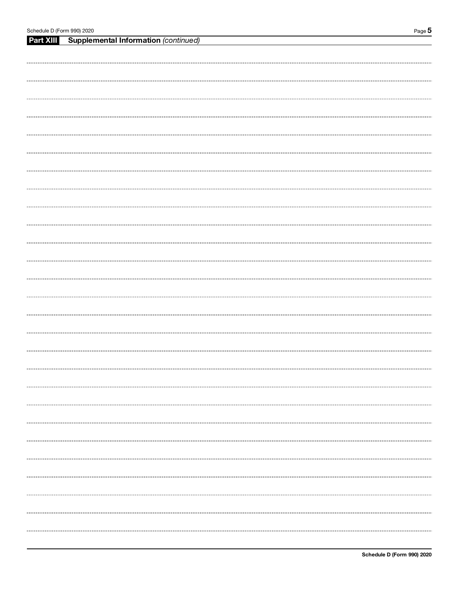| Schedule D (Form 990) 2020 |                                             | Page $5$ |
|----------------------------|---------------------------------------------|----------|
| Part XIII                  | <b>Supplemental Information (continued)</b> |          |
|                            |                                             |          |
|                            |                                             |          |
|                            |                                             |          |
|                            |                                             |          |
|                            |                                             |          |
|                            |                                             |          |
|                            |                                             |          |
|                            |                                             |          |
|                            |                                             |          |
|                            |                                             |          |
|                            |                                             |          |
|                            |                                             |          |
|                            |                                             |          |
|                            |                                             |          |
|                            |                                             |          |
|                            |                                             |          |
|                            |                                             |          |
|                            |                                             |          |
|                            |                                             |          |
|                            |                                             |          |
|                            |                                             |          |
|                            |                                             |          |
|                            |                                             |          |
|                            |                                             |          |
|                            |                                             |          |
|                            |                                             |          |
|                            |                                             |          |
|                            |                                             |          |
|                            |                                             |          |
|                            |                                             |          |
|                            |                                             |          |
|                            |                                             |          |
|                            |                                             |          |
|                            |                                             |          |
|                            |                                             |          |
|                            |                                             |          |
|                            |                                             |          |
|                            |                                             |          |
|                            |                                             |          |
|                            |                                             |          |
|                            |                                             |          |
|                            |                                             |          |
|                            |                                             |          |
|                            |                                             |          |
|                            |                                             |          |
|                            |                                             |          |
|                            |                                             |          |
|                            |                                             |          |
|                            |                                             |          |
|                            |                                             |          |
|                            |                                             |          |
|                            |                                             |          |
|                            |                                             |          |
|                            |                                             |          |
|                            |                                             |          |
|                            |                                             |          |
|                            |                                             |          |
|                            |                                             |          |
|                            |                                             |          |
|                            |                                             |          |
|                            |                                             |          |
|                            |                                             |          |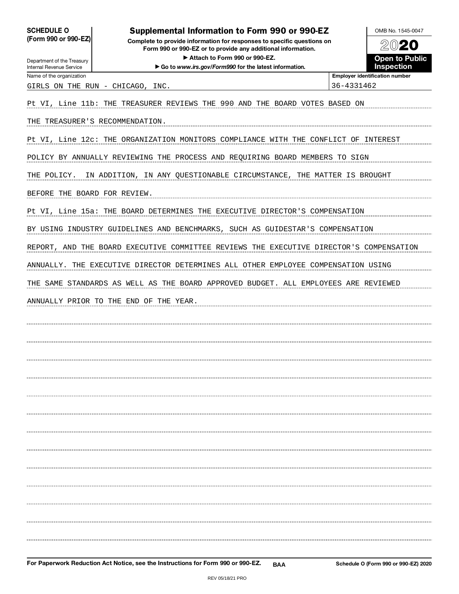SCHEDULE O (Form 990 or 990-EZ)

### Supplemental Information to Form 990 or 990-EZ

Complete to provide information for responses to specific questions on Form 990 or 990-EZ or to provide any additional information. Attach to Form 990 or 990-EZ.



| Department of the Treasury<br>Internal Revenue Service | ▶ Attach to Form 990 or 990-EZ.<br>Go to www.irs.gov/Form990 for the latest information.       | <b>Open to Public</b><br>Inspection   |
|--------------------------------------------------------|------------------------------------------------------------------------------------------------|---------------------------------------|
| Name of the organization                               |                                                                                                | <b>Employer identification number</b> |
| GIRLS ON THE RUN - CHICAGO, INC.                       |                                                                                                | 36-4331462                            |
|                                                        | Pt VI, Line 11b: THE TREASURER REVIEWS THE 990 AND THE BOARD VOTES BASED ON                    |                                       |
| THE TREASURER'S RECOMMENDATION.                        |                                                                                                |                                       |
|                                                        | Pt VI, Line 12c: THE ORGANIZATION MONITORS COMPLIANCE WITH THE CONFLICT OF INTEREST            |                                       |
|                                                        | POLICY BY ANNUALLY REVIEWING THE PROCESS AND REQUIRING BOARD MEMBERS TO SIGN                   |                                       |
| THE POLICY.                                            | IN ADDITION, IN ANY QUESTIONABLE CIRCUMSTANCE, THE MATTER IS BROUGHT                           |                                       |
| BEFORE THE BOARD FOR REVIEW.                           |                                                                                                |                                       |
|                                                        | Pt VI, Line 15a: THE BOARD DETERMINES THE EXECUTIVE DIRECTOR'S COMPENSATION                    |                                       |
|                                                        | BY USING INDUSTRY GUIDELINES AND BENCHMARKS, SUCH AS GUIDESTAR'S COMPENSATION                  |                                       |
|                                                        | REPORT, AND THE BOARD EXECUTIVE COMMITTEE REVIEWS THE EXECUTIVE DIRECTOR'S COMPENSATION        |                                       |
|                                                        | ANNUALLY. THE EXECUTIVE DIRECTOR DETERMINES ALL OTHER EMPLOYEE COMPENSATION USING              |                                       |
|                                                        | THE SAME STANDARDS AS WELL AS THE BOARD APPROVED BUDGET. ALL EMPLOYEES ARE REVIEWED            |                                       |
|                                                        | ANNUALLY PRIOR TO THE END OF THE YEAR.                                                         |                                       |
|                                                        |                                                                                                |                                       |
|                                                        |                                                                                                |                                       |
|                                                        |                                                                                                |                                       |
|                                                        |                                                                                                |                                       |
|                                                        |                                                                                                |                                       |
|                                                        |                                                                                                |                                       |
|                                                        |                                                                                                |                                       |
|                                                        |                                                                                                |                                       |
|                                                        |                                                                                                |                                       |
|                                                        |                                                                                                |                                       |
|                                                        |                                                                                                |                                       |
|                                                        |                                                                                                |                                       |
|                                                        |                                                                                                |                                       |
|                                                        |                                                                                                |                                       |
|                                                        | For Paperwork Reduction Act Notice, see the Instructions for Form 990 or 990-EZ.<br><b>BAA</b> | Schedule O (Form 990 or 990-EZ) 2020  |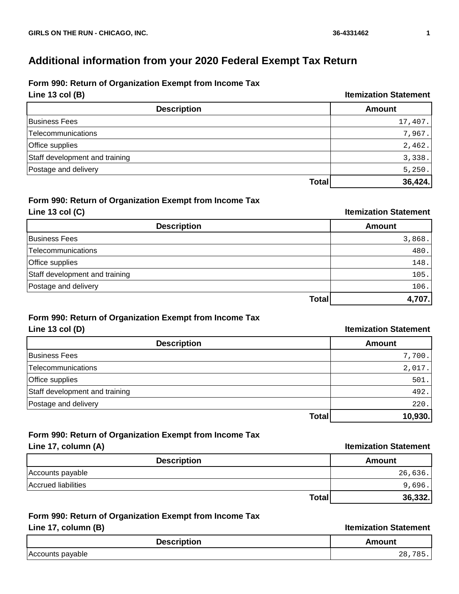# **Additional information from your 2020 Federal Exempt Tax Return**

## **Form 990: Return of Organization Exempt from Income Tax**

**Line 13 col (B) Itemization Statement**

| <b>Description</b>             | <b>Amount</b> |
|--------------------------------|---------------|
| Business Fees                  | 17,407.       |
| Telecommunications             | 7,967.        |
| Office supplies                | 2,462.        |
| Staff development and training | 3,338.        |
| Postage and delivery           | 5,250.        |
| Total                          | 36,424.       |

#### **Form 990: Return of Organization Exempt from Income Tax Line 13 col (C) Itemization Statement**

| <b>Description</b>             | <b>Amount</b> |
|--------------------------------|---------------|
| <b>Business Fees</b>           | 3,868.        |
| Telecommunications             | 480.          |
| Office supplies                | 148.          |
| Staff development and training | 105.          |
| Postage and delivery           | 106.          |
| Total                          | 4,707.        |

# **Form 990: Return of Organization Exempt from Income Tax**

## **Line 13 col (D) Itemization Statement Description Amount** Business Fees 7,700. Telecommunications 2,017.  $\blacksquare$  Office supplies  $\blacksquare$  501. Staff development and training 492. Postage and delivery 220. **Total 10,930.**

#### **Form 990: Return of Organization Exempt from Income Tax Line 17, column (A) Itemization Statement**

| $L$ $R$             | <u>Ilgillizativli olalgiligill</u> |
|---------------------|------------------------------------|
| <b>Description</b>  | Amount                             |
| Accounts payable    | 26,636.                            |
| Accrued liabilities | 9,696.                             |
| <b>Total</b>        | 36,332.                            |

## **Form 990: Return of Organization Exempt from Income Tax**

#### **Line 17, column (B) Itemization Statement**

| $\mu$ <del>e<math>\mu</math><math>\mu</math>zation otatenient</del> |
|---------------------------------------------------------------------|
|                                                                     |

| ിലെ<br>.<br>וטו<br>. <del>.</del><br>- - - - | nount |
|----------------------------------------------|-------|
| able/                                        |       |
| ΑO                                           | --    |